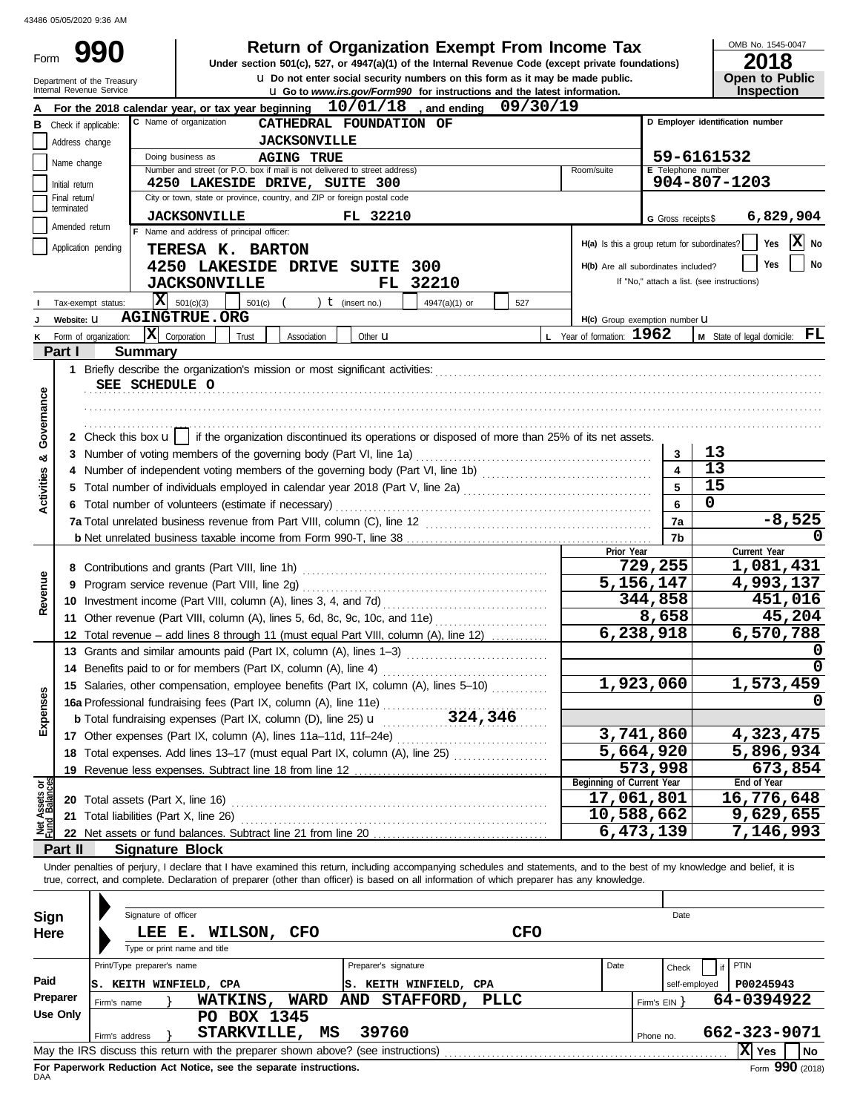| Form                                                                                                                                                                                                                                                      |                | 43400 UD/UD/ZUZU Y.30 AIV<br>990<br>Department of the Treasury |                                                                                                                                                                                                                                                                                                                          |                         | <b>Return of Organization Exempt From Income Tax</b><br>Under section 501(c), 527, or 4947(a)(1) of the Internal Revenue Code (except private foundations)<br>u Do not enter social security numbers on this form as it may be made public. |                                               |                        | OMB No. 1545-0047<br>2018<br>Open to Public |  |  |  |
|-----------------------------------------------------------------------------------------------------------------------------------------------------------------------------------------------------------------------------------------------------------|----------------|----------------------------------------------------------------|--------------------------------------------------------------------------------------------------------------------------------------------------------------------------------------------------------------------------------------------------------------------------------------------------------------------------|-------------------------|---------------------------------------------------------------------------------------------------------------------------------------------------------------------------------------------------------------------------------------------|-----------------------------------------------|------------------------|---------------------------------------------|--|--|--|
|                                                                                                                                                                                                                                                           |                | Internal Revenue Service                                       |                                                                                                                                                                                                                                                                                                                          |                         | <b>u</b> Go to www.irs.gov/Form990 for instructions and the latest information.                                                                                                                                                             |                                               |                        | Inspection                                  |  |  |  |
|                                                                                                                                                                                                                                                           |                |                                                                | For the 2018 calendar year, or tax year beginning $10/01/18$                                                                                                                                                                                                                                                             |                         | 09/30/19<br>. and ending                                                                                                                                                                                                                    |                                               |                        |                                             |  |  |  |
|                                                                                                                                                                                                                                                           |                | <b>B</b> Check if applicable:                                  | C Name of organization                                                                                                                                                                                                                                                                                                   | CATHEDRAL FOUNDATION OF |                                                                                                                                                                                                                                             |                                               |                        | D Employer identification number            |  |  |  |
|                                                                                                                                                                                                                                                           | Address change |                                                                | <b>JACKSONVILLE</b>                                                                                                                                                                                                                                                                                                      |                         |                                                                                                                                                                                                                                             |                                               |                        |                                             |  |  |  |
| 59-6161532<br>Doing business as<br><b>AGING TRUE</b><br>Name change<br>Number and street (or P.O. box if mail is not delivered to street address)<br>E Telephone number<br>Room/suite<br>904-807-1203<br>4250 LAKESIDE DRIVE, SUITE 300<br>Initial return |                |                                                                |                                                                                                                                                                                                                                                                                                                          |                         |                                                                                                                                                                                                                                             |                                               |                        |                                             |  |  |  |
|                                                                                                                                                                                                                                                           |                |                                                                |                                                                                                                                                                                                                                                                                                                          |                         |                                                                                                                                                                                                                                             |                                               |                        |                                             |  |  |  |
|                                                                                                                                                                                                                                                           | Amended return |                                                                | <b>JACKSONVILLE</b><br>F Name and address of principal officer:                                                                                                                                                                                                                                                          | FL 32210                |                                                                                                                                                                                                                                             |                                               | G Gross receipts \$    | 6,829,904                                   |  |  |  |
|                                                                                                                                                                                                                                                           |                | Application pending                                            | <b>TERESA K. BARTON</b>                                                                                                                                                                                                                                                                                                  |                         |                                                                                                                                                                                                                                             | H(a) Is this a group return for subordinates? |                        | x <br>Yes<br>No                             |  |  |  |
|                                                                                                                                                                                                                                                           |                |                                                                | 4250 LAKESIDE DRIVE SUITE                                                                                                                                                                                                                                                                                                |                         | 300                                                                                                                                                                                                                                         | H(b) Are all subordinates included?           |                        | No<br>Yes                                   |  |  |  |
|                                                                                                                                                                                                                                                           |                |                                                                | <b>JACKSONVILLE</b>                                                                                                                                                                                                                                                                                                      | FL.                     | 32210                                                                                                                                                                                                                                       |                                               |                        | If "No," attach a list. (see instructions)  |  |  |  |
|                                                                                                                                                                                                                                                           |                | $\mathbf{x}$<br>Tax-exempt status:                             | 501(c)(3)<br>501(c)                                                                                                                                                                                                                                                                                                      | ) $t$ (insert no.)      | 4947(a)(1) or<br>527                                                                                                                                                                                                                        |                                               |                        |                                             |  |  |  |
|                                                                                                                                                                                                                                                           | Website: U     |                                                                | <b>AGINGTRUE.ORG</b>                                                                                                                                                                                                                                                                                                     |                         |                                                                                                                                                                                                                                             | H(c) Group exemption number <b>U</b>          |                        |                                             |  |  |  |
| ĸ                                                                                                                                                                                                                                                         |                | Form of organization:                                          | $ \mathbf{X} $ Corporation<br>Trust<br>Association                                                                                                                                                                                                                                                                       | Other <b>u</b>          |                                                                                                                                                                                                                                             | L Year of formation: 1962                     |                        | FL<br>M State of legal domicile:            |  |  |  |
|                                                                                                                                                                                                                                                           | Part I         | <b>Summary</b>                                                 |                                                                                                                                                                                                                                                                                                                          |                         |                                                                                                                                                                                                                                             |                                               |                        |                                             |  |  |  |
|                                                                                                                                                                                                                                                           |                |                                                                |                                                                                                                                                                                                                                                                                                                          |                         |                                                                                                                                                                                                                                             |                                               |                        |                                             |  |  |  |
|                                                                                                                                                                                                                                                           |                | SEE SCHEDULE O                                                 |                                                                                                                                                                                                                                                                                                                          |                         |                                                                                                                                                                                                                                             |                                               |                        |                                             |  |  |  |
| Governance                                                                                                                                                                                                                                                |                |                                                                |                                                                                                                                                                                                                                                                                                                          |                         |                                                                                                                                                                                                                                             |                                               |                        |                                             |  |  |  |
|                                                                                                                                                                                                                                                           |                |                                                                |                                                                                                                                                                                                                                                                                                                          |                         |                                                                                                                                                                                                                                             |                                               |                        |                                             |  |  |  |
|                                                                                                                                                                                                                                                           |                |                                                                | 2 Check this box $\mathbf{u}$   if the organization discontinued its operations or disposed of more than 25% of its net assets.                                                                                                                                                                                          |                         |                                                                                                                                                                                                                                             |                                               |                        |                                             |  |  |  |
| ಳ                                                                                                                                                                                                                                                         |                |                                                                |                                                                                                                                                                                                                                                                                                                          |                         |                                                                                                                                                                                                                                             |                                               | 3                      | 13                                          |  |  |  |
|                                                                                                                                                                                                                                                           |                |                                                                |                                                                                                                                                                                                                                                                                                                          |                         |                                                                                                                                                                                                                                             |                                               |                        | 13                                          |  |  |  |
| <b>Activities</b>                                                                                                                                                                                                                                         |                |                                                                |                                                                                                                                                                                                                                                                                                                          |                         |                                                                                                                                                                                                                                             | 15<br>0                                       |                        |                                             |  |  |  |
|                                                                                                                                                                                                                                                           |                |                                                                |                                                                                                                                                                                                                                                                                                                          |                         | 6                                                                                                                                                                                                                                           | $-8,525$                                      |                        |                                             |  |  |  |
|                                                                                                                                                                                                                                                           |                |                                                                |                                                                                                                                                                                                                                                                                                                          |                         |                                                                                                                                                                                                                                             |                                               | 7a<br>7b               |                                             |  |  |  |
|                                                                                                                                                                                                                                                           |                |                                                                |                                                                                                                                                                                                                                                                                                                          |                         |                                                                                                                                                                                                                                             | Prior Year                                    |                        | Current Year                                |  |  |  |
|                                                                                                                                                                                                                                                           |                |                                                                |                                                                                                                                                                                                                                                                                                                          |                         | 729,255                                                                                                                                                                                                                                     | 1,081,431                                     |                        |                                             |  |  |  |
|                                                                                                                                                                                                                                                           |                |                                                                | 9 Program service revenue (Part VIII, line 2g)                                                                                                                                                                                                                                                                           |                         |                                                                                                                                                                                                                                             |                                               | 5,156,147              | 4,993,137                                   |  |  |  |
| Revenue                                                                                                                                                                                                                                                   |                |                                                                |                                                                                                                                                                                                                                                                                                                          |                         | $\overline{451,016}$<br>344,858<br>8,658                                                                                                                                                                                                    |                                               |                        |                                             |  |  |  |
|                                                                                                                                                                                                                                                           |                |                                                                | 11 Other revenue (Part VIII, column (A), lines 5, 6d, 8c, 9c, 10c, and 11e)                                                                                                                                                                                                                                              |                         |                                                                                                                                                                                                                                             |                                               | 45,204                 |                                             |  |  |  |
|                                                                                                                                                                                                                                                           |                |                                                                | 12 Total revenue - add lines 8 through 11 (must equal Part VIII, column (A), line 12)                                                                                                                                                                                                                                    |                         |                                                                                                                                                                                                                                             |                                               | 6,238,918              | 6,570,788                                   |  |  |  |
|                                                                                                                                                                                                                                                           |                |                                                                | 13 Grants and similar amounts paid (Part IX, column (A), lines 1-3)                                                                                                                                                                                                                                                      |                         |                                                                                                                                                                                                                                             |                                               |                        |                                             |  |  |  |
|                                                                                                                                                                                                                                                           |                |                                                                | 14 Benefits paid to or for members (Part IX, column (A), line 4)                                                                                                                                                                                                                                                         |                         |                                                                                                                                                                                                                                             |                                               |                        | 0                                           |  |  |  |
|                                                                                                                                                                                                                                                           |                |                                                                | 15 Salaries, other compensation, employee benefits (Part IX, column (A), lines 5-10)                                                                                                                                                                                                                                     |                         | $\overline{1,923,060}$                                                                                                                                                                                                                      | 1,573,459<br>0                                |                        |                                             |  |  |  |
| Expenses                                                                                                                                                                                                                                                  |                |                                                                | 15 Salaries, outer componenting fees (Part IX, column (A), line 11e)<br>16a Professional fundraising fees (Part IX, column (A), line 25) 11 324, 346                                                                                                                                                                     |                         |                                                                                                                                                                                                                                             |                                               |                        |                                             |  |  |  |
|                                                                                                                                                                                                                                                           |                |                                                                |                                                                                                                                                                                                                                                                                                                          |                         |                                                                                                                                                                                                                                             |                                               | 3,741,860              | 4,323,475                                   |  |  |  |
|                                                                                                                                                                                                                                                           |                |                                                                | 18 Total expenses. Add lines 13-17 (must equal Part IX, column (A), line 25)                                                                                                                                                                                                                                             |                         |                                                                                                                                                                                                                                             |                                               | $\overline{5,664,920}$ | 5,896,934                                   |  |  |  |
|                                                                                                                                                                                                                                                           |                |                                                                |                                                                                                                                                                                                                                                                                                                          |                         |                                                                                                                                                                                                                                             |                                               | 573,998                | 673,854                                     |  |  |  |
| පරි                                                                                                                                                                                                                                                       |                |                                                                |                                                                                                                                                                                                                                                                                                                          |                         |                                                                                                                                                                                                                                             | Beginning of Current Year                     |                        | End of Year                                 |  |  |  |
| Assets<br>1 Balanc                                                                                                                                                                                                                                        |                |                                                                |                                                                                                                                                                                                                                                                                                                          |                         |                                                                                                                                                                                                                                             | 17,061,801                                    |                        | 16,776,648                                  |  |  |  |
|                                                                                                                                                                                                                                                           |                |                                                                | 10,588,662                                                                                                                                                                                                                                                                                                               | 9,629,655               |                                                                                                                                                                                                                                             |                                               |                        |                                             |  |  |  |
| 활                                                                                                                                                                                                                                                         |                |                                                                |                                                                                                                                                                                                                                                                                                                          |                         | 6,473,139                                                                                                                                                                                                                                   | 7,146,993                                     |                        |                                             |  |  |  |
|                                                                                                                                                                                                                                                           | Part II        | <b>Signature Block</b>                                         |                                                                                                                                                                                                                                                                                                                          |                         |                                                                                                                                                                                                                                             |                                               |                        |                                             |  |  |  |
|                                                                                                                                                                                                                                                           |                |                                                                | Under penalties of perjury, I declare that I have examined this return, including accompanying schedules and statements, and to the best of my knowledge and belief, it is<br>true, correct, and complete. Declaration of preparer (other than officer) is based on all information of which preparer has any knowledge. |                         |                                                                                                                                                                                                                                             |                                               |                        |                                             |  |  |  |
|                                                                                                                                                                                                                                                           |                |                                                                |                                                                                                                                                                                                                                                                                                                          |                         |                                                                                                                                                                                                                                             |                                               |                        |                                             |  |  |  |
| Sign                                                                                                                                                                                                                                                      |                | Signature of officer                                           |                                                                                                                                                                                                                                                                                                                          |                         |                                                                                                                                                                                                                                             |                                               | Date                   |                                             |  |  |  |
| Here                                                                                                                                                                                                                                                      |                | LEE E.                                                         | WILSON,<br><b>CFO</b>                                                                                                                                                                                                                                                                                                    |                         | <b>CFO</b>                                                                                                                                                                                                                                  |                                               |                        |                                             |  |  |  |
|                                                                                                                                                                                                                                                           |                |                                                                | Type or print name and title                                                                                                                                                                                                                                                                                             |                         |                                                                                                                                                                                                                                             |                                               |                        |                                             |  |  |  |
|                                                                                                                                                                                                                                                           |                | Print/Type preparer's name                                     |                                                                                                                                                                                                                                                                                                                          | Preparer's signature    |                                                                                                                                                                                                                                             | Date                                          | Check                  | PTIN                                        |  |  |  |
| Paid                                                                                                                                                                                                                                                      |                | S. KEITH WINFIELD, CPA                                         | self-employed                                                                                                                                                                                                                                                                                                            | P00245943               |                                                                                                                                                                                                                                             |                                               |                        |                                             |  |  |  |
|                                                                                                                                                                                                                                                           | Preparer       | Firm's name                                                    | WATKINS, WARD AND STAFFORD,                                                                                                                                                                                                                                                                                              | S. KEITH WINFIELD, CPA  | PLLC                                                                                                                                                                                                                                        |                                               | Firm's $EIN$ }         | 64-0394922                                  |  |  |  |
|                                                                                                                                                                                                                                                           | Use Only       |                                                                | PO BOX 1345                                                                                                                                                                                                                                                                                                              |                         |                                                                                                                                                                                                                                             |                                               |                        |                                             |  |  |  |
|                                                                                                                                                                                                                                                           |                | Firm's address                                                 | <b>STARKVILLE,</b><br>MS                                                                                                                                                                                                                                                                                                 | 39760                   |                                                                                                                                                                                                                                             |                                               | Phone no.              | 662-323-9071                                |  |  |  |
|                                                                                                                                                                                                                                                           |                |                                                                |                                                                                                                                                                                                                                                                                                                          |                         |                                                                                                                                                                                                                                             |                                               |                        | $ \mathbf{X} $ Yes<br>No                    |  |  |  |

| Sign                                                                             | Signature of officer                                                                                     |                              |      | Date                           |             |      |               |            |  |  |
|----------------------------------------------------------------------------------|----------------------------------------------------------------------------------------------------------|------------------------------|------|--------------------------------|-------------|------|---------------|------------|--|--|
| Here                                                                             | LEE E.                                                                                                   | <b>WILSON, CFO</b>           |      |                                |             |      |               |            |  |  |
|                                                                                  |                                                                                                          | Type or print name and title |      |                                |             |      |               |            |  |  |
|                                                                                  | Print/Type preparer's name                                                                               |                              |      | Preparer's signature           |             | Date | Check         | PTIN       |  |  |
| Paid                                                                             | lS.                                                                                                      | KEITH WINFIELD, CPA          | ls.  | KEITH WINFIELD, CPA            |             |      | self-employed | P00245943  |  |  |
| Preparer                                                                         | Firm's name                                                                                              | <b>WATKINS,</b>              | WARD | <b>STAFFORD,</b><br><b>AND</b> | <b>PLLC</b> |      | Firm's $EIN$  | 64-0394922 |  |  |
| Use Only                                                                         |                                                                                                          | <b>BOX 1345</b><br>PO.       |      |                                |             |      |               |            |  |  |
| 662-323-9071<br>39760<br>MS<br><b>STARKVILLE,</b><br>Firm's address<br>Phone no. |                                                                                                          |                              |      |                                |             |      |               |            |  |  |
|                                                                                  | X <br>May the IRS discuss this return with the preparer shown above? (see instructions)<br>  No<br>l Yes |                              |      |                                |             |      |               |            |  |  |
| <b>DAA</b>                                                                       | Form 990 (2018)<br>For Paperwork Reduction Act Notice, see the separate instructions.                    |                              |      |                                |             |      |               |            |  |  |

**<sup>990</sup>** (2018)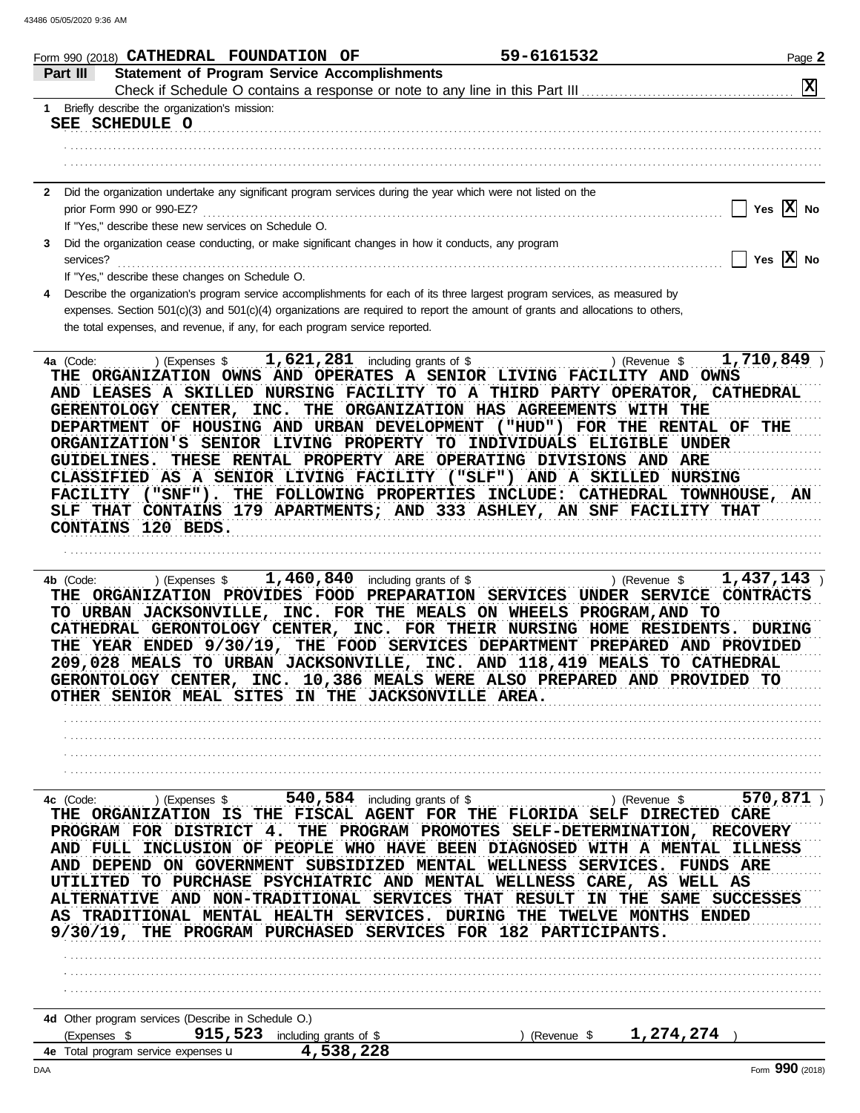|                | 59-6161532<br>Form 990 (2018) CATHEDRAL FOUNDATION OF                                                                                                                                                                                                                                                                                                                                                                                                                                                                        | Page 2               |
|----------------|------------------------------------------------------------------------------------------------------------------------------------------------------------------------------------------------------------------------------------------------------------------------------------------------------------------------------------------------------------------------------------------------------------------------------------------------------------------------------------------------------------------------------|----------------------|
| Part III       | <b>Statement of Program Service Accomplishments</b>                                                                                                                                                                                                                                                                                                                                                                                                                                                                          | $\boxed{\mathbf{X}}$ |
|                | 1 Briefly describe the organization's mission:<br>SEE SCHEDULE O                                                                                                                                                                                                                                                                                                                                                                                                                                                             |                      |
|                |                                                                                                                                                                                                                                                                                                                                                                                                                                                                                                                              |                      |
|                |                                                                                                                                                                                                                                                                                                                                                                                                                                                                                                                              |                      |
| $\mathbf{2}$   | Did the organization undertake any significant program services during the year which were not listed on the<br>prior Form 990 or 990-EZ?                                                                                                                                                                                                                                                                                                                                                                                    | Yes $ X $ No         |
|                | If "Yes," describe these new services on Schedule O.                                                                                                                                                                                                                                                                                                                                                                                                                                                                         |                      |
| 3<br>services? | Did the organization cease conducting, or make significant changes in how it conducts, any program                                                                                                                                                                                                                                                                                                                                                                                                                           | Yes $X$ No<br>$\Box$ |
|                | If "Yes," describe these changes on Schedule O.<br>Describe the organization's program service accomplishments for each of its three largest program services, as measured by                                                                                                                                                                                                                                                                                                                                                |                      |
|                | expenses. Section 501(c)(3) and 501(c)(4) organizations are required to report the amount of grants and allocations to others,<br>the total expenses, and revenue, if any, for each program service reported.                                                                                                                                                                                                                                                                                                                |                      |
|                | DEPARTMENT OF HOUSING AND URBAN DEVELOPMENT<br>("HUD") FOR THE RENTAL OF THE                                                                                                                                                                                                                                                                                                                                                                                                                                                 |                      |
|                | ORGANIZATION'S SENIOR LIVING PROPERTY TO INDIVIDUALS ELIGIBLE UNDER<br>THESE RENTAL PROPERTY ARE OPERATING DIVISIONS AND ARE<br><b>GUIDELINES.</b><br>CLASSIFIED AS A SENIOR LIVING FACILITY ("SLF") AND A SKILLED NURSING<br>FACILITY ("SNF"). THE FOLLOWING PROPERTIES INCLUDE: CATHEDRAL TOWNHOUSE, AN<br>SLF THAT CONTAINS 179 APARTMENTS; AND 333 ASHLEY, AN SNF FACILITY THAT<br>CONTAINS 120 BEDS.                                                                                                                    |                      |
| 4b (Code:      | ) (Expenses \$<br>) (Revenue \$                                                                                                                                                                                                                                                                                                                                                                                                                                                                                              | $1,437,143$ )        |
|                | THE ORGANIZATION PROVIDES FOOD PREPARATION SERVICES UNDER SERVICE CONTRACTS<br>TO URBAN JACKSONVILLE, INC. FOR THE MEALS ON WHEELS PROGRAM, AND TO<br>CATHEDRAL GERONTOLOGY CENTER, INC. FOR THEIR NURSING HOME RESIDENTS. DURING<br>THE YEAR ENDED 9/30/19, THE FOOD SERVICES DEPARTMENT PREPARED AND PROVIDED<br>209,028 MEALS TO URBAN JACKSONVILLE, INC. AND 118,419 MEALS TO CATHEDRAL<br>GERONTOLOGY CENTER, INC. 10,386 MEALS WERE ALSO PREPARED AND PROVIDED TO<br>OTHER SENIOR MEAL SITES IN THE JACKSONVILLE AREA. |                      |
|                |                                                                                                                                                                                                                                                                                                                                                                                                                                                                                                                              |                      |

9/30/19, THE PROGRAM PURCHASED SERVICES FOR 182 PARTICIPANTS.

4d Other program services (Describe in Schedule O.) 915, 523 including grants of \$ (Expenses \$

DAA

 $1, 274, 274$ ) (Revenue \$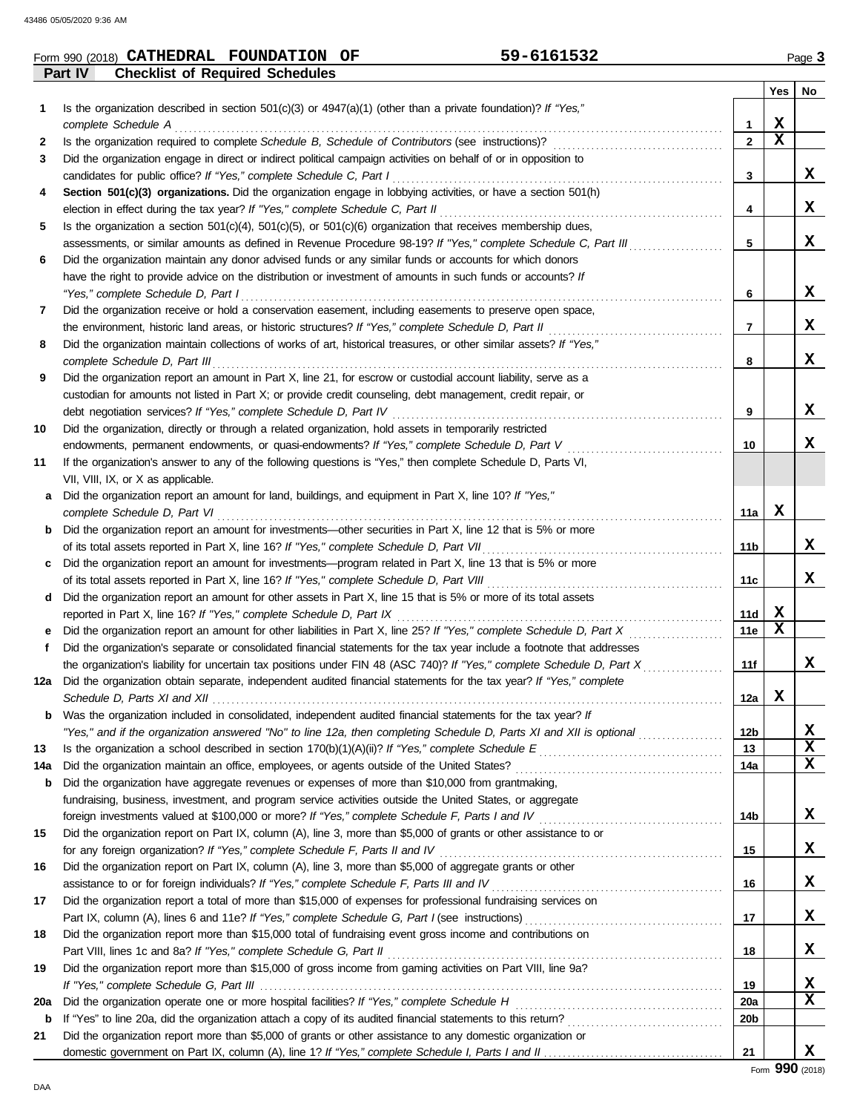**Part IV Checklist of Required Schedules**

|  | Form 990 (2018) <b>CATHEDRAL</b> | <b>FOUNDATION</b> | OF | 59-6161532 | Page 3 |
|--|----------------------------------|-------------------|----|------------|--------|
|--|----------------------------------|-------------------|----|------------|--------|

|     |                                                                                                                                                                                                                                               |                 | Yes | No |
|-----|-----------------------------------------------------------------------------------------------------------------------------------------------------------------------------------------------------------------------------------------------|-----------------|-----|----|
| 1   | Is the organization described in section $501(c)(3)$ or $4947(a)(1)$ (other than a private foundation)? If "Yes,"                                                                                                                             |                 |     |    |
|     | complete Schedule A                                                                                                                                                                                                                           | 1               | x   |    |
| 2   | Is the organization required to complete Schedule B, Schedule of Contributors (see instructions)?                                                                                                                                             | $\mathbf{2}$    | х   |    |
| 3   | Did the organization engage in direct or indirect political campaign activities on behalf of or in opposition to                                                                                                                              |                 |     |    |
|     | candidates for public office? If "Yes," complete Schedule C, Part I                                                                                                                                                                           | 3               |     | x  |
| 4   | Section 501(c)(3) organizations. Did the organization engage in lobbying activities, or have a section 501(h)                                                                                                                                 |                 |     | x  |
|     | election in effect during the tax year? If "Yes," complete Schedule C, Part II                                                                                                                                                                | 4               |     |    |
| 5   | Is the organization a section $501(c)(4)$ , $501(c)(5)$ , or $501(c)(6)$ organization that receives membership dues,<br>assessments, or similar amounts as defined in Revenue Procedure 98-19? If "Yes," complete Schedule C, Part III        | 5               |     | x  |
| 6   | Did the organization maintain any donor advised funds or any similar funds or accounts for which donors                                                                                                                                       |                 |     |    |
|     | have the right to provide advice on the distribution or investment of amounts in such funds or accounts? If                                                                                                                                   |                 |     |    |
|     | "Yes," complete Schedule D, Part I                                                                                                                                                                                                            | 6               |     | x  |
| 7   | Did the organization receive or hold a conservation easement, including easements to preserve open space,                                                                                                                                     |                 |     |    |
|     | the environment, historic land areas, or historic structures? If "Yes," complete Schedule D, Part II                                                                                                                                          | 7               |     | x  |
| 8   | Did the organization maintain collections of works of art, historical treasures, or other similar assets? If "Yes,"                                                                                                                           |                 |     |    |
|     | complete Schedule D, Part III                                                                                                                                                                                                                 | 8               |     | x  |
| 9   | Did the organization report an amount in Part X, line 21, for escrow or custodial account liability, serve as a                                                                                                                               |                 |     |    |
|     | custodian for amounts not listed in Part X; or provide credit counseling, debt management, credit repair, or                                                                                                                                  |                 |     |    |
|     | debt negotiation services? If "Yes," complete Schedule D, Part IV                                                                                                                                                                             | 9               |     | x  |
| 10  | Did the organization, directly or through a related organization, hold assets in temporarily restricted                                                                                                                                       |                 |     |    |
|     | endowments, permanent endowments, or quasi-endowments? If "Yes," complete Schedule D, Part V                                                                                                                                                  | 10              |     | x. |
| 11  | If the organization's answer to any of the following questions is "Yes," then complete Schedule D, Parts VI,                                                                                                                                  |                 |     |    |
|     | VII, VIII, IX, or X as applicable.                                                                                                                                                                                                            |                 |     |    |
| а   | Did the organization report an amount for land, buildings, and equipment in Part X, line 10? If "Yes,"                                                                                                                                        |                 |     |    |
|     | complete Schedule D, Part VI                                                                                                                                                                                                                  | 11a             | x   |    |
| b   | Did the organization report an amount for investments—other securities in Part X, line 12 that is 5% or more                                                                                                                                  |                 |     |    |
|     | of its total assets reported in Part X, line 16? If "Yes," complete Schedule D, Part VII                                                                                                                                                      | 11b             |     | x  |
| c   | Did the organization report an amount for investments—program related in Part X, line 13 that is 5% or more                                                                                                                                   |                 |     |    |
|     | of its total assets reported in Part X, line 16? If "Yes," complete Schedule D, Part VIII                                                                                                                                                     | 11c             |     | x  |
| d   | Did the organization report an amount for other assets in Part X, line 15 that is 5% or more of its total assets                                                                                                                              |                 |     |    |
|     | reported in Part X, line 16? If "Yes," complete Schedule D, Part IX                                                                                                                                                                           | 11d             | X   |    |
| е   | Did the organization report an amount for other liabilities in Part X, line 25? If "Yes," complete Schedule D, Part X                                                                                                                         | 11e             | х   |    |
| f   | Did the organization's separate or consolidated financial statements for the tax year include a footnote that addresses                                                                                                                       |                 |     | x  |
| 12a | the organization's liability for uncertain tax positions under FIN 48 (ASC 740)? If "Yes," complete Schedule D, Part X<br>Did the organization obtain separate, independent audited financial statements for the tax year? If "Yes," complete | 11f             |     |    |
|     | Schedule D, Parts XI and XII                                                                                                                                                                                                                  | 12a             | X   |    |
|     | Was the organization included in consolidated, independent audited financial statements for the tax year? If                                                                                                                                  |                 |     |    |
|     | "Yes," and if the organization answered "No" to line 12a, then completing Schedule D, Parts XI and XII is optional                                                                                                                            | 12 <sub>b</sub> |     | X  |
| 13  |                                                                                                                                                                                                                                               | 13              |     | x  |
| 14a |                                                                                                                                                                                                                                               | 14a             |     | x  |
| b   | Did the organization have aggregate revenues or expenses of more than \$10,000 from grantmaking,                                                                                                                                              |                 |     |    |
|     | fundraising, business, investment, and program service activities outside the United States, or aggregate                                                                                                                                     |                 |     |    |
|     |                                                                                                                                                                                                                                               | 14b             |     | X. |
| 15  | Did the organization report on Part IX, column (A), line 3, more than \$5,000 of grants or other assistance to or                                                                                                                             |                 |     |    |
|     | for any foreign organization? If "Yes," complete Schedule F, Parts II and IV [[[[[[[[[[[[[[[[[[[[[[[[[[[[[[[[                                                                                                                                 | 15              |     | X  |
| 16  | Did the organization report on Part IX, column (A), line 3, more than \$5,000 of aggregate grants or other                                                                                                                                    |                 |     |    |
|     | assistance to or for foreign individuals? If "Yes," complete Schedule F, Parts III and IV [[[[[[[[[[[[[[[[[[[                                                                                                                                 | 16              |     | X  |
| 17  | Did the organization report a total of more than \$15,000 of expenses for professional fundraising services on                                                                                                                                |                 |     |    |
|     |                                                                                                                                                                                                                                               | 17              |     | X  |
| 18  | Did the organization report more than \$15,000 total of fundraising event gross income and contributions on                                                                                                                                   |                 |     |    |
|     |                                                                                                                                                                                                                                               | 18              |     | X. |
| 19  | Did the organization report more than \$15,000 of gross income from gaming activities on Part VIII, line 9a?                                                                                                                                  |                 |     |    |
|     |                                                                                                                                                                                                                                               | 19              |     | x  |
| 20a |                                                                                                                                                                                                                                               | <b>20a</b>      |     | x  |
| b   |                                                                                                                                                                                                                                               | 20b             |     |    |
| 21  | Did the organization report more than \$5,000 of grants or other assistance to any domestic organization or                                                                                                                                   |                 |     |    |
|     |                                                                                                                                                                                                                                               | 21              |     | x  |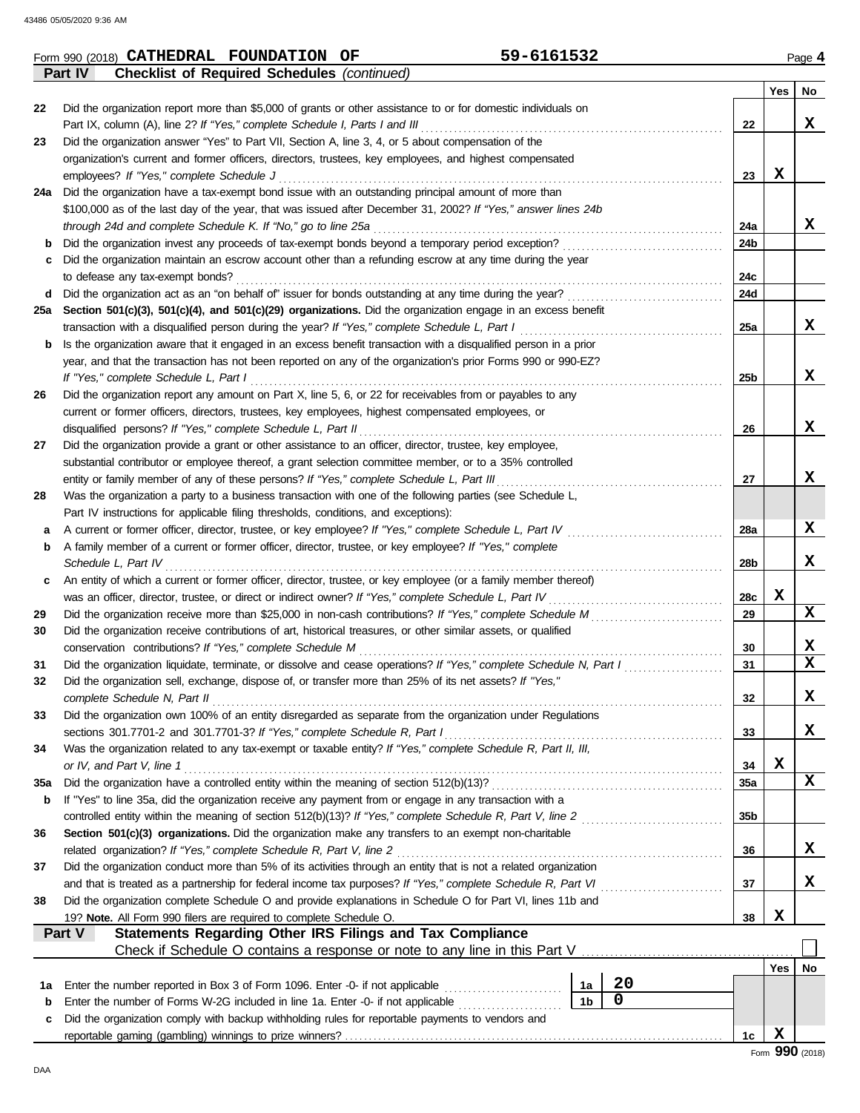**Part IV Checklist of Required Schedules** *(continued)*

|     |                                                                                                                                                                                  |                |    |                 | Yes | No              |
|-----|----------------------------------------------------------------------------------------------------------------------------------------------------------------------------------|----------------|----|-----------------|-----|-----------------|
| 22  | Did the organization report more than \$5,000 of grants or other assistance to or for domestic individuals on                                                                    |                |    |                 |     |                 |
|     |                                                                                                                                                                                  |                |    | 22              |     | X               |
| 23  | Did the organization answer "Yes" to Part VII, Section A, line 3, 4, or 5 about compensation of the                                                                              |                |    |                 |     |                 |
|     | organization's current and former officers, directors, trustees, key employees, and highest compensated                                                                          |                |    |                 |     |                 |
|     | employees? If "Yes," complete Schedule J                                                                                                                                         |                |    | 23              | x   |                 |
| 24a | Did the organization have a tax-exempt bond issue with an outstanding principal amount of more than                                                                              |                |    |                 |     |                 |
|     | \$100,000 as of the last day of the year, that was issued after December 31, 2002? If "Yes," answer lines 24b                                                                    |                |    |                 |     |                 |
|     | through 24d and complete Schedule K. If "No," go to line 25a                                                                                                                     |                |    | 24a             |     | X.              |
| b   | Did the organization invest any proceeds of tax-exempt bonds beyond a temporary period exception?                                                                                |                |    | 24 <sub>b</sub> |     |                 |
| c   | Did the organization maintain an escrow account other than a refunding escrow at any time during the year                                                                        |                |    |                 |     |                 |
|     | to defease any tax-exempt bonds?                                                                                                                                                 |                |    | 24c             |     |                 |
| d   |                                                                                                                                                                                  |                |    | 24d             |     |                 |
| 25a | Section 501(c)(3), 501(c)(4), and 501(c)(29) organizations. Did the organization engage in an excess benefit                                                                     |                |    |                 |     |                 |
|     | transaction with a disqualified person during the year? If "Yes," complete Schedule L, Part I                                                                                    |                |    | 25a             |     | X.              |
| b   | Is the organization aware that it engaged in an excess benefit transaction with a disqualified person in a prior                                                                 |                |    |                 |     |                 |
|     | year, and that the transaction has not been reported on any of the organization's prior Forms 990 or 990-EZ?                                                                     |                |    |                 |     | X.              |
|     | If "Yes," complete Schedule L, Part I<br>Did the organization report any amount on Part X, line 5, 6, or 22 for receivables from or payables to any                              |                |    | 25 <sub>b</sub> |     |                 |
| 26  | current or former officers, directors, trustees, key employees, highest compensated employees, or                                                                                |                |    |                 |     |                 |
|     | disqualified persons? If "Yes," complete Schedule L, Part II                                                                                                                     |                |    | 26              |     | X.              |
| 27  | Did the organization provide a grant or other assistance to an officer, director, trustee, key employee,                                                                         |                |    |                 |     |                 |
|     | substantial contributor or employee thereof, a grant selection committee member, or to a 35% controlled                                                                          |                |    |                 |     |                 |
|     | entity or family member of any of these persons? If "Yes," complete Schedule L, Part III                                                                                         |                |    | 27              |     | x               |
| 28  | Was the organization a party to a business transaction with one of the following parties (see Schedule L,                                                                        |                |    |                 |     |                 |
|     | Part IV instructions for applicable filing thresholds, conditions, and exceptions):                                                                                              |                |    |                 |     |                 |
| a   | A current or former officer, director, trustee, or key employee? If "Yes," complete Schedule L, Part IV                                                                          |                |    | 28a             |     | x               |
| b   | A family member of a current or former officer, director, trustee, or key employee? If "Yes," complete                                                                           |                |    |                 |     |                 |
|     | Schedule L, Part IV                                                                                                                                                              |                |    | 28b             |     | X               |
| c   | An entity of which a current or former officer, director, trustee, or key employee (or a family member thereof)                                                                  |                |    |                 |     |                 |
|     | was an officer, director, trustee, or direct or indirect owner? If "Yes," complete Schedule L, Part IV                                                                           |                |    | 28c             | x   |                 |
| 29  | Did the organization receive more than \$25,000 in non-cash contributions? If "Yes," complete Schedule M                                                                         |                |    | 29              |     | X               |
| 30  | Did the organization receive contributions of art, historical treasures, or other similar assets, or qualified                                                                   |                |    |                 |     |                 |
|     | conservation contributions? If "Yes," complete Schedule M                                                                                                                        |                |    | 30              |     | X               |
| 31  | Did the organization liquidate, terminate, or dissolve and cease operations? If "Yes," complete Schedule N, Part I                                                               |                |    | 31              |     | $\mathbf x$     |
| 32  | Did the organization sell, exchange, dispose of, or transfer more than 25% of its net assets? If "Yes,"                                                                          |                |    |                 |     |                 |
|     | complete Schedule N, Part II                                                                                                                                                     |                |    | 32              |     | x               |
| 33  | Did the organization own 100% of an entity disregarded as separate from the organization under Regulations                                                                       |                |    |                 |     |                 |
|     | sections 301.7701-2 and 301.7701-3? If "Yes," complete Schedule R, Part I                                                                                                        |                |    | 33              |     | X,              |
| 34  | Was the organization related to any tax-exempt or taxable entity? If "Yes," complete Schedule R, Part II, III,                                                                   |                |    |                 |     |                 |
|     | or IV, and Part V, line 1                                                                                                                                                        |                |    | 34              | x   |                 |
| 35a |                                                                                                                                                                                  |                |    | 35a             |     | X               |
| b   | If "Yes" to line 35a, did the organization receive any payment from or engage in any transaction with a                                                                          |                |    |                 |     |                 |
|     |                                                                                                                                                                                  |                |    | 35b             |     |                 |
| 36  | Section 501(c)(3) organizations. Did the organization make any transfers to an exempt non-charitable                                                                             |                |    |                 |     |                 |
|     | related organization? If "Yes," complete Schedule R, Part V, line 2                                                                                                              |                |    | 36              |     | X.              |
| 37  | Did the organization conduct more than 5% of its activities through an entity that is not a related organization                                                                 |                |    |                 |     |                 |
|     |                                                                                                                                                                                  |                |    | 37              |     | X.              |
| 38  | Did the organization complete Schedule O and provide explanations in Schedule O for Part VI, lines 11b and<br>19? Note. All Form 990 filers are required to complete Schedule O. |                |    | 38              | x   |                 |
|     | Statements Regarding Other IRS Filings and Tax Compliance<br>Part V                                                                                                              |                |    |                 |     |                 |
|     |                                                                                                                                                                                  |                |    |                 |     |                 |
|     |                                                                                                                                                                                  |                |    |                 | Yes | No.             |
| 1a  | Enter the number reported in Box 3 of Form 1096. Enter -0- if not applicable                                                                                                     | 1a             | 20 |                 |     |                 |
| b   | Enter the number of Forms W-2G included in line 1a. Enter -0- if not applicable                                                                                                  | 1 <sub>b</sub> | 0  |                 |     |                 |
| c   | Did the organization comply with backup withholding rules for reportable payments to vendors and                                                                                 |                |    |                 |     |                 |
|     |                                                                                                                                                                                  |                |    | 1c              | X   |                 |
|     |                                                                                                                                                                                  |                |    |                 |     | Form 990 (2018) |
| DAA |                                                                                                                                                                                  |                |    |                 |     |                 |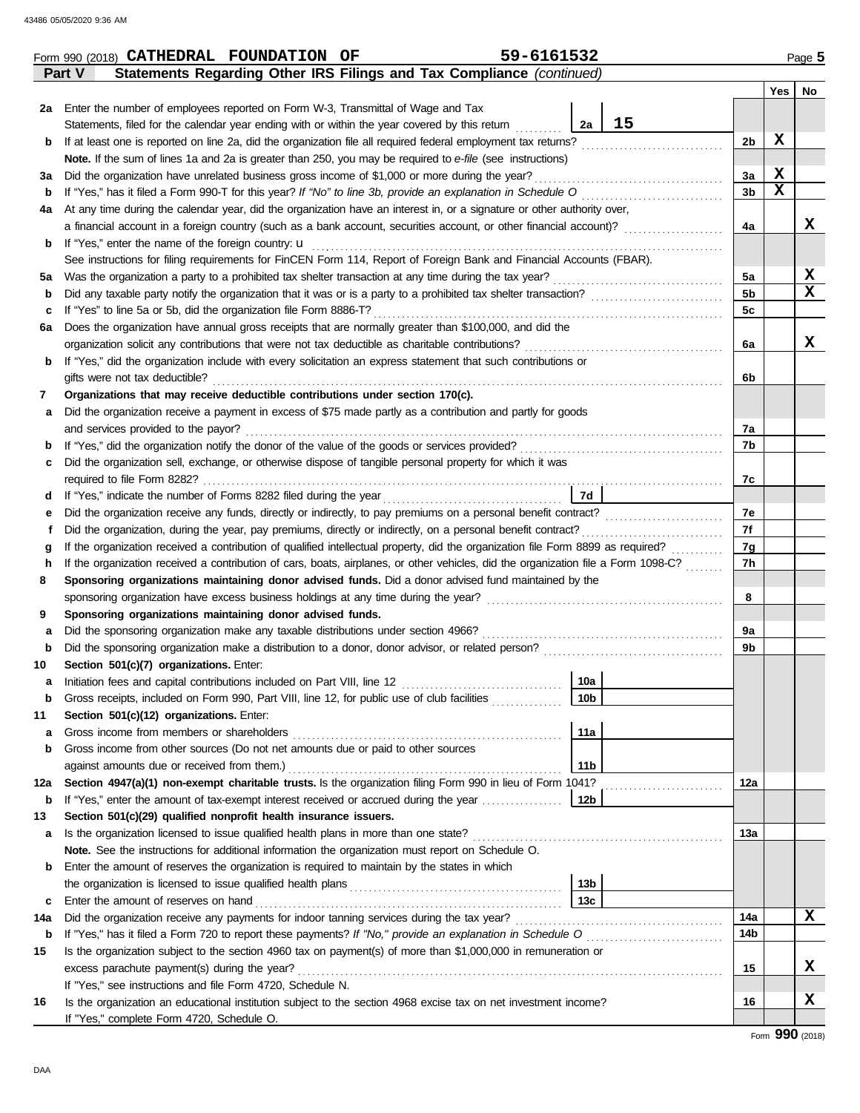|                                                                                                                                               | Statements Regarding Other IRS Filings and Tax Compliance (continued)<br>Part V                                                                                  |                                  |             |             |  |  |  |  |  |
|-----------------------------------------------------------------------------------------------------------------------------------------------|------------------------------------------------------------------------------------------------------------------------------------------------------------------|----------------------------------|-------------|-------------|--|--|--|--|--|
|                                                                                                                                               |                                                                                                                                                                  |                                  | Yes         | No          |  |  |  |  |  |
| 2a                                                                                                                                            | Enter the number of employees reported on Form W-3, Transmittal of Wage and Tax                                                                                  |                                  |             |             |  |  |  |  |  |
|                                                                                                                                               | 15<br>2a<br>Statements, filed for the calendar year ending with or within the year covered by this return [                                                      |                                  |             |             |  |  |  |  |  |
| b                                                                                                                                             | If at least one is reported on line 2a, did the organization file all required federal employment tax returns?                                                   | 2 <sub>b</sub>                   | $\mathbf x$ |             |  |  |  |  |  |
|                                                                                                                                               | Note. If the sum of lines 1a and 2a is greater than 250, you may be required to e-file (see instructions)                                                        |                                  |             |             |  |  |  |  |  |
| За                                                                                                                                            |                                                                                                                                                                  | 3a                               | X           |             |  |  |  |  |  |
| b                                                                                                                                             | If "Yes," has it filed a Form 990-T for this year? If "No" to line 3b, provide an explanation in Schedule O consumed to the subsection                           | 3 <sub>b</sub>                   | $\mathbf x$ |             |  |  |  |  |  |
| 4a                                                                                                                                            | At any time during the calendar year, did the organization have an interest in, or a signature or other authority over,                                          |                                  |             |             |  |  |  |  |  |
|                                                                                                                                               | a financial account in a foreign country (such as a bank account, securities account, or other financial account)?                                               | 4a                               |             | x           |  |  |  |  |  |
| b                                                                                                                                             |                                                                                                                                                                  |                                  |             |             |  |  |  |  |  |
|                                                                                                                                               | See instructions for filing requirements for FinCEN Form 114, Report of Foreign Bank and Financial Accounts (FBAR).                                              |                                  |             |             |  |  |  |  |  |
| 5a                                                                                                                                            |                                                                                                                                                                  | 5a                               |             | X           |  |  |  |  |  |
| b                                                                                                                                             |                                                                                                                                                                  | 5 <sub>b</sub><br>5 <sub>c</sub> |             | $\mathbf x$ |  |  |  |  |  |
| c                                                                                                                                             | If "Yes" to line 5a or 5b, did the organization file Form 8886-T?                                                                                                |                                  |             |             |  |  |  |  |  |
| Does the organization have annual gross receipts that are normally greater than \$100,000, and did the<br>6a                                  |                                                                                                                                                                  |                                  |             |             |  |  |  |  |  |
|                                                                                                                                               |                                                                                                                                                                  |                                  |             |             |  |  |  |  |  |
| b                                                                                                                                             | If "Yes," did the organization include with every solicitation an express statement that such contributions or                                                   |                                  |             |             |  |  |  |  |  |
|                                                                                                                                               | gifts were not tax deductible?                                                                                                                                   | 6b                               |             |             |  |  |  |  |  |
| Organizations that may receive deductible contributions under section 170(c).<br>7                                                            |                                                                                                                                                                  |                                  |             |             |  |  |  |  |  |
| а                                                                                                                                             | Did the organization receive a payment in excess of \$75 made partly as a contribution and partly for goods                                                      |                                  |             |             |  |  |  |  |  |
|                                                                                                                                               | and services provided to the payor?                                                                                                                              |                                  |             |             |  |  |  |  |  |
| b                                                                                                                                             |                                                                                                                                                                  |                                  |             |             |  |  |  |  |  |
| Did the organization sell, exchange, or otherwise dispose of tangible personal property for which it was<br>c                                 |                                                                                                                                                                  |                                  |             |             |  |  |  |  |  |
|                                                                                                                                               |                                                                                                                                                                  |                                  |             |             |  |  |  |  |  |
| d                                                                                                                                             | 7d                                                                                                                                                               |                                  |             |             |  |  |  |  |  |
| е                                                                                                                                             |                                                                                                                                                                  |                                  |             |             |  |  |  |  |  |
| t                                                                                                                                             |                                                                                                                                                                  |                                  |             |             |  |  |  |  |  |
| g                                                                                                                                             | If the organization received a contribution of qualified intellectual property, did the organization file Form 8899 as required?                                 |                                  |             |             |  |  |  |  |  |
| 7h<br>If the organization received a contribution of cars, boats, airplanes, or other vehicles, did the organization file a Form 1098-C?<br>h |                                                                                                                                                                  |                                  |             |             |  |  |  |  |  |
| 8                                                                                                                                             | Sponsoring organizations maintaining donor advised funds. Did a donor advised fund maintained by the                                                             |                                  |             |             |  |  |  |  |  |
|                                                                                                                                               |                                                                                                                                                                  | 8                                |             |             |  |  |  |  |  |
| 9                                                                                                                                             | Sponsoring organizations maintaining donor advised funds.                                                                                                        |                                  |             |             |  |  |  |  |  |
| a                                                                                                                                             |                                                                                                                                                                  | 9а                               |             |             |  |  |  |  |  |
| $\mathbf b$                                                                                                                                   |                                                                                                                                                                  | 9b                               |             |             |  |  |  |  |  |
| 10                                                                                                                                            | Section 501(c)(7) organizations. Enter:                                                                                                                          |                                  |             |             |  |  |  |  |  |
| а                                                                                                                                             | 10a<br>10 <sub>b</sub>                                                                                                                                           |                                  |             |             |  |  |  |  |  |
| b                                                                                                                                             | Gross receipts, included on Form 990, Part VIII, line 12, for public use of club facilities                                                                      |                                  |             |             |  |  |  |  |  |
| 11                                                                                                                                            | Section 501(c)(12) organizations. Enter:                                                                                                                         |                                  |             |             |  |  |  |  |  |
| а                                                                                                                                             | 11a<br>Gross income from members or shareholders                                                                                                                 |                                  |             |             |  |  |  |  |  |
| b                                                                                                                                             | Gross income from other sources (Do not net amounts due or paid to other sources                                                                                 |                                  |             |             |  |  |  |  |  |
|                                                                                                                                               | against amounts due or received from them.)<br>11b<br>Section 4947(a)(1) non-exempt charitable trusts. Is the organization filing Form 990 in lieu of Form 1041? |                                  |             |             |  |  |  |  |  |
| 12a<br>b                                                                                                                                      | If "Yes," enter the amount of tax-exempt interest received or accrued during the year<br>12b                                                                     | 12a                              |             |             |  |  |  |  |  |
|                                                                                                                                               |                                                                                                                                                                  |                                  |             |             |  |  |  |  |  |
| 13                                                                                                                                            | Section 501(c)(29) qualified nonprofit health insurance issuers.<br>Is the organization licensed to issue qualified health plans in more than one state?         | 13а                              |             |             |  |  |  |  |  |
| a                                                                                                                                             | Note. See the instructions for additional information the organization must report on Schedule O.                                                                |                                  |             |             |  |  |  |  |  |
| b                                                                                                                                             | Enter the amount of reserves the organization is required to maintain by the states in which                                                                     |                                  |             |             |  |  |  |  |  |
|                                                                                                                                               | 13 <sub>b</sub>                                                                                                                                                  |                                  |             |             |  |  |  |  |  |
| c                                                                                                                                             | 13 <sub>c</sub><br>Enter the amount of reserves on hand                                                                                                          |                                  |             |             |  |  |  |  |  |
| 14a                                                                                                                                           |                                                                                                                                                                  | 14a                              |             | X           |  |  |  |  |  |
| b                                                                                                                                             |                                                                                                                                                                  | 14b                              |             |             |  |  |  |  |  |
| 15                                                                                                                                            | Is the organization subject to the section 4960 tax on payment(s) of more than \$1,000,000 in remuneration or                                                    |                                  |             |             |  |  |  |  |  |
|                                                                                                                                               | excess parachute payment(s) during the year?                                                                                                                     | 15                               |             | X           |  |  |  |  |  |
|                                                                                                                                               | If "Yes," see instructions and file Form 4720, Schedule N.                                                                                                       |                                  |             |             |  |  |  |  |  |
| 16                                                                                                                                            | Is the organization an educational institution subject to the section 4968 excise tax on net investment income?                                                  | 16                               |             | X           |  |  |  |  |  |
|                                                                                                                                               | If "Yes," complete Form 4720, Schedule O.                                                                                                                        |                                  |             |             |  |  |  |  |  |
|                                                                                                                                               |                                                                                                                                                                  |                                  |             |             |  |  |  |  |  |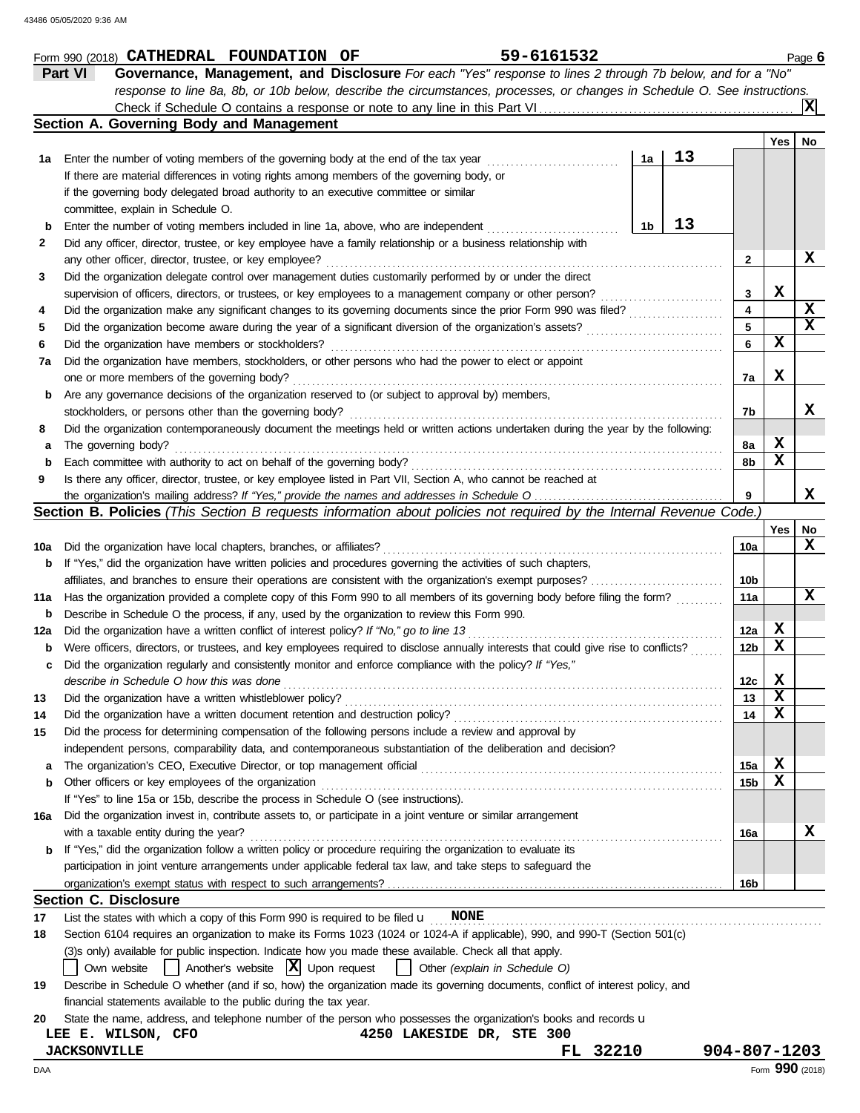|     | 59-6161532<br>Form 990 (2018) CATHEDRAL FOUNDATION OF                                                                               |                 |     | Page 6          |
|-----|-------------------------------------------------------------------------------------------------------------------------------------|-----------------|-----|-----------------|
|     | Governance, Management, and Disclosure For each "Yes" response to lines 2 through 7b below, and for a "No"<br>Part VI               |                 |     |                 |
|     | response to line 8a, 8b, or 10b below, describe the circumstances, processes, or changes in Schedule O. See instructions.           |                 |     |                 |
|     |                                                                                                                                     |                 |     | ΧI              |
|     | Section A. Governing Body and Management                                                                                            |                 |     |                 |
|     |                                                                                                                                     |                 | Yes | No              |
| 1а  | 13<br>Enter the number of voting members of the governing body at the end of the tax year<br>1a                                     |                 |     |                 |
|     | If there are material differences in voting rights among members of the governing body, or                                          |                 |     |                 |
|     | if the governing body delegated broad authority to an executive committee or similar                                                |                 |     |                 |
|     | committee, explain in Schedule O.                                                                                                   |                 |     |                 |
| b   | 13<br>1b<br>Enter the number of voting members included in line 1a, above, who are independent                                      |                 |     |                 |
| 2   | Did any officer, director, trustee, or key employee have a family relationship or a business relationship with                      |                 |     |                 |
|     | any other officer, director, trustee, or key employee?                                                                              | $\mathbf{2}$    |     | x               |
| 3   | Did the organization delegate control over management duties customarily performed by or under the direct                           |                 |     |                 |
|     | supervision of officers, directors, or trustees, or key employees to a management company or other person?                          | 3               | х   |                 |
| 4   | Did the organization make any significant changes to its governing documents since the prior Form 990 was filed?                    | 4               |     | X               |
| 5   | Did the organization become aware during the year of a significant diversion of the organization's assets?                          | 5               |     | $\mathbf x$     |
| 6   | Did the organization have members or stockholders?                                                                                  | 6               | х   |                 |
| 7a  | Did the organization have members, stockholders, or other persons who had the power to elect or appoint                             |                 |     |                 |
|     | one or more members of the governing body?                                                                                          | 7a              | X   |                 |
| b   | Are any governance decisions of the organization reserved to (or subject to approval by) members,                                   |                 |     |                 |
|     | stockholders, or persons other than the governing body?                                                                             | 7b              |     | x               |
| 8   | Did the organization contemporaneously document the meetings held or written actions undertaken during the year by the following:   |                 |     |                 |
| а   | The governing body?                                                                                                                 | 8а              | X   |                 |
| b   | Each committee with authority to act on behalf of the governing body?                                                               | 8b              | x   |                 |
| 9   | Is there any officer, director, trustee, or key employee listed in Part VII, Section A, who cannot be reached at                    |                 |     |                 |
|     |                                                                                                                                     | 9               |     | x               |
|     | <b>Section B. Policies</b> (This Section B requests information about policies not required by the Internal Revenue Code.)          |                 |     |                 |
|     |                                                                                                                                     |                 | Yes | No              |
| 10a | Did the organization have local chapters, branches, or affiliates?                                                                  | 10a             |     | x               |
| b   | If "Yes," did the organization have written policies and procedures governing the activities of such chapters,                      |                 |     |                 |
|     | affiliates, and branches to ensure their operations are consistent with the organization's exempt purposes?                         | 10b             |     |                 |
| 11a | Has the organization provided a complete copy of this Form 990 to all members of its governing body before filing the form?         | 11a             |     | X               |
| b   | Describe in Schedule O the process, if any, used by the organization to review this Form 990.                                       |                 |     |                 |
| 12a | Did the organization have a written conflict of interest policy? If "No," go to line 13                                             | 12a             | X   |                 |
| b   | Were officers, directors, or trustees, and key employees required to disclose annually interests that could give rise to conflicts? | 12 <sub>b</sub> | x   |                 |
|     | Did the organization regularly and consistently monitor and enforce compliance with the policy? If "Yes,"                           |                 |     |                 |
|     | describe in Schedule O how this was done                                                                                            | 12 <sub>c</sub> | X   |                 |
| 13  | Did the organization have a written whistleblower policy?                                                                           | 13              | X   |                 |
| 14  | Did the organization have a written document retention and destruction policy?                                                      | 14              | x   |                 |
| 15  | Did the process for determining compensation of the following persons include a review and approval by                              |                 |     |                 |
|     | independent persons, comparability data, and contemporaneous substantiation of the deliberation and decision?                       |                 |     |                 |
| a   | The organization's CEO, Executive Director, or top management official                                                              | 15a             | X   |                 |
| b   | Other officers or key employees of the organization                                                                                 | 15b             | x   |                 |
|     | If "Yes" to line 15a or 15b, describe the process in Schedule O (see instructions).                                                 |                 |     |                 |
| 16a | Did the organization invest in, contribute assets to, or participate in a joint venture or similar arrangement                      |                 |     |                 |
|     | with a taxable entity during the year?                                                                                              | 16a             |     | x               |
|     | <b>b</b> If "Yes," did the organization follow a written policy or procedure requiring the organization to evaluate its             |                 |     |                 |
|     | participation in joint venture arrangements under applicable federal tax law, and take steps to safeguard the                       |                 |     |                 |
|     |                                                                                                                                     | 16 <sub>b</sub> |     |                 |
|     | <b>Section C. Disclosure</b>                                                                                                        |                 |     |                 |
| 17  | List the states with which a copy of this Form 990 is required to be filed $\mathbf{u}$ MONE                                        |                 |     |                 |
| 18  | Section 6104 requires an organization to make its Forms 1023 (1024 or 1024-A if applicable), 990, and 990-T (Section 501(c)         |                 |     |                 |
|     | (3)s only) available for public inspection. Indicate how you made these available. Check all that apply.                            |                 |     |                 |
|     | Another's website $ \mathbf{X} $ Upon request<br>Own website<br>Other (explain in Schedule O)                                       |                 |     |                 |
| 19  | Describe in Schedule O whether (and if so, how) the organization made its governing documents, conflict of interest policy, and     |                 |     |                 |
|     | financial statements available to the public during the tax year.                                                                   |                 |     |                 |
| 20  | State the name, address, and telephone number of the person who possesses the organization's books and records u                    |                 |     |                 |
|     | 4250 LAKESIDE DR, STE 300<br>LEE E. WILSON, CFO                                                                                     |                 |     |                 |
|     | FL 32210<br><b>JACKSONVILLE</b>                                                                                                     | 904-807-1203    |     |                 |
| DAA |                                                                                                                                     |                 |     | Form 990 (2018) |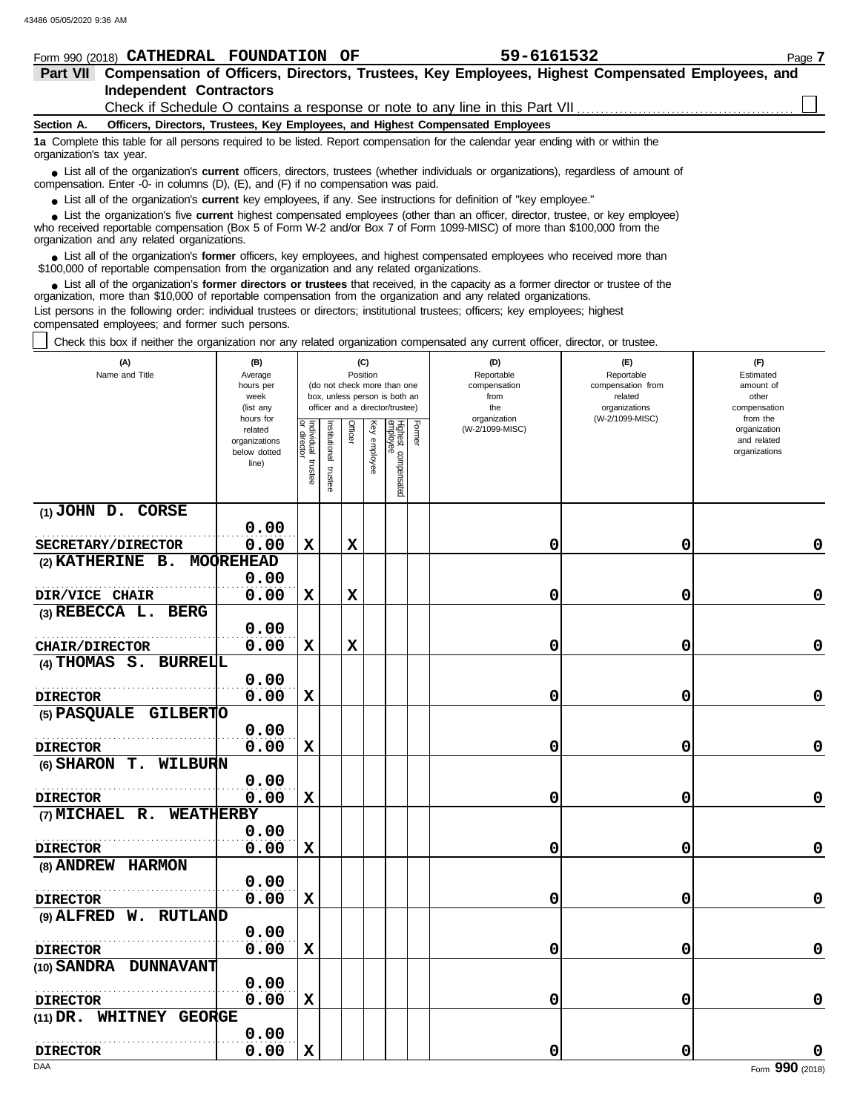|                                                                                                                     | Form 990 (2018) CATHEDRAL FOUNDATION OF                                                                                                                                                                                                                     | 59-6161532 | Page 7 |  |  |  |  |  |
|---------------------------------------------------------------------------------------------------------------------|-------------------------------------------------------------------------------------------------------------------------------------------------------------------------------------------------------------------------------------------------------------|------------|--------|--|--|--|--|--|
| Compensation of Officers, Directors, Trustees, Key Employees, Highest Compensated Employees, and<br><b>Part VII</b> |                                                                                                                                                                                                                                                             |            |        |  |  |  |  |  |
|                                                                                                                     | Independent Contractors                                                                                                                                                                                                                                     |            |        |  |  |  |  |  |
|                                                                                                                     |                                                                                                                                                                                                                                                             |            |        |  |  |  |  |  |
| Section A.                                                                                                          | Officers, Directors, Trustees, Key Employees, and Highest Compensated Employees                                                                                                                                                                             |            |        |  |  |  |  |  |
|                                                                                                                     | 1a Complete this table for all persons required to be listed. Report compensation for the calendar year ending with or within the<br>organization's tax year.                                                                                               |            |        |  |  |  |  |  |
|                                                                                                                     | • List all of the organization's current officers, directors, trustees (whether individuals or organizations), regardless of amount of<br>compensation. Enter -0- in columns (D), $(E)$ , and $(F)$ if no compensation was paid.                            |            |        |  |  |  |  |  |
|                                                                                                                     | • List all of the organization's current key employees, if any. See instructions for definition of "key employee."                                                                                                                                          |            |        |  |  |  |  |  |
|                                                                                                                     | • List the organization's five current highest compensated employees (other than an officer, director, trustee, or key employee)<br>who received reportable compensation (Box 5 of Form W-2 and/or Box 7 of Form 1099-MISC) of more than \$100,000 from the |            |        |  |  |  |  |  |

organization and any related organizations.

List all of the organization's **former** officers, key employees, and highest compensated employees who received more than • List all of the organization's former officers, key employees, and highest compensate \$100,000 of reportable compensation from the organization and any related organizations.

List all of the organization's **former directors or trustees** that received, in the capacity as a former director or trustee of the **•** organization, more than \$10,000 of reportable compensation from the organization and any related organizations. List persons in the following order: individual trustees or directors; institutional trustees; officers; key employees; highest

compensated employees; and former such persons.

Check this box if neither the organization nor any related organization compensated any current officer, director, or trustee.

| (A)<br>Name and Title                       | (B)<br>Average<br>hours per<br>week<br>(list any<br>hours for |                                   |                         | (C)<br>Position |              | (do not check more than one<br>box, unless person is both an<br>officer and a director/trustee) |        | (D)<br>Reportable<br>compensation<br>from<br>the<br>organization | (E)<br>Reportable<br>compensation from<br>related<br>organizations<br>(W-2/1099-MISC) | (F)<br>Estimated<br>amount of<br>other<br>compensation<br>from the |
|---------------------------------------------|---------------------------------------------------------------|-----------------------------------|-------------------------|-----------------|--------------|-------------------------------------------------------------------------------------------------|--------|------------------------------------------------------------------|---------------------------------------------------------------------------------------|--------------------------------------------------------------------|
|                                             | related<br>organizations<br>below dotted<br>line)             | Individual trustee<br>or director | nstitutional<br>trustee | Officer         | Key employee | Highest compensated<br>amployee                                                                 | Former | (W-2/1099-MISC)                                                  |                                                                                       | organization<br>and related<br>organizations                       |
| $(1)$ JOHN D. CORSE                         |                                                               |                                   |                         |                 |              |                                                                                                 |        |                                                                  |                                                                                       |                                                                    |
| SECRETARY/DIRECTOR                          | 0.00<br>0.00                                                  | х                                 |                         | х               |              |                                                                                                 |        | 0                                                                | 0                                                                                     | 0                                                                  |
| (2) KATHERINE B. MOOREHEAD                  |                                                               |                                   |                         |                 |              |                                                                                                 |        |                                                                  |                                                                                       |                                                                    |
|                                             | 0.00                                                          |                                   |                         |                 |              |                                                                                                 |        |                                                                  |                                                                                       |                                                                    |
| DIR/VICE CHAIR                              | 0.00                                                          | x                                 |                         | $\mathbf x$     |              |                                                                                                 |        | 0                                                                | 0                                                                                     | 0                                                                  |
| $(3)$ REBECCA L.<br><b>BERG</b>             |                                                               |                                   |                         |                 |              |                                                                                                 |        |                                                                  |                                                                                       |                                                                    |
|                                             | 0.00                                                          |                                   |                         |                 |              |                                                                                                 |        |                                                                  |                                                                                       |                                                                    |
| <b>CHAIR/DIRECTOR</b>                       | 0.00                                                          | X                                 |                         | $\mathbf x$     |              |                                                                                                 |        | 0                                                                | 0                                                                                     | 0                                                                  |
| $(4)$ THOMAS S. BURRELL                     | 0.00                                                          |                                   |                         |                 |              |                                                                                                 |        |                                                                  |                                                                                       |                                                                    |
| <b>DIRECTOR</b>                             | 0.00                                                          | $\mathbf x$                       |                         |                 |              |                                                                                                 |        | 0                                                                | 0                                                                                     | 0                                                                  |
| (5) PASQUALE GILBERTO                       |                                                               |                                   |                         |                 |              |                                                                                                 |        |                                                                  |                                                                                       |                                                                    |
|                                             | 0.00                                                          |                                   |                         |                 |              |                                                                                                 |        |                                                                  |                                                                                       |                                                                    |
| <b>DIRECTOR</b>                             | 0.00                                                          | X                                 |                         |                 |              |                                                                                                 |        | 0                                                                | 0                                                                                     | 0                                                                  |
| (6) SHARON T. WILBURN                       |                                                               |                                   |                         |                 |              |                                                                                                 |        |                                                                  |                                                                                       |                                                                    |
|                                             | 0.00                                                          |                                   |                         |                 |              |                                                                                                 |        |                                                                  |                                                                                       |                                                                    |
| <b>DIRECTOR</b><br>(7) MICHAEL R. WEATHERBY | 0.00                                                          | $\mathbf x$                       |                         |                 |              |                                                                                                 |        | 0                                                                | 0                                                                                     | 0                                                                  |
|                                             | 0.00                                                          |                                   |                         |                 |              |                                                                                                 |        |                                                                  |                                                                                       |                                                                    |
| <b>DIRECTOR</b>                             | 0.00                                                          | X                                 |                         |                 |              |                                                                                                 |        | 0                                                                | 0                                                                                     | $\mathbf 0$                                                        |
| (8) ANDREW HARMON                           |                                                               |                                   |                         |                 |              |                                                                                                 |        |                                                                  |                                                                                       |                                                                    |
|                                             | 0.00                                                          |                                   |                         |                 |              |                                                                                                 |        |                                                                  |                                                                                       |                                                                    |
| <b>DIRECTOR</b>                             | 0.00                                                          | $\mathbf x$                       |                         |                 |              |                                                                                                 |        | 0                                                                | 0                                                                                     | 0                                                                  |
| (9) ALFRED W. RUTLAND                       |                                                               |                                   |                         |                 |              |                                                                                                 |        |                                                                  |                                                                                       |                                                                    |
|                                             | 0.00                                                          |                                   |                         |                 |              |                                                                                                 |        |                                                                  |                                                                                       |                                                                    |
| <b>DIRECTOR</b>                             | 0.00                                                          | $\mathbf x$                       |                         |                 |              |                                                                                                 |        | 0                                                                | 0                                                                                     | 0                                                                  |
| (10) SANDRA DUNNAVANT                       | 0.00                                                          |                                   |                         |                 |              |                                                                                                 |        |                                                                  |                                                                                       |                                                                    |
| <b>DIRECTOR</b>                             | 0.00                                                          | X                                 |                         |                 |              |                                                                                                 |        | 0                                                                | 0                                                                                     | 0                                                                  |
| (11) DR. WHITNEY GEORGE                     |                                                               |                                   |                         |                 |              |                                                                                                 |        |                                                                  |                                                                                       |                                                                    |
|                                             | 0.00                                                          |                                   |                         |                 |              |                                                                                                 |        |                                                                  |                                                                                       |                                                                    |
| <b>DIRECTOR</b>                             | 0.00                                                          | X                                 |                         |                 |              |                                                                                                 |        | 0                                                                | 0                                                                                     |                                                                    |
| DAA                                         |                                                               |                                   |                         |                 |              |                                                                                                 |        |                                                                  |                                                                                       | Form 990 (2018)                                                    |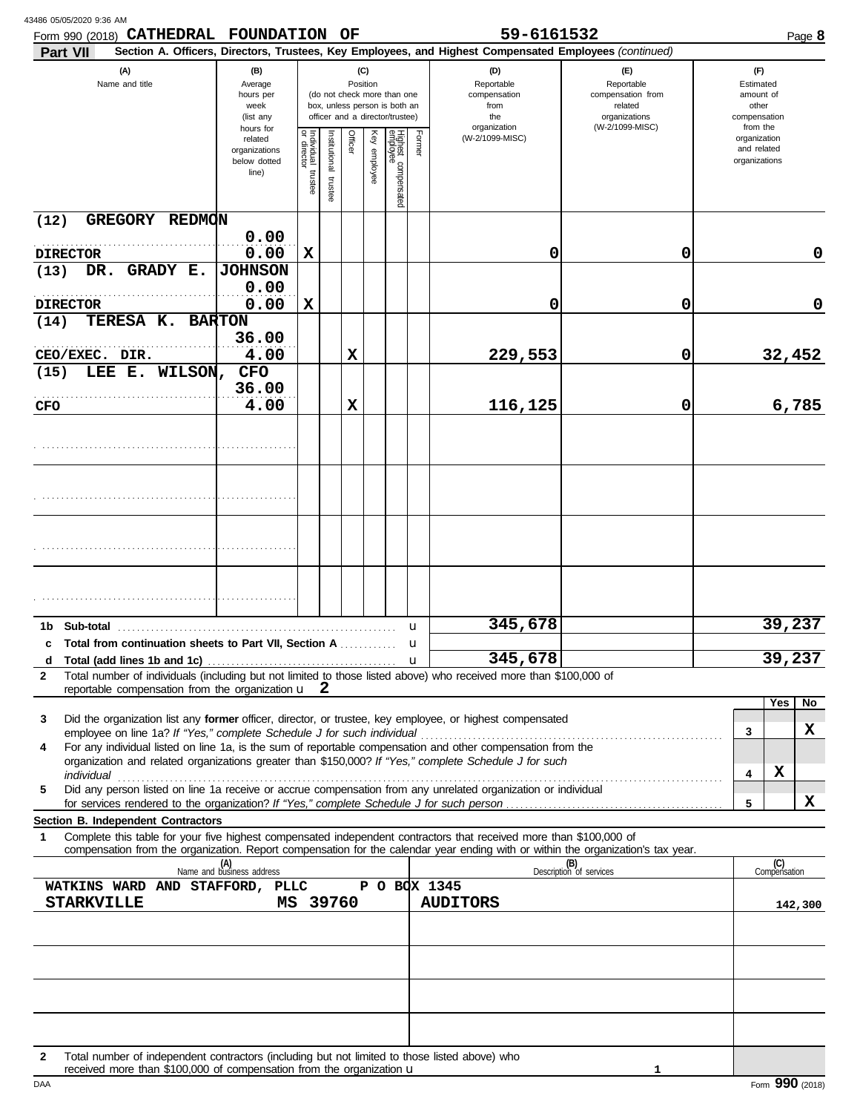| Part VII                | Form 990 (2018) CATHEDRAL FOUNDATION OF                      |                                                                  |                                        |                         |         |              |                                                                                                 |        | 59-6161532<br>Section A. Officers, Directors, Trustees, Key Employees, and Highest Compensated Employees (continued)                                                                                                    |                                                                                       |                                                                    |                     | Page 8  |
|-------------------------|--------------------------------------------------------------|------------------------------------------------------------------|----------------------------------------|-------------------------|---------|--------------|-------------------------------------------------------------------------------------------------|--------|-------------------------------------------------------------------------------------------------------------------------------------------------------------------------------------------------------------------------|---------------------------------------------------------------------------------------|--------------------------------------------------------------------|---------------------|---------|
|                         | (A)<br>Name and title                                        | (B)<br>Average<br>hours per<br>week<br>(list any<br>hours for    |                                        |                         | (C)     | Position     | (do not check more than one<br>box, unless person is both an<br>officer and a director/trustee) |        | (D)<br>Reportable<br>compensation<br>from<br>the<br>organization                                                                                                                                                        | (E)<br>Reportable<br>compensation from<br>related<br>organizations<br>(W-2/1099-MISC) | (F)<br>Estimated<br>amount of<br>other<br>compensation<br>from the |                     |         |
|                         |                                                              | related<br>organizations<br>below dotted<br>line)                | Individual 1<br>or director<br>trustee | nstitutional<br>trustee | Officer | Key employee | Highest compensated<br>employee                                                                 | Former | (W-2/1099-MISC)                                                                                                                                                                                                         |                                                                                       | organization<br>and related<br>organizations                       |                     |         |
| (12)                    | GREGORY REDMON                                               |                                                                  |                                        |                         |         |              |                                                                                                 |        |                                                                                                                                                                                                                         |                                                                                       |                                                                    |                     |         |
| <b>DIRECTOR</b><br>(13) | DR. GRADY E.                                                 | 0.00<br>0.00<br><b>JOHNSON</b>                                   | X                                      |                         |         |              |                                                                                                 |        | 0                                                                                                                                                                                                                       | 0                                                                                     |                                                                    |                     | 0       |
| <b>DIRECTOR</b>         |                                                              | 0.00<br>0.00                                                     | X                                      |                         |         |              |                                                                                                 |        | 0                                                                                                                                                                                                                       | 0                                                                                     |                                                                    |                     | 0       |
| (14)                    | TERESA K. BARTON                                             | 36.00                                                            |                                        |                         |         |              |                                                                                                 |        |                                                                                                                                                                                                                         |                                                                                       |                                                                    |                     |         |
| CEO/EXEC. DIR.<br>(15)  | LEE E. WILSON,                                               | 4.00<br><b>CFO</b>                                               |                                        |                         | X       |              |                                                                                                 |        | 229,553                                                                                                                                                                                                                 | 0                                                                                     |                                                                    | 32,452              |         |
| CFO                     |                                                              | 36.00<br>4.00                                                    |                                        |                         | X       |              |                                                                                                 |        | 116,125                                                                                                                                                                                                                 | 0                                                                                     |                                                                    |                     | 6,785   |
|                         |                                                              |                                                                  |                                        |                         |         |              |                                                                                                 |        |                                                                                                                                                                                                                         |                                                                                       |                                                                    |                     |         |
|                         |                                                              |                                                                  |                                        |                         |         |              |                                                                                                 |        |                                                                                                                                                                                                                         |                                                                                       |                                                                    |                     |         |
|                         |                                                              |                                                                  |                                        |                         |         |              |                                                                                                 |        |                                                                                                                                                                                                                         |                                                                                       |                                                                    |                     |         |
|                         |                                                              |                                                                  |                                        |                         |         |              |                                                                                                 |        |                                                                                                                                                                                                                         |                                                                                       |                                                                    |                     |         |
| C                       | Total from continuation sheets to Part VII, Section A        |                                                                  |                                        |                         |         |              |                                                                                                 | u      | 345,678                                                                                                                                                                                                                 |                                                                                       |                                                                    | 39,237              |         |
| d<br>2                  |                                                              |                                                                  |                                        |                         |         |              |                                                                                                 | u      | 345,678<br>Total number of individuals (including but not limited to those listed above) who received more than \$100,000 of                                                                                            |                                                                                       |                                                                    | 39,237              |         |
|                         | reportable compensation from the organization $\mathbf{u}$ 2 |                                                                  |                                        |                         |         |              |                                                                                                 |        |                                                                                                                                                                                                                         |                                                                                       |                                                                    | Yes                 | No      |
| 3<br>4                  |                                                              |                                                                  |                                        |                         |         |              |                                                                                                 |        | Did the organization list any former officer, director, or trustee, key employee, or highest compensated<br>For any individual listed on line 1a, is the sum of reportable compensation and other compensation from the |                                                                                       | 3                                                                  |                     | x       |
| individual              |                                                              |                                                                  |                                        |                         |         |              |                                                                                                 |        | organization and related organizations greater than \$150,000? If "Yes," complete Schedule J for such                                                                                                                   |                                                                                       | 4                                                                  | x                   |         |
| 5                       |                                                              |                                                                  |                                        |                         |         |              |                                                                                                 |        | Did any person listed on line 1a receive or accrue compensation from any unrelated organization or individual                                                                                                           |                                                                                       | 5                                                                  |                     | x       |
| 1                       | Section B. Independent Contractors                           |                                                                  |                                        |                         |         |              |                                                                                                 |        | Complete this table for your five highest compensated independent contractors that received more than \$100,000 of                                                                                                      |                                                                                       |                                                                    |                     |         |
|                         |                                                              | (A)<br>Name and business address                                 |                                        |                         |         |              |                                                                                                 |        | compensation from the organization. Report compensation for the calendar year ending with or within the organization's tax year.                                                                                        | (B)<br>Description of services                                                        |                                                                    | (C)<br>Compensation |         |
| <b>STARKVILLE</b>       | WATKINS WARD AND STAFFORD, PLLC                              |                                                                  |                                        | MS 39760                |         |              |                                                                                                 |        | P O BOX 1345<br><b>AUDITORS</b>                                                                                                                                                                                         |                                                                                       |                                                                    |                     | 142,300 |
|                         |                                                              |                                                                  |                                        |                         |         |              |                                                                                                 |        |                                                                                                                                                                                                                         |                                                                                       |                                                                    |                     |         |
|                         |                                                              |                                                                  |                                        |                         |         |              |                                                                                                 |        |                                                                                                                                                                                                                         |                                                                                       |                                                                    |                     |         |
|                         |                                                              |                                                                  |                                        |                         |         |              |                                                                                                 |        |                                                                                                                                                                                                                         |                                                                                       |                                                                    |                     |         |
|                         |                                                              | contractors (including but not limited to those listed about) up |                                        |                         |         |              |                                                                                                 |        |                                                                                                                                                                                                                         |                                                                                       |                                                                    |                     |         |

**1**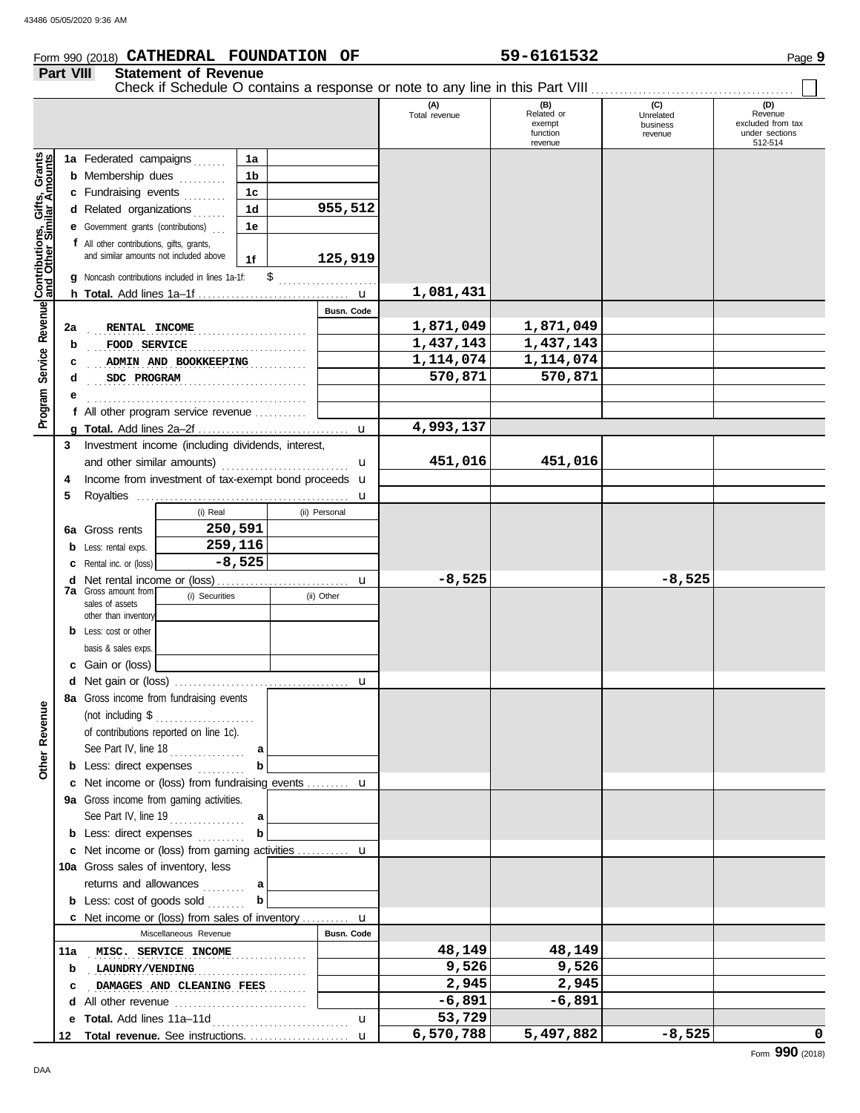### Form 990 (2018) Page **9 CATHEDRAL FOUNDATION OF 59-6161532**

### **Part VIII Statement of Revenue**

|  | 9-6161532 |  |
|--|-----------|--|
|--|-----------|--|

 $\blacksquare$ 

|                                              |    |                                           |                                                                                                                                                                                                                                      |                |                |               | (A)<br>Total revenue | (B)<br>Related or<br>exempt<br>function | (C)<br>Unrelated<br>business<br>revenue | (D)<br>Revenue<br>excluded from tax<br>under sections |
|----------------------------------------------|----|-------------------------------------------|--------------------------------------------------------------------------------------------------------------------------------------------------------------------------------------------------------------------------------------|----------------|----------------|---------------|----------------------|-----------------------------------------|-----------------------------------------|-------------------------------------------------------|
|                                              |    |                                           |                                                                                                                                                                                                                                      |                |                |               |                      | revenue                                 |                                         | 512-514                                               |
|                                              |    | 1a Federated campaigns                    |                                                                                                                                                                                                                                      | 1a             |                |               |                      |                                         |                                         |                                                       |
|                                              |    | <b>b</b> Membership dues                  |                                                                                                                                                                                                                                      | 1b             |                |               |                      |                                         |                                         |                                                       |
|                                              |    | c Fundraising events                      |                                                                                                                                                                                                                                      | 1c             |                |               |                      |                                         |                                         |                                                       |
|                                              |    | d Related organizations                   | in .<br>Salah salah salah salah salah salah salah salah salah salah salah salah salah salah salah salah salah salah s<br>Salah salah salah salah salah salah salah salah salah salah salah salah salah salah salah salah salah salah | 1 <sub>d</sub> |                | 955,512       |                      |                                         |                                         |                                                       |
|                                              |    | e Government grants (contributions)       |                                                                                                                                                                                                                                      | 1e             |                |               |                      |                                         |                                         |                                                       |
|                                              |    | f All other contributions, gifts, grants, |                                                                                                                                                                                                                                      |                |                |               |                      |                                         |                                         |                                                       |
|                                              |    | and similar amounts not included above    |                                                                                                                                                                                                                                      | 1f             |                | 125,919       |                      |                                         |                                         |                                                       |
|                                              |    |                                           | Noncash contributions included in lines 1a-1f:                                                                                                                                                                                       |                | $\mathsf{S}$ . |               |                      |                                         |                                         |                                                       |
|                                              |    |                                           |                                                                                                                                                                                                                                      |                |                |               | 1,081,431            |                                         |                                         |                                                       |
|                                              |    |                                           |                                                                                                                                                                                                                                      |                |                | Busn. Code    |                      |                                         |                                         |                                                       |
| Service Revenue Contributions, Gifts, Grants | 2a | RENTAL INCOME                             |                                                                                                                                                                                                                                      |                |                |               | 1,871,049            | 1,871,049                               |                                         |                                                       |
|                                              | b  | FOOD SERVICE                              |                                                                                                                                                                                                                                      |                |                |               | 1,437,143            | 1,437,143                               |                                         |                                                       |
|                                              | c  |                                           | ADMIN AND BOOKKEEPING                                                                                                                                                                                                                |                |                |               | 1,114,074            | 1,114,074                               |                                         |                                                       |
|                                              | d  | SDC PROGRAM                               |                                                                                                                                                                                                                                      |                |                |               | 570,871              | 570,871                                 |                                         |                                                       |
|                                              |    |                                           |                                                                                                                                                                                                                                      |                |                |               |                      |                                         |                                         |                                                       |
| Program                                      |    |                                           | f All other program service revenue $\ldots \ldots \ldots$                                                                                                                                                                           |                |                |               |                      |                                         |                                         |                                                       |
|                                              |    |                                           |                                                                                                                                                                                                                                      |                |                |               | 4,993,137            |                                         |                                         |                                                       |
|                                              | 3  |                                           | Investment income (including dividends, interest,                                                                                                                                                                                    |                |                |               |                      |                                         |                                         |                                                       |
|                                              |    | and other similar amounts)                |                                                                                                                                                                                                                                      |                |                | u             | 451,016              | 451,016                                 |                                         |                                                       |
|                                              | 4  |                                           | Income from investment of tax-exempt bond proceeds u                                                                                                                                                                                 |                |                |               |                      |                                         |                                         |                                                       |
|                                              | 5  |                                           |                                                                                                                                                                                                                                      |                |                | u             |                      |                                         |                                         |                                                       |
|                                              |    |                                           | (i) Real                                                                                                                                                                                                                             |                |                | (ii) Personal |                      |                                         |                                         |                                                       |
|                                              | 6а | Gross rents                               | 250,591                                                                                                                                                                                                                              |                |                |               |                      |                                         |                                         |                                                       |
|                                              |    | Less: rental exps.                        | 259,116                                                                                                                                                                                                                              |                |                |               |                      |                                         |                                         |                                                       |
|                                              |    | Rental inc. or (loss)                     |                                                                                                                                                                                                                                      | $-8,525$       |                |               |                      |                                         |                                         |                                                       |
|                                              | d  |                                           |                                                                                                                                                                                                                                      |                |                | u             | $-8,525$             |                                         | $-8,525$                                |                                                       |
|                                              |    | <b>7a</b> Gross amount from               | (i) Securities                                                                                                                                                                                                                       |                |                | (ii) Other    |                      |                                         |                                         |                                                       |
|                                              |    | sales of assets<br>other than inventory   |                                                                                                                                                                                                                                      |                |                |               |                      |                                         |                                         |                                                       |
|                                              |    | Less: cost or other                       |                                                                                                                                                                                                                                      |                |                |               |                      |                                         |                                         |                                                       |
|                                              |    | basis & sales exps.                       |                                                                                                                                                                                                                                      |                |                |               |                      |                                         |                                         |                                                       |
|                                              |    | c Gain or (loss)                          |                                                                                                                                                                                                                                      |                |                |               |                      |                                         |                                         |                                                       |
|                                              |    |                                           |                                                                                                                                                                                                                                      |                |                | u             |                      |                                         |                                         |                                                       |
|                                              |    |                                           | 8a Gross income from fundraising events                                                                                                                                                                                              |                |                |               |                      |                                         |                                         |                                                       |
| g                                            |    |                                           | (not including $\$\dots$                                                                                                                                                                                                             |                |                |               |                      |                                         |                                         |                                                       |
|                                              |    |                                           | of contributions reported on line 1c).                                                                                                                                                                                               |                |                |               |                      |                                         |                                         |                                                       |
|                                              |    |                                           | See Part IV, line $18$                                                                                                                                                                                                               | a              |                |               |                      |                                         |                                         |                                                       |
| Other Reven                                  |    |                                           | <b>b</b> Less: direct expenses                                                                                                                                                                                                       | b              |                |               |                      |                                         |                                         |                                                       |
|                                              |    |                                           | c Net income or (loss) from fundraising events  u                                                                                                                                                                                    |                |                |               |                      |                                         |                                         |                                                       |
|                                              |    |                                           | 9a Gross income from gaming activities.                                                                                                                                                                                              |                |                |               |                      |                                         |                                         |                                                       |
|                                              |    |                                           | See Part IV, line 19                                                                                                                                                                                                                 | a              |                |               |                      |                                         |                                         |                                                       |
|                                              |    |                                           | <b>b</b> Less: direct expenses                                                                                                                                                                                                       | b              |                |               |                      |                                         |                                         |                                                       |
|                                              |    |                                           | c Net income or (loss) from gaming activities  u                                                                                                                                                                                     |                |                |               |                      |                                         |                                         |                                                       |
|                                              |    |                                           | 10a Gross sales of inventory, less                                                                                                                                                                                                   |                |                |               |                      |                                         |                                         |                                                       |
|                                              |    |                                           | returns and allowances                                                                                                                                                                                                               | а              |                |               |                      |                                         |                                         |                                                       |
|                                              |    |                                           | <b>b</b> Less: cost of goods sold                                                                                                                                                                                                    | b              |                |               |                      |                                         |                                         |                                                       |
|                                              |    |                                           | <b>c</b> Net income or (loss) from sales of inventory <b>u</b>                                                                                                                                                                       |                |                |               |                      |                                         |                                         |                                                       |
|                                              |    |                                           | Miscellaneous Revenue                                                                                                                                                                                                                |                |                | Busn. Code    |                      |                                         |                                         |                                                       |
|                                              |    |                                           | 11a MISC. SERVICE INCOME                                                                                                                                                                                                             |                |                |               | 48,149               | 48,149                                  |                                         |                                                       |
|                                              | b  | <b>LAUNDRY/VENDING</b>                    |                                                                                                                                                                                                                                      |                |                |               | 9,526                | 9,526                                   |                                         |                                                       |
|                                              |    |                                           | DAMAGES AND CLEANING FEES                                                                                                                                                                                                            |                | .              |               | 2,945                | 2,945                                   |                                         |                                                       |
|                                              |    |                                           |                                                                                                                                                                                                                                      |                |                |               | $-6,891$             | $-6,891$                                |                                         |                                                       |
|                                              |    |                                           | e Total. Add lines 11a-11d                                                                                                                                                                                                           |                |                | $\mathbf{u}$  | 53,729               |                                         |                                         |                                                       |
|                                              | 12 |                                           |                                                                                                                                                                                                                                      |                |                |               | 6,570,788            | 5,497,882                               | $-8,525$                                | 0                                                     |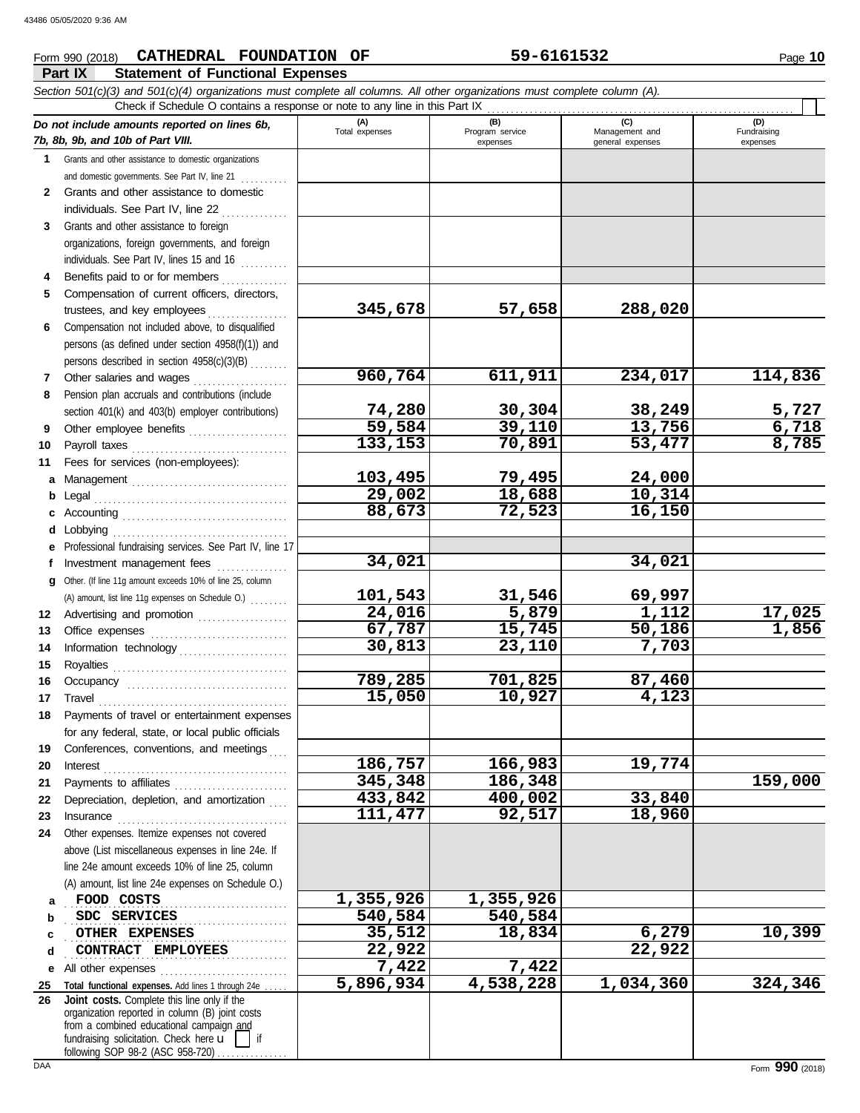#### **Part IX Statement of Functional Expenses** Form 990 (2018) Page **10 CATHEDRAL FOUNDATION OF 59-6161532** *Section 501(c)(3) and 501(c)(4) organizations must complete all columns. All other organizations must complete column (A). Do not include amounts reported on lines 6b, 7b, 8b, 9b, and 10b of Part VIII.* **1 2 3** Grants and other assistance to domestic organizations and domestic governments. See Part IV, line 21 . . . . . . . . . Grants and other assistance to domestic individuals. See Part IV, line  $22$  .............. Grants and other assistance to foreign organizations, foreign governments, and foreign **(A) (B) (C) (D)** Total expenses **Program service** Management and<br>
expenses expenses<br>
general expenses Fundraising expenses Check if Schedule O contains a response or note to any line in this Part IX . . . . . . . . . . . . . . . . . . . . . . . . . . . . . . . . . . . . . . . . . . . . . . . . . . . . . . . . . . . . . . . . .

|          | individuals. See Part IV, line 22                                                                 |                      |           |                    |         |
|----------|---------------------------------------------------------------------------------------------------|----------------------|-----------|--------------------|---------|
| 3        | Grants and other assistance to foreign                                                            |                      |           |                    |         |
|          | organizations, foreign governments, and foreign                                                   |                      |           |                    |         |
|          | individuals. See Part IV, lines 15 and 16                                                         |                      |           |                    |         |
| 4        | Benefits paid to or for members                                                                   |                      |           |                    |         |
| 5        | Compensation of current officers, directors,                                                      |                      |           |                    |         |
|          | trustees, and key employees                                                                       | 345,678              | 57,658    | 288,020            |         |
| 6        | Compensation not included above, to disqualified                                                  |                      |           |                    |         |
|          | persons (as defined under section 4958(f)(1)) and                                                 |                      |           |                    |         |
|          | persons described in section 4958(c)(3)(B)                                                        |                      |           |                    |         |
| 7        | Other salaries and wages                                                                          | 960,764              | 611,911   | 234,017            | 114,836 |
| 8        | Pension plan accruals and contributions (include                                                  |                      |           |                    |         |
|          | section 401(k) and 403(b) employer contributions)                                                 | 74,280               | 30,304    | 38,249             | 5,727   |
| 9        | Other employee benefits                                                                           | 59,584               | 39,110    | 13,756             | 6,718   |
| 10       |                                                                                                   | 133,153              | 70,891    | 53,477             | 8,785   |
| 11       | Fees for services (non-employees):                                                                |                      |           |                    |         |
| a        | Management                                                                                        | 103,495              | 79,495    | 24,000             |         |
| b        | Legal                                                                                             | 29,002               | 18,688    | 10,314             |         |
|          |                                                                                                   | 88,673               | 72,523    | 16,150             |         |
| d        | Lobbying                                                                                          |                      |           |                    |         |
| е        | Professional fundraising services. See Part IV, line 17                                           |                      |           |                    |         |
| f.       | Investment management fees                                                                        | 34,021               |           | 34,021             |         |
| q        | Other. (If line 11g amount exceeds 10% of line 25, column                                         |                      |           |                    |         |
|          | (A) amount, list line 11g expenses on Schedule O.)                                                | 101,543              | 31,546    | 69,997             |         |
| 12       | Advertising and promotion                                                                         | 24,016               | 5,879     | 1,112              | 17,025  |
| 13       |                                                                                                   | 67,787               | 15,745    | 50,186             | 1,856   |
| 14       | Information technology                                                                            | 30,813               | 23,110    | 7,703              |         |
| 15       |                                                                                                   |                      |           |                    |         |
| 16       |                                                                                                   | 789,285              | 701,825   | 87,460             |         |
| 17       | Travel                                                                                            | 15,050               | 10,927    | $\overline{4,123}$ |         |
| 18       | Payments of travel or entertainment expenses                                                      |                      |           |                    |         |
|          | for any federal, state, or local public officials                                                 |                      |           |                    |         |
| 19       | Conferences, conventions, and meetings                                                            |                      |           |                    |         |
| 20       | Interest                                                                                          | 186,757              | 166,983   | 19,774             |         |
| 21       | Payments to affiliates                                                                            | 345,348              | 186,348   |                    | 159,000 |
| 22       | Depreciation, depletion, and amortization                                                         | $\overline{433,842}$ | 400,002   | 33,840             |         |
| 23       |                                                                                                   | 111,477              | 92,517    | 18,960             |         |
| 24       | Other expenses. Itemize expenses not covered                                                      |                      |           |                    |         |
|          | above (List miscellaneous expenses in line 24e. If                                                |                      |           |                    |         |
|          | line 24e amount exceeds 10% of line 25, column                                                    |                      |           |                    |         |
|          | (A) amount, list line 24e expenses on Schedule O.)                                                | 1,355,926            | 1,355,926 |                    |         |
| a        | FOOD COSTS<br>SDC SERVICES                                                                        | 540,584              | 540,584   |                    |         |
| b        | OTHER EXPENSES                                                                                    | 35,512               | 18,834    | 6,279              | 10,399  |
| c        | CONTRACT EMPLOYEES                                                                                | 22,922               |           | 22,922             |         |
| d        | All other expenses                                                                                | 7,422                | 7,422     |                    |         |
| е        |                                                                                                   | 5,896,934            | 4,538,228 | 1,034,360          | 324,346 |
| 25<br>26 | Total functional expenses. Add lines 1 through 24e<br>Joint costs. Complete this line only if the |                      |           |                    |         |
|          | organization reported in column (B) joint costs                                                   |                      |           |                    |         |
|          | from a combined educational campaign and                                                          |                      |           |                    |         |
|          | fundraising solicitation. Check here u                                                            |                      |           |                    |         |

following SOP 98-2 (ASC 958-720) . . . . . . . . . . . . . .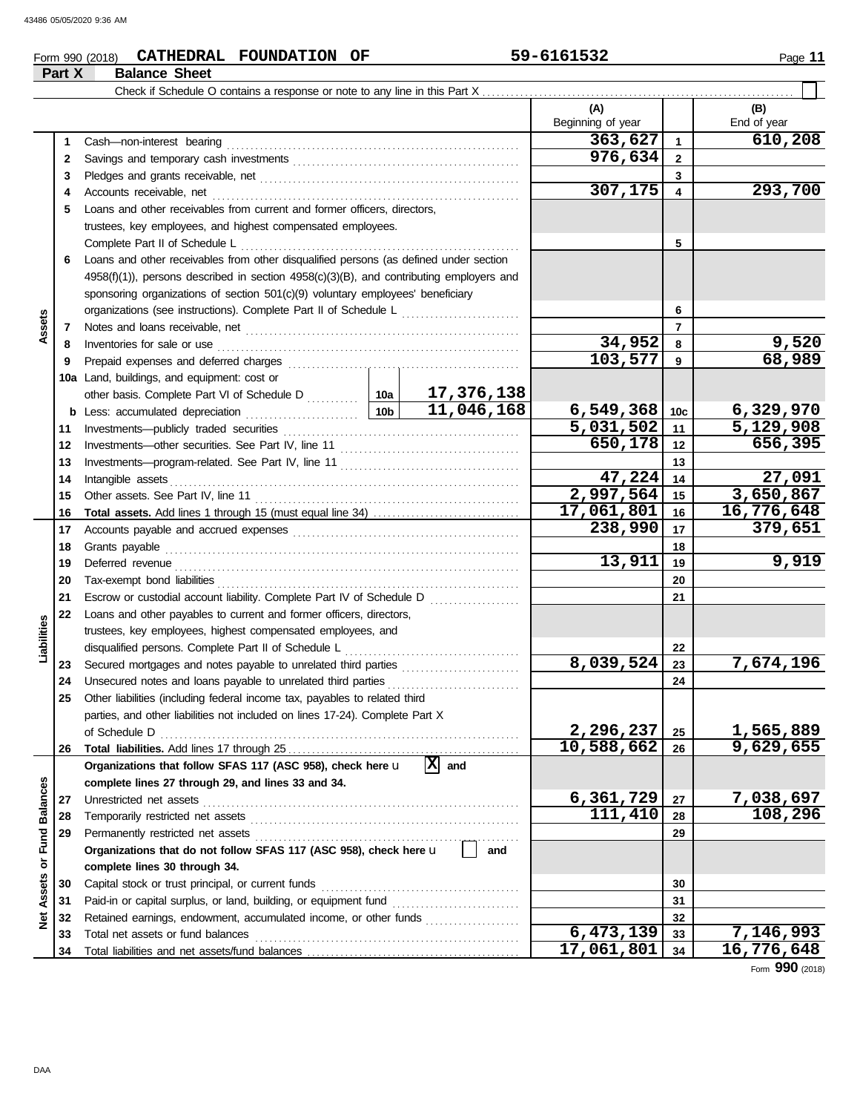**Part X Balance Sheet**

### **Form 990 (2018) CATHEDRAL FOUNDATION OF 59-6161532** Page 11

|                 |    |                                                                                                                                                                                                                                     |            |              | (A)                       |                | (B)         |
|-----------------|----|-------------------------------------------------------------------------------------------------------------------------------------------------------------------------------------------------------------------------------------|------------|--------------|---------------------------|----------------|-------------|
|                 |    |                                                                                                                                                                                                                                     |            |              | Beginning of year         |                | End of year |
|                 | 1  |                                                                                                                                                                                                                                     | 363,627    | $\mathbf{1}$ | 610,208                   |                |             |
|                 | 2  |                                                                                                                                                                                                                                     |            | 976,634      | $\mathbf{2}$              |                |             |
|                 | 3  |                                                                                                                                                                                                                                     |            |              | 3                         |                |             |
|                 | 4  |                                                                                                                                                                                                                                     | 307,175    | 4            | 293,700                   |                |             |
|                 | 5  | Loans and other receivables from current and former officers, directors,                                                                                                                                                            |            |              |                           |                |             |
|                 |    | trustees, key employees, and highest compensated employees.                                                                                                                                                                         |            |              |                           |                |             |
|                 |    |                                                                                                                                                                                                                                     |            | 5            |                           |                |             |
|                 | 6  | Loans and other receivables from other disqualified persons (as defined under section                                                                                                                                               |            |              |                           |                |             |
|                 |    | $4958(f)(1)$ ), persons described in section $4958(c)(3)(B)$ , and contributing employers and                                                                                                                                       |            |              |                           |                |             |
|                 |    | sponsoring organizations of section 501(c)(9) voluntary employees' beneficiary                                                                                                                                                      |            |              |                           |                |             |
|                 |    | organizations (see instructions). Complete Part II of Schedule L [111] [11]                                                                                                                                                         |            |              |                           | 6              |             |
| Assets          | 7  |                                                                                                                                                                                                                                     |            |              |                           | $\overline{7}$ |             |
|                 | 8  | Inventories for sale or use <i>communication</i> and the state of the state of the state of the state of the state of the state of the state of the state of the state of the state of the state of the state of the state of the s |            |              | 34,952                    | 8              | 9,520       |
|                 | 9  |                                                                                                                                                                                                                                     |            |              | 103,577                   | 9              | 68,989      |
|                 |    | 10a Land, buildings, and equipment: cost or                                                                                                                                                                                         |            |              |                           |                |             |
|                 |    |                                                                                                                                                                                                                                     |            | 17,376,138   |                           |                |             |
|                 |    |                                                                                                                                                                                                                                     |            | 11,046,168   | 6,549,368                 | 10c            | 6,329,970   |
|                 | 11 |                                                                                                                                                                                                                                     |            |              | $\overline{5}$ , 031, 502 | 11             | 5,129,908   |
|                 | 12 |                                                                                                                                                                                                                                     |            | 650,178      | 12                        | 656,395        |             |
|                 | 13 |                                                                                                                                                                                                                                     |            |              |                           | 13             |             |
|                 | 14 |                                                                                                                                                                                                                                     | 47,224     | 14           | 27,091                    |                |             |
|                 | 15 |                                                                                                                                                                                                                                     | 2,997,564  | 15           | 3,650,867                 |                |             |
|                 | 16 |                                                                                                                                                                                                                                     | 17,061,801 | 16           | 16,776,648                |                |             |
|                 | 17 |                                                                                                                                                                                                                                     |            | 238,990      | 17                        | 379,651        |             |
|                 | 18 |                                                                                                                                                                                                                                     |            |              |                           | 18             |             |
|                 | 19 |                                                                                                                                                                                                                                     |            |              | 13,911                    | 19             | 9,919       |
|                 | 20 |                                                                                                                                                                                                                                     |            |              |                           | 20             |             |
|                 | 21 | Escrow or custodial account liability. Complete Part IV of Schedule D                                                                                                                                                               |            |              |                           | 21             |             |
|                 | 22 | Loans and other payables to current and former officers, directors,                                                                                                                                                                 |            |              |                           |                |             |
| Liabilitie      |    | trustees, key employees, highest compensated employees, and                                                                                                                                                                         |            |              |                           |                |             |
|                 |    |                                                                                                                                                                                                                                     |            |              |                           | 22             |             |
|                 | 23 |                                                                                                                                                                                                                                     |            |              | 8,039,524                 | 23             | 7,674,196   |
|                 | 24 |                                                                                                                                                                                                                                     |            |              |                           | 24             |             |
|                 | 25 | Other liabilities (including federal income tax, payables to related third<br>parties, and other liabilities not included on lines 17-24). Complete Part X                                                                          |            |              |                           |                |             |
|                 |    | of Schedule D                                                                                                                                                                                                                       |            |              | 2,296,237                 | 25             | 1,565,889   |
|                 | 26 |                                                                                                                                                                                                                                     |            | 10,588,662   | 26                        | 9,629,655      |             |
|                 |    | Organizations that follow SFAS 117 (ASC 958), check here u                                                                                                                                                                          |            | 区<br>and     |                           |                |             |
|                 |    | complete lines 27 through 29, and lines 33 and 34.                                                                                                                                                                                  |            |              |                           |                |             |
|                 | 27 |                                                                                                                                                                                                                                     | 6,361,729  | 27           | 7,038,697                 |                |             |
| <b>Balances</b> | 28 |                                                                                                                                                                                                                                     | 111,410    | 28           | 108,296                   |                |             |
|                 | 29 |                                                                                                                                                                                                                                     |            | 29           |                           |                |             |
| Fund            |    | Organizations that do not follow SFAS 117 (ASC 958), check here u                                                                                                                                                                   |            | and          |                           |                |             |
| ŏ               |    | complete lines 30 through 34.                                                                                                                                                                                                       |            |              |                           |                |             |
| Assets          | 30 | Capital stock or trust principal, or current funds                                                                                                                                                                                  |            |              |                           | 30             |             |
|                 | 31 |                                                                                                                                                                                                                                     |            |              |                           | 31             |             |
| ğ               | 32 | Retained earnings, endowment, accumulated income, or other funds                                                                                                                                                                    |            |              |                           | 32             |             |
|                 | 33 | Total net assets or fund balances                                                                                                                                                                                                   |            |              | 6,473,139                 | 33             | 7,146,993   |
|                 | 34 |                                                                                                                                                                                                                                     | 17,061,801 | 34           | 16,776,648                |                |             |

Form **990** (2018)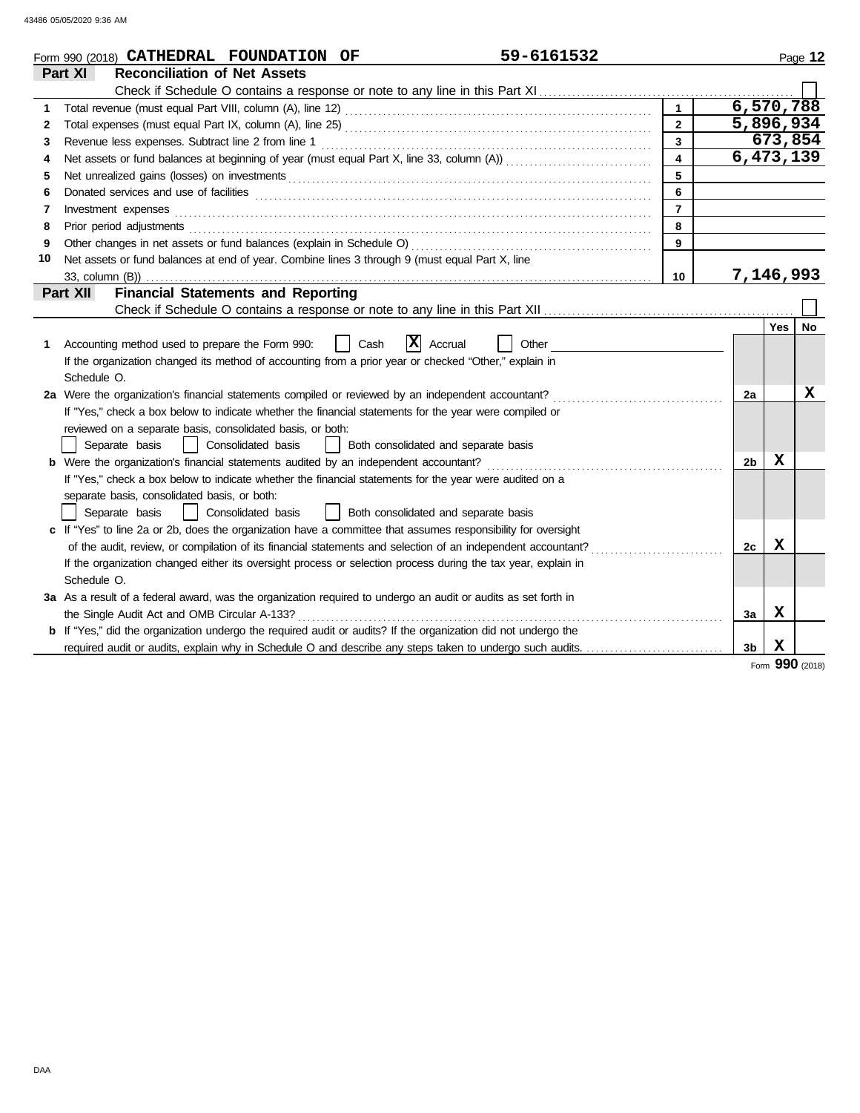|    | 59-6161532<br>Form 990 (2018) CATHEDRAL FOUNDATION OF                                                                                                                                                                          |                         |                |         | Page 12 |
|----|--------------------------------------------------------------------------------------------------------------------------------------------------------------------------------------------------------------------------------|-------------------------|----------------|---------|---------|
|    | Part XI<br><b>Reconciliation of Net Assets</b>                                                                                                                                                                                 |                         |                |         |         |
|    |                                                                                                                                                                                                                                |                         |                |         |         |
| 1  |                                                                                                                                                                                                                                |                         | 6,570,788      |         |         |
| 2  |                                                                                                                                                                                                                                | $2^{\circ}$             | 5,896,934      |         |         |
| 3  |                                                                                                                                                                                                                                | $\mathbf{3}$            |                | 673,854 |         |
| 4  |                                                                                                                                                                                                                                | $\overline{\mathbf{4}}$ | 6,473,139      |         |         |
| 5  | Net unrealized gains (losses) on investments [11] results and the contract of the state of the state of the state of the state of the state of the state of the state of the state of the state of the state of the state of t | 5                       |                |         |         |
| 6  | Donated services and use of facilities [[11] matter contracts and the service of facilities [11] matter contracts and use of facilities [11] matter contracts and use of facilities [11] matter contracts and the service of f | 6                       |                |         |         |
| 7  | Investment expenses                                                                                                                                                                                                            | $\overline{7}$          |                |         |         |
| 8  | Prior period adjustments                                                                                                                                                                                                       | 8                       |                |         |         |
| 9  | Other changes in net assets or fund balances (explain in Schedule O)                                                                                                                                                           | 9                       |                |         |         |
| 10 | Net assets or fund balances at end of year. Combine lines 3 through 9 (must equal Part X, line                                                                                                                                 |                         |                |         |         |
|    | 33, column (B))                                                                                                                                                                                                                | 10                      | 7,146,993      |         |         |
|    | <b>Financial Statements and Reporting</b><br>Part XII                                                                                                                                                                          |                         |                |         |         |
|    |                                                                                                                                                                                                                                |                         |                |         |         |
|    |                                                                                                                                                                                                                                |                         |                | Yes     | No      |
| 1  | x <br>Accounting method used to prepare the Form 990:<br>Cash<br>Accrual<br>Other                                                                                                                                              |                         |                |         |         |
|    | If the organization changed its method of accounting from a prior year or checked "Other," explain in                                                                                                                          |                         |                |         |         |
|    | Schedule O.                                                                                                                                                                                                                    |                         |                |         |         |
|    | 2a Were the organization's financial statements compiled or reviewed by an independent accountant?                                                                                                                             |                         | 2a             |         | x       |
|    | If "Yes," check a box below to indicate whether the financial statements for the year were compiled or                                                                                                                         |                         |                |         |         |
|    | reviewed on a separate basis, consolidated basis, or both:                                                                                                                                                                     |                         |                |         |         |
|    | Separate basis<br>  Consolidated basis<br>Both consolidated and separate basis<br>$\perp$                                                                                                                                      |                         |                |         |         |
|    | Were the organization's financial statements audited by an independent accountant?                                                                                                                                             |                         | 2 <sub>b</sub> | X       |         |
|    | If "Yes," check a box below to indicate whether the financial statements for the year were audited on a                                                                                                                        |                         |                |         |         |
|    | separate basis, consolidated basis, or both:                                                                                                                                                                                   |                         |                |         |         |
|    | Separate basis<br>Consolidated basis<br>Both consolidated and separate basis<br>$\mathsf{I}$                                                                                                                                   |                         |                |         |         |
|    | c If "Yes" to line 2a or 2b, does the organization have a committee that assumes responsibility for oversight                                                                                                                  |                         |                |         |         |
|    |                                                                                                                                                                                                                                |                         | 2c             | X       |         |
|    | If the organization changed either its oversight process or selection process during the tax year, explain in                                                                                                                  |                         |                |         |         |
|    | Schedule O.                                                                                                                                                                                                                    |                         |                |         |         |
|    | 3a As a result of a federal award, was the organization required to undergo an audit or audits as set forth in                                                                                                                 |                         |                |         |         |
|    | the Single Audit Act and OMB Circular A-133?                                                                                                                                                                                   |                         | За             | x       |         |
|    | b If "Yes," did the organization undergo the required audit or audits? If the organization did not undergo the                                                                                                                 |                         |                |         |         |
|    | required audit or audits, explain why in Schedule O and describe any steps taken to undergo such audits.                                                                                                                       |                         | 3 <sub>b</sub> | X       |         |

Form **990** (2018)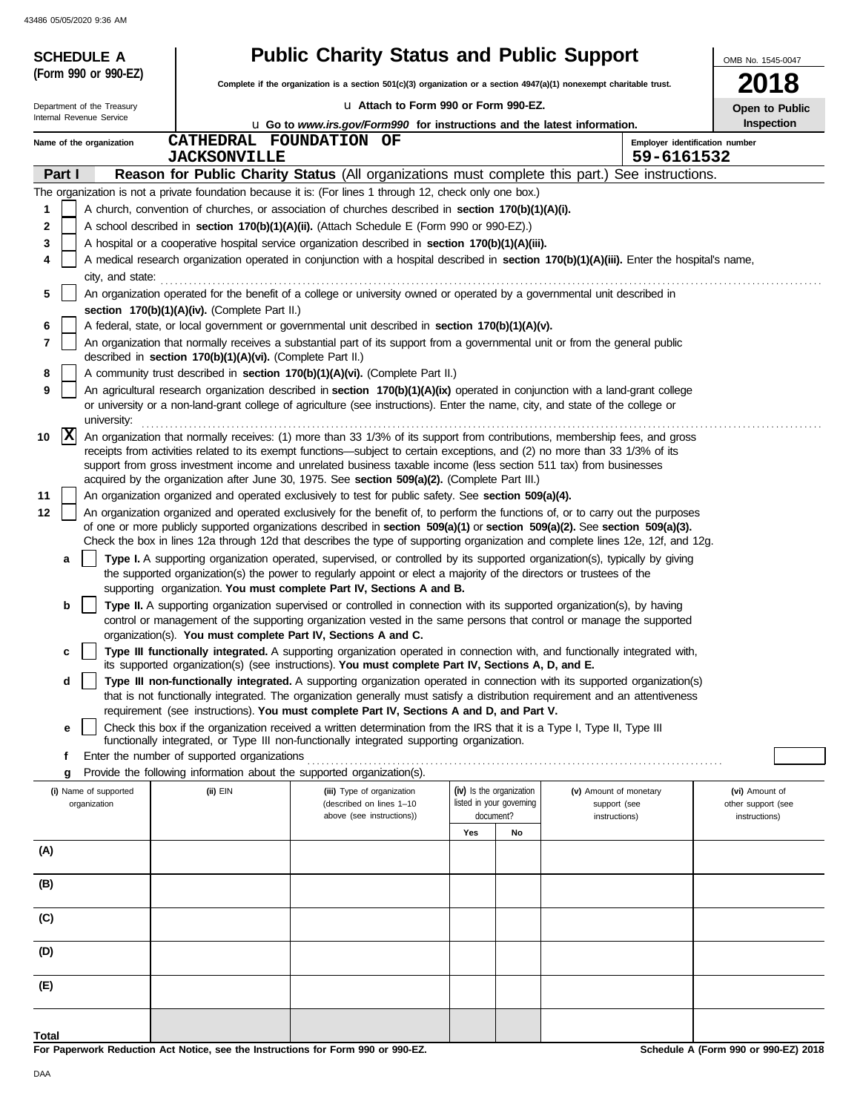| <b>SCHEDULE A</b>                     |                                                            | <b>Public Charity Status and Public Support</b>                                                                                                                                                                                                                                                                                                                                                                                                                                  |                                                      |    |                                        | OMB No. 1545-0047                    |
|---------------------------------------|------------------------------------------------------------|----------------------------------------------------------------------------------------------------------------------------------------------------------------------------------------------------------------------------------------------------------------------------------------------------------------------------------------------------------------------------------------------------------------------------------------------------------------------------------|------------------------------------------------------|----|----------------------------------------|--------------------------------------|
| (Form 990 or 990-EZ)                  |                                                            | Complete if the organization is a section $501(c)(3)$ organization or a section $4947(a)(1)$ nonexempt charitable trust.                                                                                                                                                                                                                                                                                                                                                         |                                                      |    |                                        |                                      |
| Department of the Treasury            |                                                            | La Attach to Form 990 or Form 990-EZ.                                                                                                                                                                                                                                                                                                                                                                                                                                            | Open to Public                                       |    |                                        |                                      |
| Internal Revenue Service              |                                                            | <b>u</b> Go to www.irs.gov/Form990 for instructions and the latest information.                                                                                                                                                                                                                                                                                                                                                                                                  |                                                      |    |                                        | Inspection                           |
| Name of the organization              | CATHEDRAL FOUNDATION OF                                    |                                                                                                                                                                                                                                                                                                                                                                                                                                                                                  |                                                      |    |                                        | Employer identification number       |
|                                       | <b>JACKSONVILLE</b>                                        |                                                                                                                                                                                                                                                                                                                                                                                                                                                                                  |                                                      |    | 59-6161532                             |                                      |
| Part I                                |                                                            | <b>Reason for Public Charity Status (All organizations must complete this part.) See instructions.</b>                                                                                                                                                                                                                                                                                                                                                                           |                                                      |    |                                        |                                      |
|                                       |                                                            | The organization is not a private foundation because it is: (For lines 1 through 12, check only one box.)                                                                                                                                                                                                                                                                                                                                                                        |                                                      |    |                                        |                                      |
| 1                                     |                                                            | A church, convention of churches, or association of churches described in section 170(b)(1)(A)(i).                                                                                                                                                                                                                                                                                                                                                                               |                                                      |    |                                        |                                      |
| 2                                     |                                                            | A school described in section 170(b)(1)(A)(ii). (Attach Schedule E (Form 990 or 990-EZ).)                                                                                                                                                                                                                                                                                                                                                                                        |                                                      |    |                                        |                                      |
| 3                                     |                                                            | A hospital or a cooperative hospital service organization described in section 170(b)(1)(A)(iii).                                                                                                                                                                                                                                                                                                                                                                                |                                                      |    |                                        |                                      |
| 4                                     |                                                            | A medical research organization operated in conjunction with a hospital described in section 170(b)(1)(A)(iii). Enter the hospital's name,                                                                                                                                                                                                                                                                                                                                       |                                                      |    |                                        |                                      |
| 5                                     |                                                            | An organization operated for the benefit of a college or university owned or operated by a governmental unit described in                                                                                                                                                                                                                                                                                                                                                        |                                                      |    |                                        |                                      |
|                                       | section 170(b)(1)(A)(iv). (Complete Part II.)              |                                                                                                                                                                                                                                                                                                                                                                                                                                                                                  |                                                      |    |                                        |                                      |
| 6                                     |                                                            | A federal, state, or local government or governmental unit described in section 170(b)(1)(A)(v).                                                                                                                                                                                                                                                                                                                                                                                 |                                                      |    |                                        |                                      |
| 7                                     | described in section 170(b)(1)(A)(vi). (Complete Part II.) | An organization that normally receives a substantial part of its support from a governmental unit or from the general public                                                                                                                                                                                                                                                                                                                                                     |                                                      |    |                                        |                                      |
| 8                                     |                                                            | A community trust described in section 170(b)(1)(A)(vi). (Complete Part II.)                                                                                                                                                                                                                                                                                                                                                                                                     |                                                      |    |                                        |                                      |
| 9<br>university:                      |                                                            | An agricultural research organization described in section 170(b)(1)(A)(ix) operated in conjunction with a land-grant college<br>or university or a non-land-grant college of agriculture (see instructions). Enter the name, city, and state of the college or                                                                                                                                                                                                                  |                                                      |    |                                        |                                      |
| $ {\bf x} $<br>10                     |                                                            | An organization that normally receives: (1) more than 33 1/3% of its support from contributions, membership fees, and gross<br>receipts from activities related to its exempt functions—subject to certain exceptions, and (2) no more than 33 1/3% of its<br>support from gross investment income and unrelated business taxable income (less section 511 tax) from businesses<br>acquired by the organization after June 30, 1975. See section 509(a)(2). (Complete Part III.) |                                                      |    |                                        |                                      |
| 11                                    |                                                            | An organization organized and operated exclusively to test for public safety. See section 509(a)(4).                                                                                                                                                                                                                                                                                                                                                                             |                                                      |    |                                        |                                      |
| 12                                    |                                                            | An organization organized and operated exclusively for the benefit of, to perform the functions of, or to carry out the purposes<br>of one or more publicly supported organizations described in section 509(a)(1) or section 509(a)(2). See section 509(a)(3).<br>Check the box in lines 12a through 12d that describes the type of supporting organization and complete lines 12e, 12f, and 12g.                                                                               |                                                      |    |                                        |                                      |
| a                                     |                                                            | Type I. A supporting organization operated, supervised, or controlled by its supported organization(s), typically by giving<br>the supported organization(s) the power to regularly appoint or elect a majority of the directors or trustees of the<br>supporting organization. You must complete Part IV, Sections A and B.                                                                                                                                                     |                                                      |    |                                        |                                      |
| b                                     |                                                            | Type II. A supporting organization supervised or controlled in connection with its supported organization(s), by having<br>control or management of the supporting organization vested in the same persons that control or manage the supported                                                                                                                                                                                                                                  |                                                      |    |                                        |                                      |
|                                       |                                                            | organization(s). You must complete Part IV, Sections A and C.                                                                                                                                                                                                                                                                                                                                                                                                                    |                                                      |    |                                        |                                      |
| c                                     |                                                            | Type III functionally integrated. A supporting organization operated in connection with, and functionally integrated with,<br>its supported organization(s) (see instructions). You must complete Part IV, Sections A, D, and E.                                                                                                                                                                                                                                                 |                                                      |    |                                        |                                      |
| d                                     |                                                            | Type III non-functionally integrated. A supporting organization operated in connection with its supported organization(s)                                                                                                                                                                                                                                                                                                                                                        |                                                      |    |                                        |                                      |
|                                       |                                                            | that is not functionally integrated. The organization generally must satisfy a distribution requirement and an attentiveness                                                                                                                                                                                                                                                                                                                                                     |                                                      |    |                                        |                                      |
|                                       |                                                            | requirement (see instructions). You must complete Part IV, Sections A and D, and Part V.                                                                                                                                                                                                                                                                                                                                                                                         |                                                      |    |                                        |                                      |
| е                                     |                                                            | Check this box if the organization received a written determination from the IRS that it is a Type I, Type II, Type III<br>functionally integrated, or Type III non-functionally integrated supporting organization.                                                                                                                                                                                                                                                             |                                                      |    |                                        |                                      |
| f                                     | Enter the number of supported organizations                |                                                                                                                                                                                                                                                                                                                                                                                                                                                                                  |                                                      |    |                                        |                                      |
| g                                     |                                                            | Provide the following information about the supported organization(s).                                                                                                                                                                                                                                                                                                                                                                                                           |                                                      |    |                                        |                                      |
| (i) Name of supported<br>organization | $(ii)$ EIN                                                 | (iii) Type of organization<br>(described on lines 1-10                                                                                                                                                                                                                                                                                                                                                                                                                           | (iv) Is the organization<br>listed in your governing |    | (v) Amount of monetary<br>support (see | (vi) Amount of<br>other support (see |
|                                       |                                                            | above (see instructions))                                                                                                                                                                                                                                                                                                                                                                                                                                                        | document?<br>Yes                                     | No | instructions)                          | instructions)                        |
|                                       |                                                            |                                                                                                                                                                                                                                                                                                                                                                                                                                                                                  |                                                      |    |                                        |                                      |
| (A)                                   |                                                            |                                                                                                                                                                                                                                                                                                                                                                                                                                                                                  |                                                      |    |                                        |                                      |
| (B)                                   |                                                            |                                                                                                                                                                                                                                                                                                                                                                                                                                                                                  |                                                      |    |                                        |                                      |
| (C)                                   |                                                            |                                                                                                                                                                                                                                                                                                                                                                                                                                                                                  |                                                      |    |                                        |                                      |
| (D)                                   |                                                            |                                                                                                                                                                                                                                                                                                                                                                                                                                                                                  |                                                      |    |                                        |                                      |
| (E)                                   |                                                            |                                                                                                                                                                                                                                                                                                                                                                                                                                                                                  |                                                      |    |                                        |                                      |
|                                       |                                                            |                                                                                                                                                                                                                                                                                                                                                                                                                                                                                  |                                                      |    |                                        |                                      |

**For Paperwork Reduction Act Notice, see the Instructions for Form 990 or 990-EZ.**

**Schedule A (Form 990 or 990-EZ) 2018**

**Total**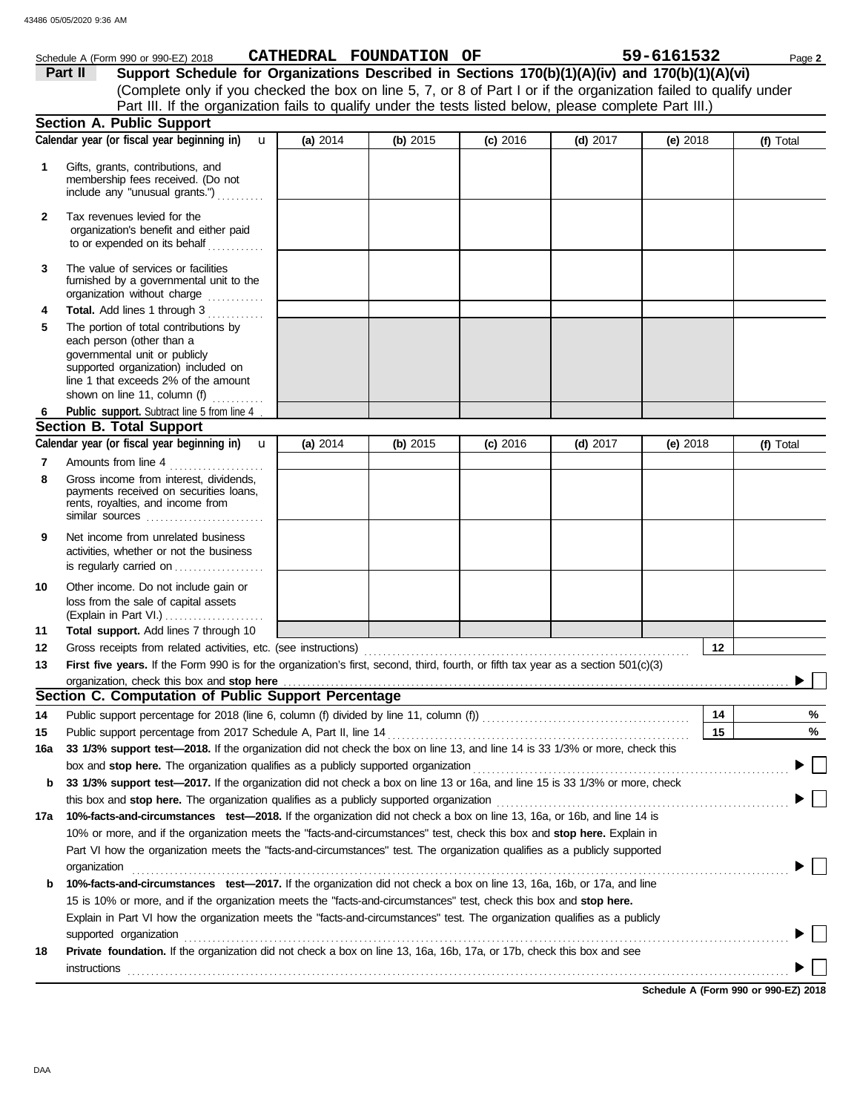|     | Schedule A (Form 990 or 990-EZ) 2018                                                                                                                                                                               |            | CATHEDRAL FOUNDATION OF |            |            | 59-6161532 | Page 2    |
|-----|--------------------------------------------------------------------------------------------------------------------------------------------------------------------------------------------------------------------|------------|-------------------------|------------|------------|------------|-----------|
|     | Support Schedule for Organizations Described in Sections 170(b)(1)(A)(iv) and 170(b)(1)(A)(vi)<br>Part II                                                                                                          |            |                         |            |            |            |           |
|     | (Complete only if you checked the box on line 5, 7, or 8 of Part I or if the organization failed to qualify under                                                                                                  |            |                         |            |            |            |           |
|     | Part III. If the organization fails to qualify under the tests listed below, please complete Part III.)                                                                                                            |            |                         |            |            |            |           |
|     | <b>Section A. Public Support</b>                                                                                                                                                                                   |            |                         |            |            |            |           |
|     | Calendar year (or fiscal year beginning in)<br>$\mathbf{u}$                                                                                                                                                        | (a) 2014   | (b) $2015$              | $(c)$ 2016 | (d) $2017$ | (e) $2018$ | (f) Total |
| 1   | Gifts, grants, contributions, and                                                                                                                                                                                  |            |                         |            |            |            |           |
|     | membership fees received. (Do not<br>include any "unusual grants.")                                                                                                                                                |            |                         |            |            |            |           |
| 2   | Tax revenues levied for the<br>organization's benefit and either paid<br>to or expended on its behalf                                                                                                              |            |                         |            |            |            |           |
| 3   | The value of services or facilities<br>furnished by a governmental unit to the<br>organization without charge with an area of the contract of the contract of the contract of the contract of the                  |            |                         |            |            |            |           |
| 4   | Total. Add lines 1 through 3<br>$\sim$                                                                                                                                                                             |            |                         |            |            |            |           |
| 5   | The portion of total contributions by<br>each person (other than a<br>governmental unit or publicly<br>supported organization) included on<br>line 1 that exceeds 2% of the amount<br>shown on line 11, column (f) |            |                         |            |            |            |           |
| 6   | Public support. Subtract line 5 from line 4.                                                                                                                                                                       |            |                         |            |            |            |           |
|     | <b>Section B. Total Support</b>                                                                                                                                                                                    |            |                         |            |            |            |           |
|     | Calendar year (or fiscal year beginning in)<br>$\mathbf{u}$                                                                                                                                                        | (a) $2014$ | (b) 2015                | $(c)$ 2016 | $(d)$ 2017 | (e) 2018   | (f) Total |
| 7   | Amounts from line 4                                                                                                                                                                                                |            |                         |            |            |            |           |
| 8   | Gross income from interest, dividends,<br>payments received on securities loans,<br>rents, royalties, and income from<br>similar sources                                                                           |            |                         |            |            |            |           |
| 9   | Net income from unrelated business<br>activities, whether or not the business                                                                                                                                      |            |                         |            |            |            |           |
| 10  | Other income. Do not include gain or<br>loss from the sale of capital assets<br>(Explain in Part VI.)                                                                                                              |            |                         |            |            |            |           |
| 11  | Total support. Add lines 7 through 10                                                                                                                                                                              |            |                         |            |            |            |           |
| 12  |                                                                                                                                                                                                                    |            |                         |            |            | 12         |           |
| 13  | First five years. If the Form 990 is for the organization's first, second, third, fourth, or fifth tax year as a section 501(c)(3)                                                                                 |            |                         |            |            |            |           |
|     | Section C. Computation of Public Support Percentage                                                                                                                                                                |            |                         |            |            |            |           |
|     |                                                                                                                                                                                                                    |            |                         |            |            |            |           |
| 14  |                                                                                                                                                                                                                    |            |                         |            |            | 14         | %         |
| 15  |                                                                                                                                                                                                                    |            |                         |            |            | 15         | %         |
| 16a | 33 1/3% support test-2018. If the organization did not check the box on line 13, and line 14 is 33 1/3% or more, check this                                                                                        |            |                         |            |            |            |           |
|     | box and stop here. The organization qualifies as a publicly supported organization                                                                                                                                 |            |                         |            |            |            |           |
| b   | 33 1/3% support test-2017. If the organization did not check a box on line 13 or 16a, and line 15 is 33 1/3% or more, check                                                                                        |            |                         |            |            |            |           |
|     |                                                                                                                                                                                                                    |            |                         |            |            |            |           |
| 17а | 10%-facts-and-circumstances test-2018. If the organization did not check a box on line 13, 16a, or 16b, and line 14 is                                                                                             |            |                         |            |            |            |           |
|     | 10% or more, and if the organization meets the "facts-and-circumstances" test, check this box and stop here. Explain in                                                                                            |            |                         |            |            |            |           |
|     | Part VI how the organization meets the "facts-and-circumstances" test. The organization qualifies as a publicly supported                                                                                          |            |                         |            |            |            |           |
|     | organization                                                                                                                                                                                                       |            |                         |            |            |            |           |
| b   | 10%-facts-and-circumstances test-2017. If the organization did not check a box on line 13, 16a, 16b, or 17a, and line                                                                                              |            |                         |            |            |            |           |
|     | 15 is 10% or more, and if the organization meets the "facts-and-circumstances" test, check this box and stop here.                                                                                                 |            |                         |            |            |            |           |
|     | Explain in Part VI how the organization meets the "facts-and-circumstances" test. The organization qualifies as a publicly                                                                                         |            |                         |            |            |            |           |
|     | supported organization contains and contains a supported organization contains a supported organization contains a supported organization                                                                          |            |                         |            |            |            |           |
| 18  | Private foundation. If the organization did not check a box on line 13, 16a, 16b, 17a, or 17b, check this box and see<br><b>instructions</b>                                                                       |            |                         |            |            |            |           |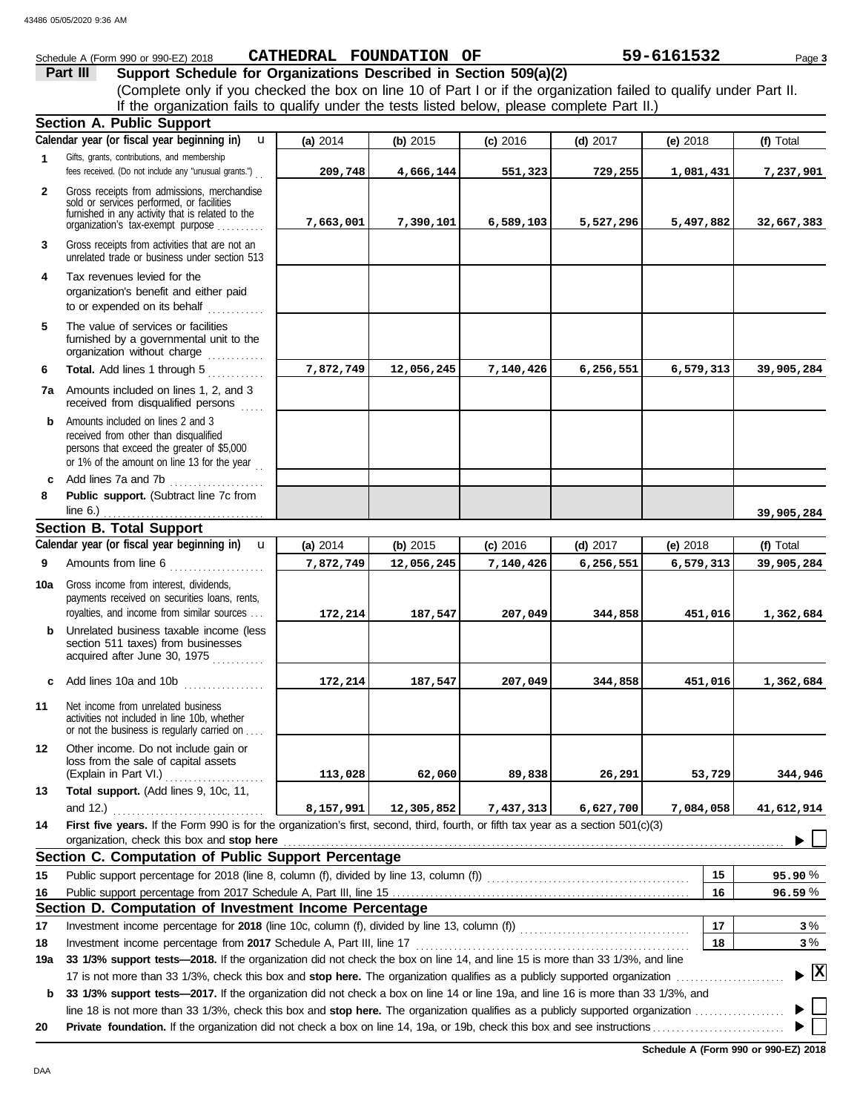### **Schedule A (Form 990 or 990-EZ) 2018 CATHEDRAL FOUNDATION OF** 59-6161532 Page 3

**Part III** Support Schedule for Organizations Described in Section 509(a)(2) (Complete only if you checked the box on line 10 of Part I or if the organization failed to qualify under Part II. If the organization fails to qualify under the tests listed below, please complete Part II.)

|              | <b>Section A. Public Support</b>                                                                                                                                                                                                                                     |            |            |            |            |           |                                          |
|--------------|----------------------------------------------------------------------------------------------------------------------------------------------------------------------------------------------------------------------------------------------------------------------|------------|------------|------------|------------|-----------|------------------------------------------|
|              | Calendar year (or fiscal year beginning in)<br>$\mathbf{u}$                                                                                                                                                                                                          | (a) $2014$ | (b) 2015   | $(c)$ 2016 | $(d)$ 2017 | (e) 2018  | (f) Total                                |
| 1            | Gifts, grants, contributions, and membership<br>fees received. (Do not include any "unusual grants.")                                                                                                                                                                | 209,748    | 4,666,144  | 551,323    | 729,255    | 1,081,431 | 7,237,901                                |
| $\mathbf{2}$ | Gross receipts from admissions, merchandise<br>sold or services performed, or facilities<br>furnished in any activity that is related to the<br>organization's tax-exempt purpose                                                                                    | 7,663,001  | 7,390,101  | 6,589,103  | 5,527,296  | 5,497,882 | 32,667,383                               |
| 3            | Gross receipts from activities that are not an<br>unrelated trade or business under section 513                                                                                                                                                                      |            |            |            |            |           |                                          |
| 4            | Tax revenues levied for the<br>organization's benefit and either paid<br>to or expended on its behalf                                                                                                                                                                |            |            |            |            |           |                                          |
| 5            | The value of services or facilities<br>furnished by a governmental unit to the<br>organization without charge                                                                                                                                                        |            |            |            |            |           |                                          |
| 6            | Total. Add lines 1 through 5                                                                                                                                                                                                                                         | 7,872,749  | 12,056,245 | 7,140,426  | 6,256,551  | 6,579,313 | 39,905,284                               |
| 7а           | Amounts included on lines 1, 2, and 3<br>received from disqualified persons                                                                                                                                                                                          |            |            |            |            |           |                                          |
| b            | Amounts included on lines 2 and 3<br>received from other than disqualified<br>persons that exceed the greater of \$5,000<br>or 1% of the amount on line 13 for the year                                                                                              |            |            |            |            |           |                                          |
| c            | Add lines 7a and 7b<br>.                                                                                                                                                                                                                                             |            |            |            |            |           |                                          |
| 8            | Public support. (Subtract line 7c from                                                                                                                                                                                                                               |            |            |            |            |           |                                          |
|              | line $6.$ )                                                                                                                                                                                                                                                          |            |            |            |            |           | 39,905,284                               |
|              | <b>Section B. Total Support</b><br>Calendar year (or fiscal year beginning in)                                                                                                                                                                                       |            |            |            |            |           |                                          |
|              | $\mathbf{u}$                                                                                                                                                                                                                                                         | (a) $2014$ | (b) 2015   | $(c)$ 2016 | $(d)$ 2017 | (e) 2018  | (f) Total                                |
| 9            | Amounts from line 6                                                                                                                                                                                                                                                  | 7,872,749  | 12,056,245 | 7,140,426  | 6,256,551  | 6,579,313 | 39,905,284                               |
| 10a          | Gross income from interest, dividends,<br>payments received on securities loans, rents,<br>royalties, and income from similar sources                                                                                                                                | 172,214    | 187,547    | 207,049    | 344,858    | 451,016   | 1,362,684                                |
| b            | Unrelated business taxable income (less<br>section 511 taxes) from businesses<br>acquired after June 30, 1975                                                                                                                                                        |            |            |            |            |           |                                          |
| c            | Add lines 10a and 10b                                                                                                                                                                                                                                                | 172,214    | 187,547    | 207,049    | 344,858    | 451,016   | 1,362,684                                |
| 11           | Net income from unrelated business<br>activities not included in line 10b, whether<br>or not the business is regularly carried on                                                                                                                                    |            |            |            |            |           |                                          |
| 12           | Other income. Do not include gain or<br>loss from the sale of capital assets<br>(Explain in Part VI.)                                                                                                                                                                | 113,028    | 62,060     | 89,838     | 26,291     | 53,729    | 344,946                                  |
| 13           | Total support. (Add lines 9, 10c, 11,                                                                                                                                                                                                                                |            |            |            |            |           |                                          |
|              | and 12.)                                                                                                                                                                                                                                                             | 8,157,991  | 12,305,852 | 7,437,313  | 6,627,700  | 7,084,058 | 41,612,914                               |
| 14           | First five years. If the Form 990 is for the organization's first, second, third, fourth, or fifth tax year as a section 501(c)(3)                                                                                                                                   |            |            |            |            |           |                                          |
|              | organization, check this box and stop here                                                                                                                                                                                                                           |            |            |            |            |           |                                          |
|              | Section C. Computation of Public Support Percentage                                                                                                                                                                                                                  |            |            |            |            |           |                                          |
| 15           |                                                                                                                                                                                                                                                                      |            |            |            |            | 15        | 95.90%                                   |
| 16           |                                                                                                                                                                                                                                                                      |            |            |            |            | 16        | 96.59%                                   |
|              | Section D. Computation of Investment Income Percentage                                                                                                                                                                                                               |            |            |            |            |           |                                          |
| 17           |                                                                                                                                                                                                                                                                      |            |            |            |            | 17        | 3%                                       |
| 18           | Investment income percentage from 2017 Schedule A, Part III, line 17                                                                                                                                                                                                 |            |            |            |            | 18        | 3%                                       |
| 19a          | 33 1/3% support tests-2018. If the organization did not check the box on line 14, and line 15 is more than 33 1/3%, and line                                                                                                                                         |            |            |            |            |           | $\blacktriangleright$ $\boxed{\text{X}}$ |
|              | 17 is not more than 33 1/3%, check this box and stop here. The organization qualifies as a publicly supported organization                                                                                                                                           |            |            |            |            |           |                                          |
| b            | 33 1/3% support tests—2017. If the organization did not check a box on line 14 or line 19a, and line 16 is more than 33 1/3%, and<br>line 18 is not more than 33 1/3%, check this box and stop here. The organization qualifies as a publicly supported organization |            |            |            |            |           | $\perp$                                  |
|              |                                                                                                                                                                                                                                                                      |            |            |            |            |           |                                          |
| 20           |                                                                                                                                                                                                                                                                      |            |            |            |            |           |                                          |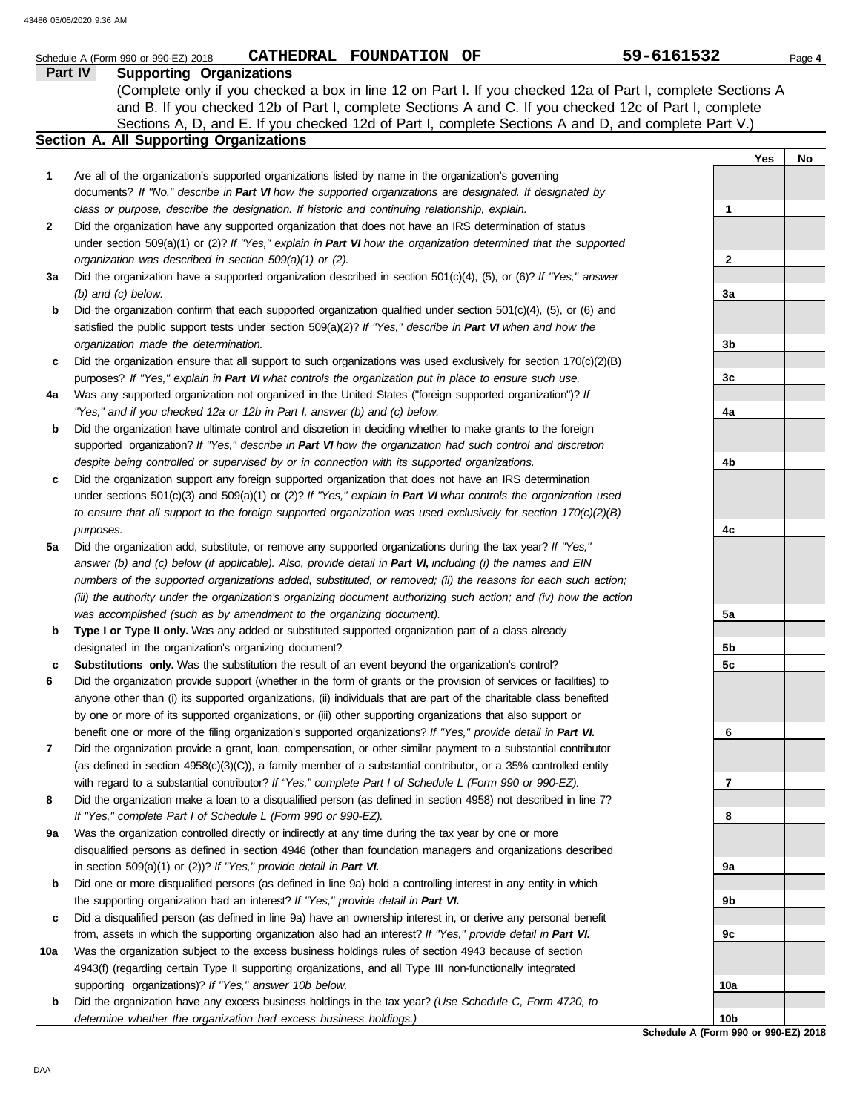|              | CATHEDRAL FOUNDATION OF<br>Schedule A (Form 990 or 990-EZ) 2018                                                          | 59-6161532      |     | Page 4 |
|--------------|--------------------------------------------------------------------------------------------------------------------------|-----------------|-----|--------|
|              | <b>Supporting Organizations</b><br>Part IV                                                                               |                 |     |        |
|              | (Complete only if you checked a box in line 12 on Part I. If you checked 12a of Part I, complete Sections A              |                 |     |        |
|              | and B. If you checked 12b of Part I, complete Sections A and C. If you checked 12c of Part I, complete                   |                 |     |        |
|              | Sections A, D, and E. If you checked 12d of Part I, complete Sections A and D, and complete Part V.)                     |                 |     |        |
|              | Section A. All Supporting Organizations                                                                                  |                 |     |        |
|              |                                                                                                                          |                 | Yes | No     |
| 1            | Are all of the organization's supported organizations listed by name in the organization's governing                     |                 |     |        |
|              | documents? If "No," describe in Part VI how the supported organizations are designated. If designated by                 |                 |     |        |
|              | class or purpose, describe the designation. If historic and continuing relationship, explain.                            | 1               |     |        |
| $\mathbf{2}$ | Did the organization have any supported organization that does not have an IRS determination of status                   |                 |     |        |
|              | under section 509(a)(1) or (2)? If "Yes," explain in Part VI how the organization determined that the supported          |                 |     |        |
|              | organization was described in section 509(a)(1) or (2).                                                                  | 2               |     |        |
| За           | Did the organization have a supported organization described in section $501(c)(4)$ , (5), or (6)? If "Yes," answer      |                 |     |        |
|              | $(b)$ and $(c)$ below.                                                                                                   | За              |     |        |
| b            | Did the organization confirm that each supported organization qualified under section $501(c)(4)$ , $(5)$ , or $(6)$ and |                 |     |        |
|              | satisfied the public support tests under section 509(a)(2)? If "Yes," describe in Part VI when and how the               |                 |     |        |
|              | organization made the determination.                                                                                     | 3b              |     |        |
|              |                                                                                                                          |                 |     |        |
| c            | Did the organization ensure that all support to such organizations was used exclusively for section $170(c)(2)(B)$       |                 |     |        |
|              | purposes? If "Yes," explain in Part VI what controls the organization put in place to ensure such use.                   | 3c              |     |        |
| 4a           | Was any supported organization not organized in the United States ("foreign supported organization")? If                 |                 |     |        |
|              | "Yes," and if you checked 12a or 12b in Part I, answer (b) and (c) below.                                                | 4a              |     |        |
| b            | Did the organization have ultimate control and discretion in deciding whether to make grants to the foreign              |                 |     |        |
|              | supported organization? If "Yes," describe in Part VI how the organization had such control and discretion               |                 |     |        |
|              | despite being controlled or supervised by or in connection with its supported organizations.                             | 4b              |     |        |
| c            | Did the organization support any foreign supported organization that does not have an IRS determination                  |                 |     |        |
|              | under sections $501(c)(3)$ and $509(a)(1)$ or (2)? If "Yes," explain in Part VI what controls the organization used      |                 |     |        |
|              | to ensure that all support to the foreign supported organization was used exclusively for section $170(c)(2)(B)$         |                 |     |        |
|              | purposes.                                                                                                                | 4c              |     |        |
| 5a           | Did the organization add, substitute, or remove any supported organizations during the tax year? If "Yes,"               |                 |     |        |
|              | answer (b) and (c) below (if applicable). Also, provide detail in Part VI, including (i) the names and EIN               |                 |     |        |
|              | numbers of the supported organizations added, substituted, or removed; (ii) the reasons for each such action;            |                 |     |        |
|              | (iii) the authority under the organization's organizing document authorizing such action; and (iv) how the action        |                 |     |        |
|              | was accomplished (such as by amendment to the organizing document).                                                      | 5a              |     |        |
| b            | Type I or Type II only. Was any added or substituted supported organization part of a class already                      |                 |     |        |
|              | designated in the organization's organizing document?                                                                    | 5b              |     |        |
| c            | Substitutions only. Was the substitution the result of an event beyond the organization's control?                       | 5c              |     |        |
| 6            | Did the organization provide support (whether in the form of grants or the provision of services or facilities) to       |                 |     |        |
|              | anyone other than (i) its supported organizations, (ii) individuals that are part of the charitable class benefited      |                 |     |        |
|              | by one or more of its supported organizations, or (iii) other supporting organizations that also support or              |                 |     |        |
|              | benefit one or more of the filing organization's supported organizations? If "Yes," provide detail in Part VI.           | 6               |     |        |
| 7            | Did the organization provide a grant, loan, compensation, or other similar payment to a substantial contributor          |                 |     |        |
|              | (as defined in section 4958(c)(3)(C)), a family member of a substantial contributor, or a 35% controlled entity          |                 |     |        |
|              | with regard to a substantial contributor? If "Yes," complete Part I of Schedule L (Form 990 or 990-EZ).                  | 7               |     |        |
| 8            | Did the organization make a loan to a disqualified person (as defined in section 4958) not described in line 7?          |                 |     |        |
|              | If "Yes," complete Part I of Schedule L (Form 990 or 990-EZ).                                                            | 8               |     |        |
| 9а           | Was the organization controlled directly or indirectly at any time during the tax year by one or more                    |                 |     |        |
|              | disqualified persons as defined in section 4946 (other than foundation managers and organizations described              |                 |     |        |
|              | in section 509(a)(1) or (2))? If "Yes," provide detail in Part VI.                                                       | 9а              |     |        |
| b            | Did one or more disqualified persons (as defined in line 9a) hold a controlling interest in any entity in which          |                 |     |        |
|              | the supporting organization had an interest? If "Yes," provide detail in Part VI.                                        | 9b              |     |        |
| c            | Did a disqualified person (as defined in line 9a) have an ownership interest in, or derive any personal benefit          |                 |     |        |
|              | from, assets in which the supporting organization also had an interest? If "Yes," provide detail in Part VI.             | 9c              |     |        |
| 10a          | Was the organization subject to the excess business holdings rules of section 4943 because of section                    |                 |     |        |
|              | 4943(f) (regarding certain Type II supporting organizations, and all Type III non-functionally integrated                |                 |     |        |
|              | supporting organizations)? If "Yes," answer 10b below.                                                                   | 10a             |     |        |
| b            | Did the organization have any excess business holdings in the tax year? (Use Schedule C, Form 4720, to                   |                 |     |        |
|              | determine whether the organization had excess business holdings.)                                                        | 10 <sub>b</sub> |     |        |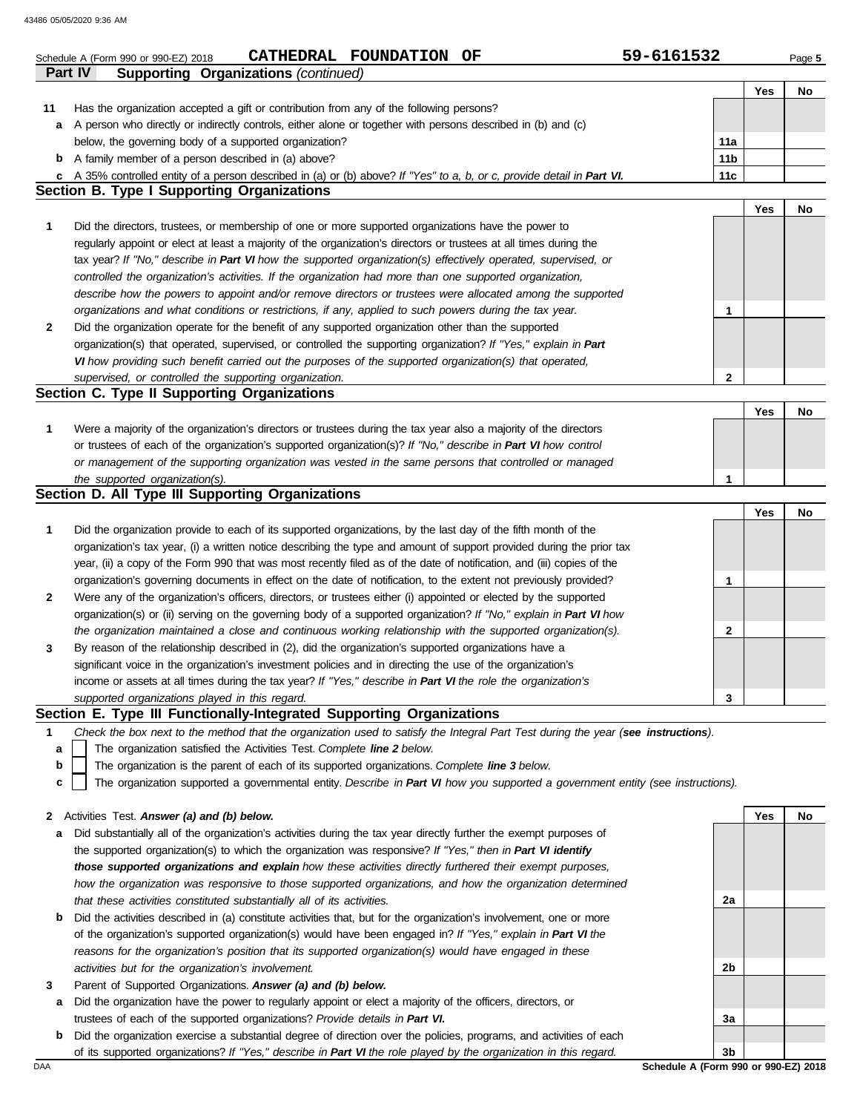**Part IV Supporting Organizations** *(continued)*

|             |                                                                                                                                   |                 | Yes | No |
|-------------|-----------------------------------------------------------------------------------------------------------------------------------|-----------------|-----|----|
| 11          | Has the organization accepted a gift or contribution from any of the following persons?                                           |                 |     |    |
| a           | A person who directly or indirectly controls, either alone or together with persons described in (b) and (c)                      |                 |     |    |
|             | below, the governing body of a supported organization?                                                                            | 11a             |     |    |
|             | <b>b</b> A family member of a person described in (a) above?                                                                      | 11 <sub>b</sub> |     |    |
|             | c A 35% controlled entity of a person described in (a) or (b) above? If "Yes" to a, b, or c, provide detail in Part VI.           | 11c             |     |    |
|             | <b>Section B. Type I Supporting Organizations</b>                                                                                 |                 |     |    |
|             |                                                                                                                                   |                 | Yes | No |
| 1           | Did the directors, trustees, or membership of one or more supported organizations have the power to                               |                 |     |    |
|             | regularly appoint or elect at least a majority of the organization's directors or trustees at all times during the                |                 |     |    |
|             | tax year? If "No," describe in Part VI how the supported organization(s) effectively operated, supervised, or                     |                 |     |    |
|             | controlled the organization's activities. If the organization had more than one supported organization,                           |                 |     |    |
|             | describe how the powers to appoint and/or remove directors or trustees were allocated among the supported                         |                 |     |    |
|             | organizations and what conditions or restrictions, if any, applied to such powers during the tax year.                            | 1               |     |    |
| 2           | Did the organization operate for the benefit of any supported organization other than the supported                               |                 |     |    |
|             | organization(s) that operated, supervised, or controlled the supporting organization? If "Yes," explain in Part                   |                 |     |    |
|             | VI how providing such benefit carried out the purposes of the supported organization(s) that operated,                            |                 |     |    |
|             | supervised, or controlled the supporting organization.                                                                            | $\mathbf{2}$    |     |    |
|             | <b>Section C. Type II Supporting Organizations</b>                                                                                |                 |     |    |
|             |                                                                                                                                   |                 | Yes | No |
| 1           | Were a majority of the organization's directors or trustees during the tax year also a majority of the directors                  |                 |     |    |
|             | or trustees of each of the organization's supported organization(s)? If "No," describe in Part VI how control                     |                 |     |    |
|             | or management of the supporting organization was vested in the same persons that controlled or managed                            |                 |     |    |
|             | the supported organization(s).<br>Section D. All Type III Supporting Organizations                                                | 1               |     |    |
|             |                                                                                                                                   |                 | Yes | No |
| 1           | Did the organization provide to each of its supported organizations, by the last day of the fifth month of the                    |                 |     |    |
|             | organization's tax year, (i) a written notice describing the type and amount of support provided during the prior tax             |                 |     |    |
|             | year, (ii) a copy of the Form 990 that was most recently filed as of the date of notification, and (iii) copies of the            |                 |     |    |
|             | organization's governing documents in effect on the date of notification, to the extent not previously provided?                  | 1               |     |    |
| 2           | Were any of the organization's officers, directors, or trustees either (i) appointed or elected by the supported                  |                 |     |    |
|             | organization(s) or (ii) serving on the governing body of a supported organization? If "No," explain in Part VI how                |                 |     |    |
|             | the organization maintained a close and continuous working relationship with the supported organization(s).                       | $\mathbf{2}$    |     |    |
| 3           | By reason of the relationship described in (2), did the organization's supported organizations have a                             |                 |     |    |
|             | significant voice in the organization's investment policies and in directing the use of the organization's                        |                 |     |    |
|             | income or assets at all times during the tax year? If "Yes," describe in Part VI the role the organization's                      |                 |     |    |
|             | supported organizations played in this regard.                                                                                    | 3               |     |    |
|             | Section E. Type III Functionally-Integrated Supporting Organizations                                                              |                 |     |    |
| 1           | Check the box next to the method that the organization used to satisfy the Integral Part Test during the year (see instructions). |                 |     |    |
| а           | The organization satisfied the Activities Test. Complete line 2 below.                                                            |                 |     |    |
| $\mathbf b$ | The organization is the parent of each of its supported organizations. Complete line 3 below.                                     |                 |     |    |
| c           | The organization supported a governmental entity. Describe in Part VI how you supported a government entity (see instructions).   |                 |     |    |
|             |                                                                                                                                   |                 |     |    |
| 2           | Activities Test. Answer (a) and (b) below.                                                                                        |                 | Yes | No |
| a           | Did substantially all of the organization's activities during the tax year directly further the exempt purposes of                |                 |     |    |
|             | the supported organization(s) to which the organization was responsive? If "Yes," then in Part VI identify                        |                 |     |    |
|             | those supported organizations and explain how these activities directly furthered their exempt purposes,                          |                 |     |    |
|             | how the organization was responsive to those supported organizations, and how the organization determined                         |                 |     |    |
|             | that these activities constituted substantially all of its activities.                                                            | 2a              |     |    |
| b           | Did the activities described in (a) constitute activities that, but for the organization's involvement, one or more               |                 |     |    |
|             | of the organization's supported organization(s) would have been engaged in? If "Yes," explain in Part VI the                      |                 |     |    |
|             | reasons for the organization's position that its supported organization(s) would have engaged in these                            |                 |     |    |
|             | activities but for the organization's involvement.                                                                                | 2b              |     |    |
| 3           | Parent of Supported Organizations. Answer (a) and (b) below.                                                                      |                 |     |    |
| а           | Did the organization have the power to regularly appoint or elect a majority of the officers, directors, or                       |                 |     |    |
|             | trustees of each of the supported organizations? Provide details in Part VI.                                                      | За              |     |    |
| b           | Did the organization exercise a substantial degree of direction over the policies, programs, and activities of each               |                 |     |    |
|             | of its supported organizations? If "Yes," describe in Part VI the role played by the organization in this regard.                 | 3b              |     |    |
| DAA         | Schedule A (Form 990 or 990-EZ) 2018                                                                                              |                 |     |    |
|             |                                                                                                                                   |                 |     |    |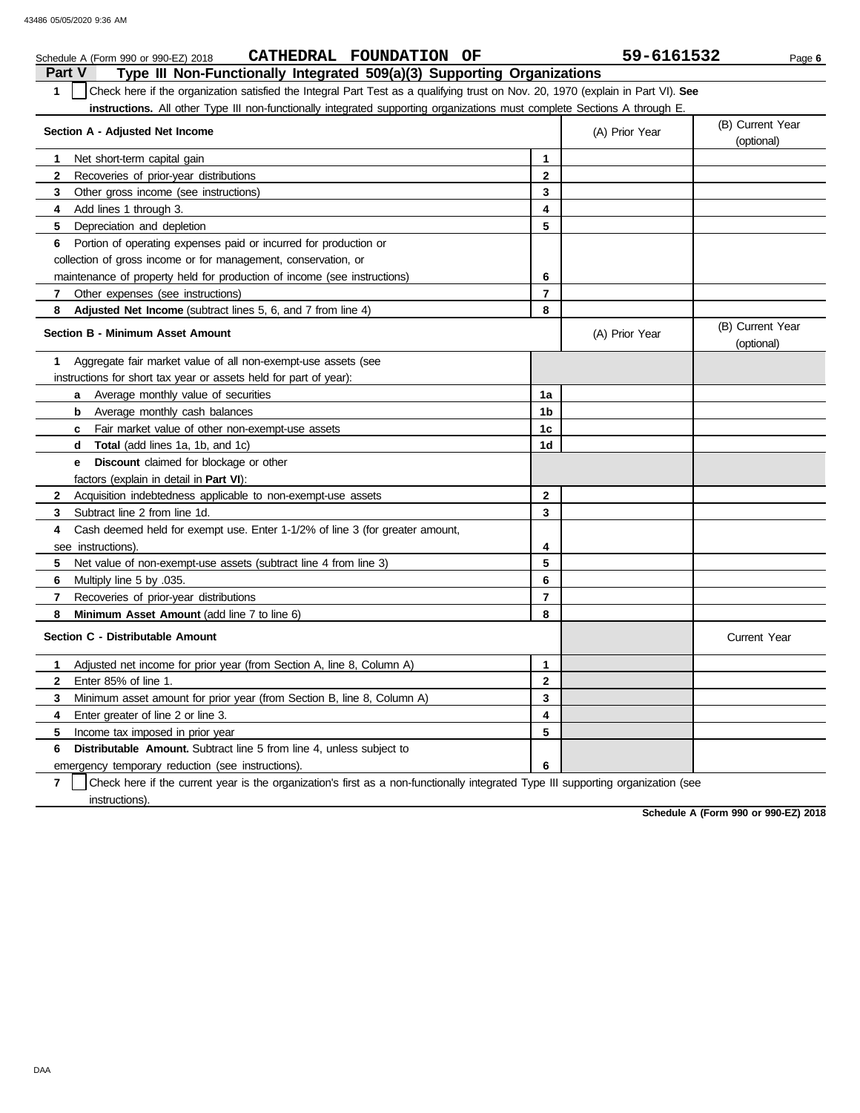| CATHEDRAL FOUNDATION OF<br>Schedule A (Form 990 or 990-EZ) 2018                                                                       |                | 59-6161532     | Page 6                         |
|---------------------------------------------------------------------------------------------------------------------------------------|----------------|----------------|--------------------------------|
| Type III Non-Functionally Integrated 509(a)(3) Supporting Organizations<br>Part V                                                     |                |                |                                |
| Check here if the organization satisfied the Integral Part Test as a qualifying trust on Nov. 20, 1970 (explain in Part VI). See<br>1 |                |                |                                |
| instructions. All other Type III non-functionally integrated supporting organizations must complete Sections A through E.             |                |                |                                |
| Section A - Adjusted Net Income                                                                                                       |                | (A) Prior Year | (B) Current Year<br>(optional) |
| Net short-term capital gain<br>1                                                                                                      | 1              |                |                                |
| 2<br>Recoveries of prior-year distributions                                                                                           | $\mathbf 2$    |                |                                |
| 3<br>Other gross income (see instructions)                                                                                            | 3              |                |                                |
| Add lines 1 through 3.<br>4                                                                                                           | 4              |                |                                |
| 5<br>Depreciation and depletion                                                                                                       | 5              |                |                                |
| Portion of operating expenses paid or incurred for production or<br>6                                                                 |                |                |                                |
| collection of gross income or for management, conservation, or                                                                        |                |                |                                |
| maintenance of property held for production of income (see instructions)                                                              | 6              |                |                                |
| $\overline{7}$<br>Other expenses (see instructions)                                                                                   | $\overline{7}$ |                |                                |
| 8<br>Adjusted Net Income (subtract lines 5, 6, and 7 from line 4)                                                                     | 8              |                |                                |
| Section B - Minimum Asset Amount                                                                                                      |                | (A) Prior Year | (B) Current Year<br>(optional) |
| Aggregate fair market value of all non-exempt-use assets (see<br>1                                                                    |                |                |                                |
| instructions for short tax year or assets held for part of year):                                                                     |                |                |                                |
| <b>a</b> Average monthly value of securities                                                                                          | 1a             |                |                                |
| <b>b</b> Average monthly cash balances                                                                                                | 1b             |                |                                |
| Fair market value of other non-exempt-use assets<br>C                                                                                 | 1 <sub>c</sub> |                |                                |
| <b>d Total</b> (add lines 1a, 1b, and 1c)                                                                                             | 1d             |                |                                |
| Discount claimed for blockage or other<br>e                                                                                           |                |                |                                |
| factors (explain in detail in Part VI):                                                                                               |                |                |                                |
| $\mathbf{2}$<br>Acquisition indebtedness applicable to non-exempt-use assets                                                          | $\mathbf{2}$   |                |                                |
| Subtract line 2 from line 1d.<br>3                                                                                                    | 3              |                |                                |
| Cash deemed held for exempt use. Enter 1-1/2% of line 3 (for greater amount,<br>4                                                     |                |                |                                |
| see instructions).                                                                                                                    | 4              |                |                                |
| 5<br>Net value of non-exempt-use assets (subtract line 4 from line 3)                                                                 | 5              |                |                                |
| 6<br>Multiply line 5 by .035.                                                                                                         | 6              |                |                                |
| $\overline{7}$<br>Recoveries of prior-year distributions                                                                              | $\overline{7}$ |                |                                |
| 8<br>Minimum Asset Amount (add line 7 to line 6)                                                                                      | 8              |                |                                |
| Section C - Distributable Amount                                                                                                      |                |                | <b>Current Year</b>            |
| Adjusted net income for prior year (from Section A, line 8, Column A)<br>1                                                            | 1              |                |                                |
| $\mathbf{2}$<br>Enter 85% of line 1.                                                                                                  | $\mathbf 2$    |                |                                |
| 3<br>Minimum asset amount for prior year (from Section B, line 8, Column A)                                                           | 3              |                |                                |
| Enter greater of line 2 or line 3.<br>4                                                                                               | 4              |                |                                |
| Income tax imposed in prior year<br>5                                                                                                 | 5              |                |                                |
| Distributable Amount. Subtract line 5 from line 4, unless subject to<br>6                                                             |                |                |                                |
| emergency temporary reduction (see instructions).                                                                                     | 6              |                |                                |

**7** instructions). Check here if the current year is the organization's first as a non-functionally integrated Type III supporting organization (see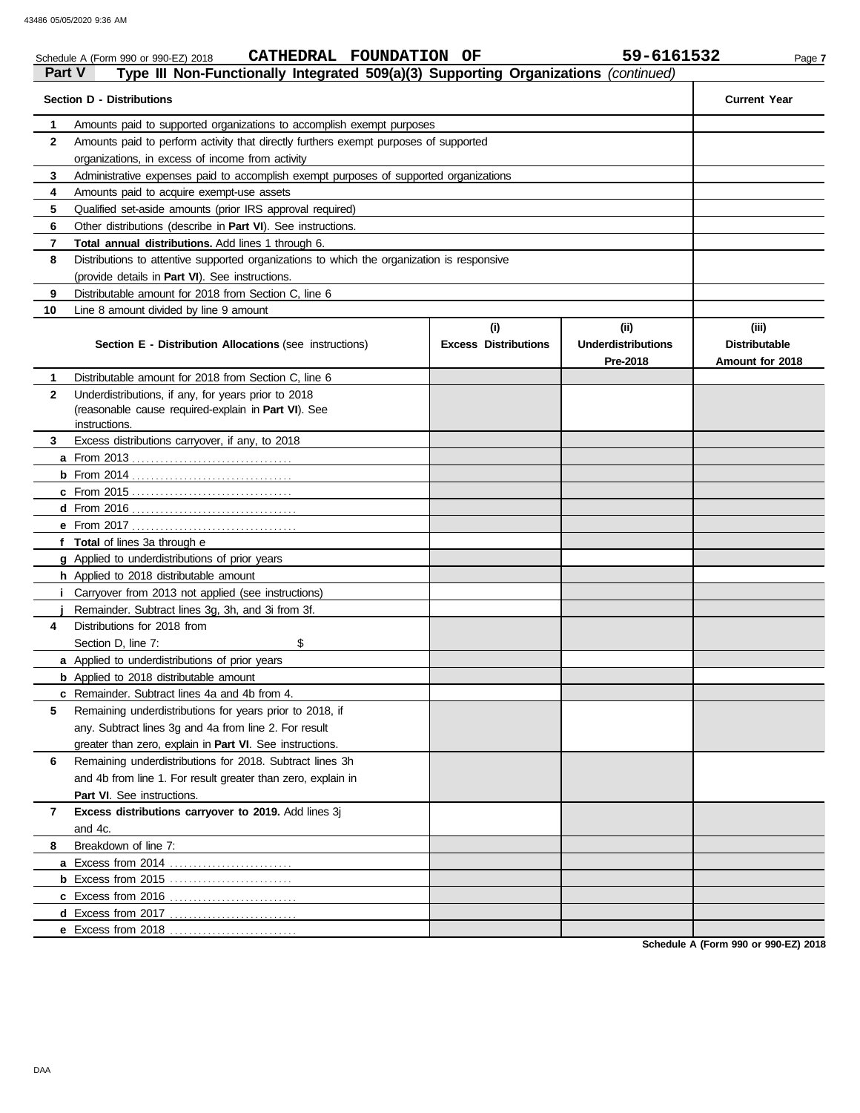|              | CATHEDRAL FOUNDATION OF<br>Schedule A (Form 990 or 990-EZ) 2018                                                             |                                    | 59-6161532                                    | Page 7                                           |
|--------------|-----------------------------------------------------------------------------------------------------------------------------|------------------------------------|-----------------------------------------------|--------------------------------------------------|
| Part V       | Type III Non-Functionally Integrated 509(a)(3) Supporting Organizations (continued)                                         |                                    |                                               |                                                  |
|              | <b>Section D - Distributions</b>                                                                                            |                                    |                                               | <b>Current Year</b>                              |
| 1            | Amounts paid to supported organizations to accomplish exempt purposes                                                       |                                    |                                               |                                                  |
| $\mathbf{2}$ | Amounts paid to perform activity that directly furthers exempt purposes of supported                                        |                                    |                                               |                                                  |
|              | organizations, in excess of income from activity                                                                            |                                    |                                               |                                                  |
| 3            | Administrative expenses paid to accomplish exempt purposes of supported organizations                                       |                                    |                                               |                                                  |
| 4            | Amounts paid to acquire exempt-use assets                                                                                   |                                    |                                               |                                                  |
| 5            | Qualified set-aside amounts (prior IRS approval required)                                                                   |                                    |                                               |                                                  |
| 6            | Other distributions (describe in Part VI). See instructions.                                                                |                                    |                                               |                                                  |
| 7            | Total annual distributions. Add lines 1 through 6.                                                                          |                                    |                                               |                                                  |
| 8            | Distributions to attentive supported organizations to which the organization is responsive                                  |                                    |                                               |                                                  |
|              | (provide details in Part VI). See instructions.                                                                             |                                    |                                               |                                                  |
| 9            | Distributable amount for 2018 from Section C, line 6                                                                        |                                    |                                               |                                                  |
| 10           | Line 8 amount divided by line 9 amount                                                                                      |                                    |                                               |                                                  |
|              | <b>Section E - Distribution Allocations (see instructions)</b>                                                              | (i)<br><b>Excess Distributions</b> | (ii)<br><b>Underdistributions</b><br>Pre-2018 | (iii)<br><b>Distributable</b><br>Amount for 2018 |
| 1            | Distributable amount for 2018 from Section C, line 6                                                                        |                                    |                                               |                                                  |
| $\mathbf{2}$ | Underdistributions, if any, for years prior to 2018<br>(reasonable cause required-explain in Part VI). See<br>instructions. |                                    |                                               |                                                  |
| 3            | Excess distributions carryover, if any, to 2018                                                                             |                                    |                                               |                                                  |
|              |                                                                                                                             |                                    |                                               |                                                  |
|              |                                                                                                                             |                                    |                                               |                                                  |
|              |                                                                                                                             |                                    |                                               |                                                  |
|              |                                                                                                                             |                                    |                                               |                                                  |
|              |                                                                                                                             |                                    |                                               |                                                  |
|              | f Total of lines 3a through e                                                                                               |                                    |                                               |                                                  |
|              | g Applied to underdistributions of prior years                                                                              |                                    |                                               |                                                  |
|              | h Applied to 2018 distributable amount                                                                                      |                                    |                                               |                                                  |
| İ.           | Carryover from 2013 not applied (see instructions)                                                                          |                                    |                                               |                                                  |
|              | Remainder. Subtract lines 3g, 3h, and 3i from 3f.                                                                           |                                    |                                               |                                                  |
| 4            | Distributions for 2018 from                                                                                                 |                                    |                                               |                                                  |
|              | Section D, line 7:<br>\$                                                                                                    |                                    |                                               |                                                  |
|              | a Applied to underdistributions of prior years                                                                              |                                    |                                               |                                                  |
|              | <b>b</b> Applied to 2018 distributable amount                                                                               |                                    |                                               |                                                  |
|              | c Remainder. Subtract lines 4a and 4b from 4.                                                                               |                                    |                                               |                                                  |
| 5            | Remaining underdistributions for years prior to 2018, if                                                                    |                                    |                                               |                                                  |
|              | any. Subtract lines 3g and 4a from line 2. For result                                                                       |                                    |                                               |                                                  |
|              | greater than zero, explain in Part VI. See instructions.                                                                    |                                    |                                               |                                                  |
| 6            | Remaining underdistributions for 2018. Subtract lines 3h                                                                    |                                    |                                               |                                                  |
|              | and 4b from line 1. For result greater than zero, explain in                                                                |                                    |                                               |                                                  |
|              | Part VI. See instructions.                                                                                                  |                                    |                                               |                                                  |
| 7            | Excess distributions carryover to 2019. Add lines 3j                                                                        |                                    |                                               |                                                  |
|              | and 4c.                                                                                                                     |                                    |                                               |                                                  |
| 8            | Breakdown of line 7:                                                                                                        |                                    |                                               |                                                  |
|              |                                                                                                                             |                                    |                                               |                                                  |
|              | <b>b</b> Excess from 2015 $\ldots$                                                                                          |                                    |                                               |                                                  |
|              |                                                                                                                             |                                    |                                               |                                                  |
|              |                                                                                                                             |                                    |                                               |                                                  |
|              |                                                                                                                             |                                    |                                               |                                                  |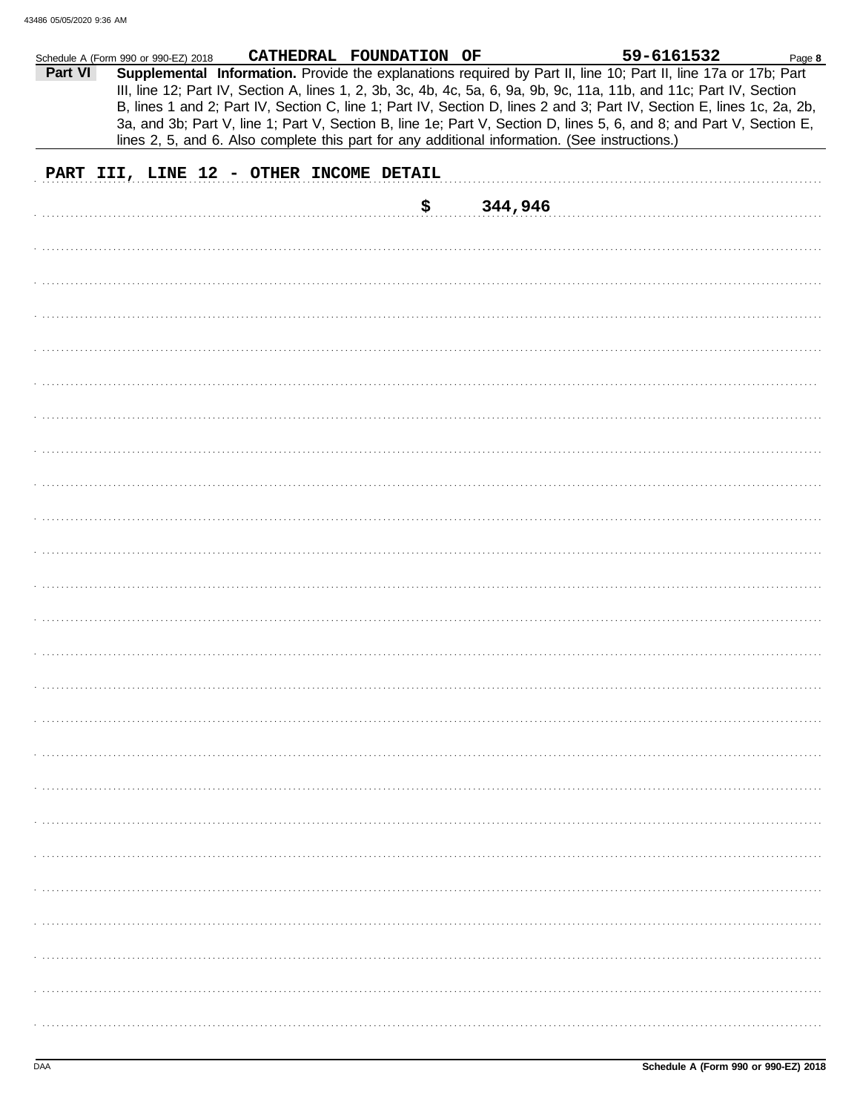|         | CATHEDRAL FOUNDATION OF<br>Schedule A (Form 990 or 990-EZ) 2018                                                                                                                                                                                                                                                                                  | 59-6161532 | Page 8 |
|---------|--------------------------------------------------------------------------------------------------------------------------------------------------------------------------------------------------------------------------------------------------------------------------------------------------------------------------------------------------|------------|--------|
| Part VI | Supplemental Information. Provide the explanations required by Part II, line 10; Part II, line 17a or 17b; Part<br>III, line 12; Part IV, Section A, lines 1, 2, 3b, 3c, 4b, 4c, 5a, 6, 9a, 9b, 9c, 11a, 11b, and 11c; Part IV, Section                                                                                                          |            |        |
|         | B, lines 1 and 2; Part IV, Section C, line 1; Part IV, Section D, lines 2 and 3; Part IV, Section E, lines 1c, 2a, 2b,<br>3a, and 3b; Part V, line 1; Part V, Section B, line 1e; Part V, Section D, lines 5, 6, and 8; and Part V, Section E,<br>lines 2, 5, and 6. Also complete this part for any additional information. (See instructions.) |            |        |
|         | PART III, LINE 12 - OTHER INCOME DETAIL                                                                                                                                                                                                                                                                                                          |            |        |
|         | \$<br>344,946                                                                                                                                                                                                                                                                                                                                    |            |        |
|         |                                                                                                                                                                                                                                                                                                                                                  |            |        |
|         |                                                                                                                                                                                                                                                                                                                                                  |            |        |
|         |                                                                                                                                                                                                                                                                                                                                                  |            |        |
|         |                                                                                                                                                                                                                                                                                                                                                  |            |        |
|         |                                                                                                                                                                                                                                                                                                                                                  |            |        |
|         |                                                                                                                                                                                                                                                                                                                                                  |            |        |
|         |                                                                                                                                                                                                                                                                                                                                                  |            |        |
|         |                                                                                                                                                                                                                                                                                                                                                  |            |        |
|         |                                                                                                                                                                                                                                                                                                                                                  |            |        |
|         |                                                                                                                                                                                                                                                                                                                                                  |            |        |
|         |                                                                                                                                                                                                                                                                                                                                                  |            |        |
|         |                                                                                                                                                                                                                                                                                                                                                  |            |        |
|         |                                                                                                                                                                                                                                                                                                                                                  |            |        |
|         |                                                                                                                                                                                                                                                                                                                                                  |            |        |
|         |                                                                                                                                                                                                                                                                                                                                                  |            |        |
|         |                                                                                                                                                                                                                                                                                                                                                  |            |        |
|         |                                                                                                                                                                                                                                                                                                                                                  |            |        |
|         |                                                                                                                                                                                                                                                                                                                                                  |            |        |
|         |                                                                                                                                                                                                                                                                                                                                                  |            |        |
|         |                                                                                                                                                                                                                                                                                                                                                  |            |        |
|         |                                                                                                                                                                                                                                                                                                                                                  |            |        |
|         |                                                                                                                                                                                                                                                                                                                                                  |            |        |
|         |                                                                                                                                                                                                                                                                                                                                                  |            |        |
|         |                                                                                                                                                                                                                                                                                                                                                  |            |        |
|         |                                                                                                                                                                                                                                                                                                                                                  |            |        |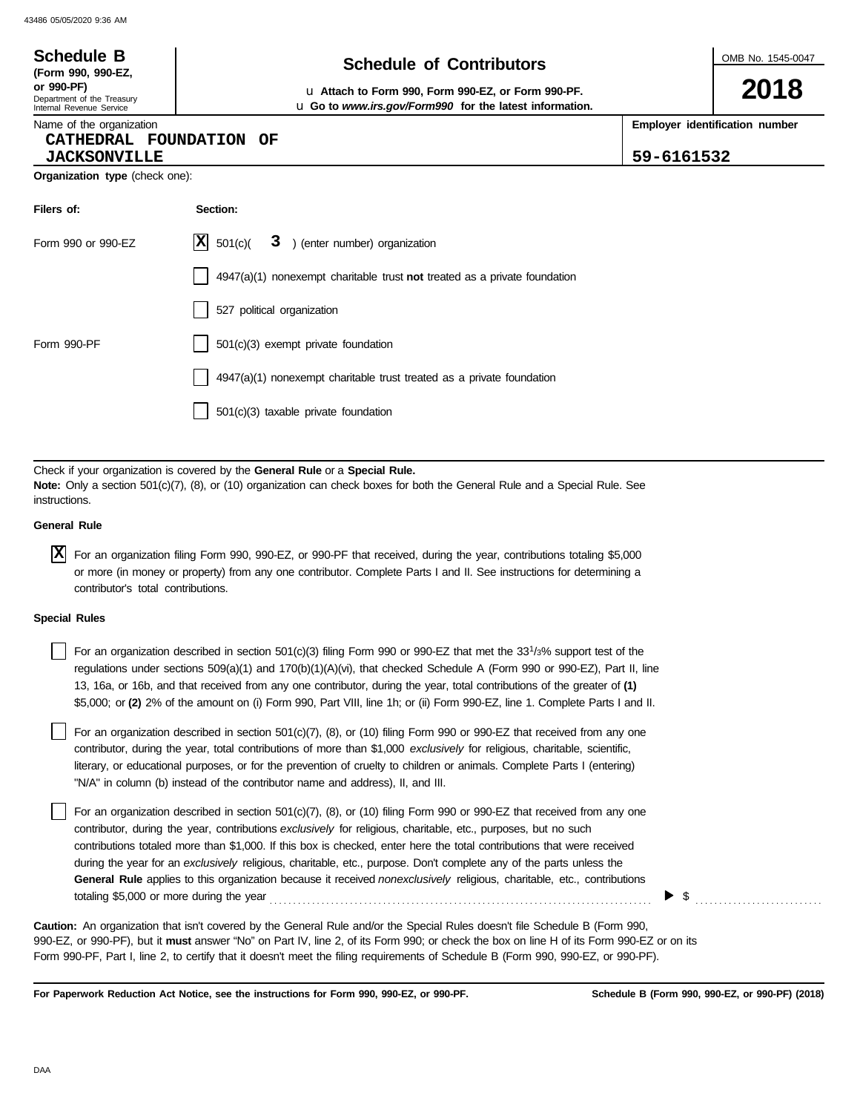| <b>Schedule B</b><br>(Form 990, 990-EZ,                                    | <b>Schedule of Contributors</b>                                                                               |                                              | OMB No. 1545-0047 |
|----------------------------------------------------------------------------|---------------------------------------------------------------------------------------------------------------|----------------------------------------------|-------------------|
| or 990-PF)<br>Department of the Treasury<br>Internal Revenue Service       | u Attach to Form 990, Form 990-EZ, or Form 990-PF.<br>u Go to www.irs.gov/Form990 for the latest information. |                                              | 2018              |
| Name of the organization<br>CATHEDRAL FOUNDATION OF<br><b>JACKSONVILLE</b> |                                                                                                               | Employer identification number<br>59-6161532 |                   |
| Organization type (check one):                                             |                                                                                                               |                                              |                   |
| Filers of:                                                                 | Section:                                                                                                      |                                              |                   |
| Form 990 or 990-EZ                                                         | $ \mathbf{X} $ 501(c)(<br>3 ) (enter number) organization                                                     |                                              |                   |
|                                                                            | 4947(a)(1) nonexempt charitable trust not treated as a private foundation                                     |                                              |                   |
|                                                                            | 527 political organization                                                                                    |                                              |                   |
| Form 990-PF                                                                | 501(c)(3) exempt private foundation                                                                           |                                              |                   |
|                                                                            | 4947(a)(1) nonexempt charitable trust treated as a private foundation                                         |                                              |                   |
|                                                                            | 501(c)(3) taxable private foundation                                                                          |                                              |                   |
|                                                                            |                                                                                                               |                                              |                   |
|                                                                            | Check if your organization is covered by the General Rule or a Special Rule.                                  |                                              |                   |

**Note:** Only a section 501(c)(7), (8), or (10) organization can check boxes for both the General Rule and a Special Rule. See instructions.

### **General Rule**

For an organization filing Form 990, 990-EZ, or 990-PF that received, during the year, contributions totaling \$5,000 **X** or more (in money or property) from any one contributor. Complete Parts I and II. See instructions for determining a contributor's total contributions.

#### **Special Rules**

| For an organization described in section 501(c)(3) filing Form 990 or 990-EZ that met the 33 <sup>1</sup> /3% support test of the |
|-----------------------------------------------------------------------------------------------------------------------------------|
| regulations under sections 509(a)(1) and 170(b)(1)(A)(vi), that checked Schedule A (Form 990 or 990-EZ), Part II, line            |
| 13, 16a, or 16b, and that received from any one contributor, during the year, total contributions of the greater of (1)           |
| \$5,000; or (2) 2% of the amount on (i) Form 990, Part VIII, line 1h; or (ii) Form 990-EZ, line 1. Complete Parts I and II.       |

literary, or educational purposes, or for the prevention of cruelty to children or animals. Complete Parts I (entering) For an organization described in section 501(c)(7), (8), or (10) filing Form 990 or 990-EZ that received from any one contributor, during the year, total contributions of more than \$1,000 *exclusively* for religious, charitable, scientific, "N/A" in column (b) instead of the contributor name and address), II, and III.

For an organization described in section 501(c)(7), (8), or (10) filing Form 990 or 990-EZ that received from any one contributor, during the year, contributions *exclusively* for religious, charitable, etc., purposes, but no such contributions totaled more than \$1,000. If this box is checked, enter here the total contributions that were received during the year for an *exclusively* religious, charitable, etc., purpose. Don't complete any of the parts unless the **General Rule** applies to this organization because it received *nonexclusively* religious, charitable, etc., contributions totaling \$5,000 or more during the year . . . . . . . . . . . . . . . . . . . . . . . . . . . . . . . . . . . . . . . . . . . . . . . . . . . . . . . . . . . . . . . . . . . . . . . . . . . . . . . . .

990-EZ, or 990-PF), but it **must** answer "No" on Part IV, line 2, of its Form 990; or check the box on line H of its Form 990-EZ or on its Form 990-PF, Part I, line 2, to certify that it doesn't meet the filing requirements of Schedule B (Form 990, 990-EZ, or 990-PF). **Caution:** An organization that isn't covered by the General Rule and/or the Special Rules doesn't file Schedule B (Form 990,

**For Paperwork Reduction Act Notice, see the instructions for Form 990, 990-EZ, or 990-PF.**

 $\triangleright$  \$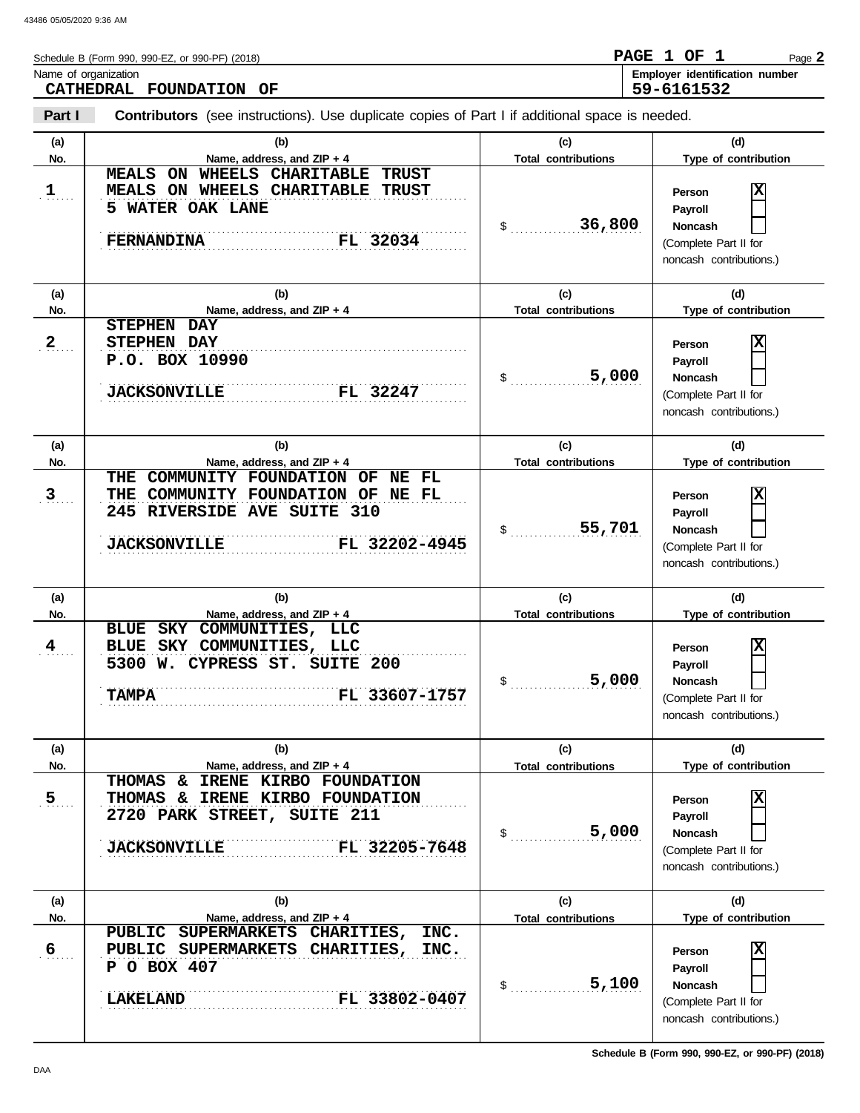|                      | Schedule B (Form 990, 990-EZ, or 990-PF) (2018)                                                                                                                             |                                   | PAGE 1 OF 1<br>Page 2                                                                        |
|----------------------|-----------------------------------------------------------------------------------------------------------------------------------------------------------------------------|-----------------------------------|----------------------------------------------------------------------------------------------|
| Name of organization | CATHEDRAL FOUNDATION OF                                                                                                                                                     |                                   | Employer identification number<br>59-6161532                                                 |
| Part I               | Contributors (see instructions). Use duplicate copies of Part I if additional space is needed.                                                                              |                                   |                                                                                              |
| (a)<br>No.           | (b)<br>Name, address, and ZIP + 4                                                                                                                                           | (c)<br><b>Total contributions</b> | (d)<br>Type of contribution                                                                  |
| $1$                  | <b>MEALS</b><br><b>ON</b><br><b>WHEELS</b><br><b>CHARITABLE</b><br><b>TRUST</b><br>MEALS ON WHEELS CHARITABLE<br><b>TRUST</b><br>5 WATER OAK LANE<br>FL 32034<br>FERNANDINA | 36,800<br>\$                      | Χ<br>Person<br>Payroll<br><b>Noncash</b><br>(Complete Part II for<br>noncash contributions.) |
| (a)                  | (b)                                                                                                                                                                         | (c)                               | (d)                                                                                          |
| No.                  | Name, address, and ZIP + 4                                                                                                                                                  | <b>Total contributions</b>        | Type of contribution                                                                         |
| $\overline{2}$       | <b>STEPHEN</b><br><b>DAY</b><br><b>STEPHEN DAY</b><br>P.O. BOX 10990<br><b>JACKSONVILLE</b><br>FL 32247                                                                     | 5,000<br>\$                       | x<br>Person<br>Payroll<br><b>Noncash</b><br>(Complete Part II for<br>noncash contributions.) |
| (a)                  | (b)                                                                                                                                                                         | (c)                               | (d)                                                                                          |
| No.                  | Name, address, and ZIP + 4                                                                                                                                                  | <b>Total contributions</b>        | Type of contribution                                                                         |
| 3                    | <b>THE</b><br>COMMUNITY FOUNDATION OF<br>NE<br>FL.<br>THE COMMUNITY FOUNDATION OF NE FL<br>245 RIVERSIDE AVE SUITE 310<br>FL 32202-4945<br><b>JACKSONVILLE</b>              | 55,701<br>\$                      | x<br>Person<br>Payroll<br><b>Noncash</b><br>(Complete Part II for<br>noncash contributions.) |
| (a)                  | (b)                                                                                                                                                                         | (c)                               | (d)                                                                                          |
| No.                  | Name, address, and ZIP + 4                                                                                                                                                  | <b>Total contributions</b>        | Type of contribution                                                                         |
| $\frac{4}{3}$        | SKY<br>COMMUNITIES, LLC<br><b>BLUE</b><br>SKY COMMUNITIES, LLC<br><b>BLUE</b><br>5300 W. CYPRESS ST. SUITE 200<br>FL 33607-1757<br><b>TAMPA</b>                             | 5,000<br>\$                       | X<br>Person<br>Payroll<br>Noncash<br>(Complete Part II for<br>noncash contributions.)        |
| (a)                  | (b)                                                                                                                                                                         | (c)                               | (d)                                                                                          |
| No.                  | Name, address, and ZIP + 4                                                                                                                                                  | <b>Total contributions</b>        | Type of contribution                                                                         |
| $\overline{5}$       | <b>THOMAS &amp;</b><br>IRENE KIRBO FOUNDATION<br>THOMAS & IRENE KIRBO FOUNDATION<br>2720 PARK STREET, SUITE 211<br>FL 32205-7648<br><b>JACKSONVILLE</b>                     | 5,000                             | X<br>Person<br>Payroll<br><b>Noncash</b><br>(Complete Part II for<br>noncash contributions.) |
| (a)                  | (b)                                                                                                                                                                         | (c)                               | (d)                                                                                          |
| No.                  | Name, address, and ZIP + 4                                                                                                                                                  | <b>Total contributions</b>        | Type of contribution                                                                         |
| $6 \overline{6}$     | INC.<br>PUBLIC SUPERMARKETS<br>CHARITIES,<br>PUBLIC SUPERMARKETS<br>CHARITIES,<br>INC.<br>P O BOX 407<br>FL 33802-0407<br><b>LAKELAND</b>                                   | 5,100<br>$\$\quad$                | X<br>Person<br>Payroll<br><b>Noncash</b><br>(Complete Part II for<br>noncash contributions.) |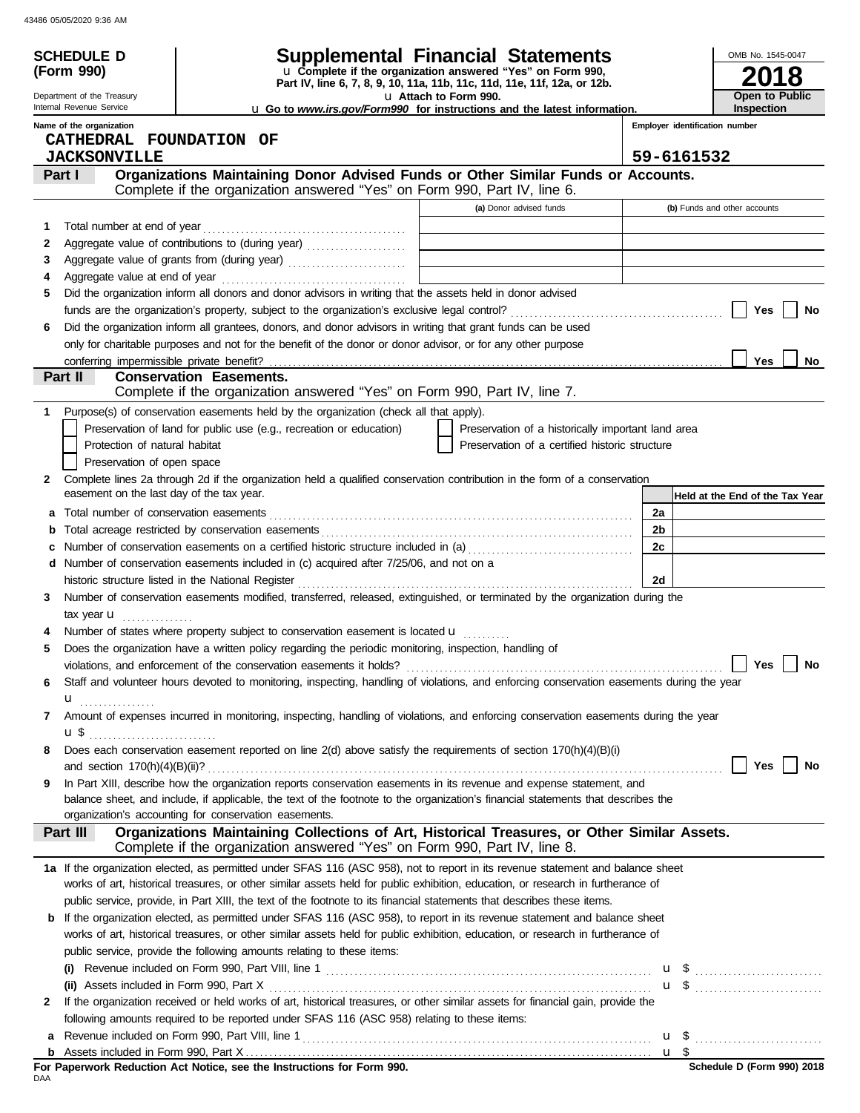|        | <b>SCHEDULE D</b>                              |                                                                                                                                                                           | <b>Supplemental Financial Statements</b>                                                          |    |                                 | OMB No. 1545-0047 |                |
|--------|------------------------------------------------|---------------------------------------------------------------------------------------------------------------------------------------------------------------------------|---------------------------------------------------------------------------------------------------|----|---------------------------------|-------------------|----------------|
|        | (Form 990)                                     |                                                                                                                                                                           | u Complete if the organization answered "Yes" on Form 990,                                        |    |                                 |                   |                |
|        | Department of the Treasury                     |                                                                                                                                                                           | Part IV, line 6, 7, 8, 9, 10, 11a, 11b, 11c, 11d, 11e, 11f, 12a, or 12b.<br>u Attach to Form 990. |    |                                 |                   | Open to Public |
|        | Internal Revenue Service                       |                                                                                                                                                                           | <b>u</b> Go to <i>www.irs.gov/Form990</i> for instructions and the latest information.            |    |                                 | <b>Inspection</b> |                |
|        | Name of the organization                       |                                                                                                                                                                           |                                                                                                   |    | Employer identification number  |                   |                |
|        | CATHEDRAL FOUNDATION OF<br><b>JACKSONVILLE</b> |                                                                                                                                                                           |                                                                                                   |    | 59-6161532                      |                   |                |
|        | Part I                                         | Organizations Maintaining Donor Advised Funds or Other Similar Funds or Accounts.                                                                                         |                                                                                                   |    |                                 |                   |                |
|        |                                                | Complete if the organization answered "Yes" on Form 990, Part IV, line 6.                                                                                                 |                                                                                                   |    |                                 |                   |                |
|        |                                                |                                                                                                                                                                           | (a) Donor advised funds                                                                           |    | (b) Funds and other accounts    |                   |                |
| 1      | Total number at end of year                    |                                                                                                                                                                           |                                                                                                   |    |                                 |                   |                |
| 2      |                                                | Aggregate value of contributions to (during year) [11] [11] Aggregate value of contributions to (during year)                                                             | the control of the control of the control of the control of the control of                        |    |                                 |                   |                |
| 3      |                                                | Aggregate value of grants from (during year)                                                                                                                              | the control of the control of the control of the control of the control of                        |    |                                 |                   |                |
|        |                                                |                                                                                                                                                                           |                                                                                                   |    |                                 |                   |                |
| 5      |                                                | Did the organization inform all donors and donor advisors in writing that the assets held in donor advised                                                                |                                                                                                   |    |                                 | <b>Yes</b>        | No             |
| 6      |                                                | Did the organization inform all grantees, donors, and donor advisors in writing that grant funds can be used                                                              |                                                                                                   |    |                                 |                   |                |
|        |                                                | only for charitable purposes and not for the benefit of the donor or donor advisor, or for any other purpose                                                              |                                                                                                   |    |                                 |                   |                |
|        |                                                |                                                                                                                                                                           |                                                                                                   |    |                                 | <b>Yes</b>        | No             |
|        | Part II                                        | <b>Conservation Easements.</b>                                                                                                                                            |                                                                                                   |    |                                 |                   |                |
|        |                                                | Complete if the organization answered "Yes" on Form 990, Part IV, line 7.                                                                                                 |                                                                                                   |    |                                 |                   |                |
| 1.     |                                                | Purpose(s) of conservation easements held by the organization (check all that apply).                                                                                     |                                                                                                   |    |                                 |                   |                |
|        |                                                | Preservation of land for public use (e.g., recreation or education)                                                                                                       | Preservation of a historically important land area                                                |    |                                 |                   |                |
|        | Protection of natural habitat                  |                                                                                                                                                                           | Preservation of a certified historic structure                                                    |    |                                 |                   |                |
|        | Preservation of open space                     |                                                                                                                                                                           |                                                                                                   |    |                                 |                   |                |
| 2      | easement on the last day of the tax year.      | Complete lines 2a through 2d if the organization held a qualified conservation contribution in the form of a conservation                                                 |                                                                                                   |    |                                 |                   |                |
|        |                                                |                                                                                                                                                                           |                                                                                                   | 2a | Held at the End of the Tax Year |                   |                |
| а<br>b |                                                |                                                                                                                                                                           |                                                                                                   | 2b |                                 |                   |                |
|        |                                                | Number of conservation easements on a certified historic structure included in (a) [[[[[ [ a]]                                                                            |                                                                                                   | 2c |                                 |                   |                |
|        |                                                | d Number of conservation easements included in (c) acquired after 7/25/06, and not on a                                                                                   |                                                                                                   |    |                                 |                   |                |
|        |                                                | historic structure listed in the National Register                                                                                                                        |                                                                                                   | 2d |                                 |                   |                |
| 3      |                                                | Number of conservation easements modified, transferred, released, extinguished, or terminated by the organization during the                                              |                                                                                                   |    |                                 |                   |                |
|        | tax year $\mathbf{u}$                          |                                                                                                                                                                           |                                                                                                   |    |                                 |                   |                |
|        |                                                | Number of states where property subject to conservation easement is located u                                                                                             |                                                                                                   |    |                                 |                   |                |
| 5      |                                                | Does the organization have a written policy regarding the periodic monitoring, inspection, handling of                                                                    |                                                                                                   |    |                                 |                   |                |
|        |                                                |                                                                                                                                                                           |                                                                                                   |    |                                 |                   |                |
| 6      |                                                | Staff and volunteer hours devoted to monitoring, inspecting, handling of violations, and enforcing conservation easements during the year                                 |                                                                                                   |    |                                 |                   |                |
|        | $\mathbf{u}$                                   |                                                                                                                                                                           |                                                                                                   |    |                                 |                   |                |
| 7      |                                                | Amount of expenses incurred in monitoring, inspecting, handling of violations, and enforcing conservation easements during the year                                       |                                                                                                   |    |                                 |                   |                |
| 8      | <b>u</b> \$                                    | Does each conservation easement reported on line 2(d) above satisfy the requirements of section 170(h)(4)(B)(i)                                                           |                                                                                                   |    |                                 |                   |                |
|        |                                                |                                                                                                                                                                           |                                                                                                   |    |                                 | Yes               | <b>No</b>      |
| 9      |                                                | In Part XIII, describe how the organization reports conservation easements in its revenue and expense statement, and                                                      |                                                                                                   |    |                                 |                   |                |
|        |                                                | balance sheet, and include, if applicable, the text of the footnote to the organization's financial statements that describes the                                         |                                                                                                   |    |                                 |                   |                |
|        |                                                | organization's accounting for conservation easements.                                                                                                                     |                                                                                                   |    |                                 |                   |                |
|        | Part III                                       | Organizations Maintaining Collections of Art, Historical Treasures, or Other Similar Assets.<br>Complete if the organization answered "Yes" on Form 990, Part IV, line 8. |                                                                                                   |    |                                 |                   |                |
|        |                                                | 1a If the organization elected, as permitted under SFAS 116 (ASC 958), not to report in its revenue statement and balance sheet                                           |                                                                                                   |    |                                 |                   |                |
|        |                                                | works of art, historical treasures, or other similar assets held for public exhibition, education, or research in furtherance of                                          |                                                                                                   |    |                                 |                   |                |
|        |                                                | public service, provide, in Part XIII, the text of the footnote to its financial statements that describes these items.                                                   |                                                                                                   |    |                                 |                   |                |
| b      |                                                | If the organization elected, as permitted under SFAS 116 (ASC 958), to report in its revenue statement and balance sheet                                                  |                                                                                                   |    |                                 |                   |                |
|        |                                                | works of art, historical treasures, or other similar assets held for public exhibition, education, or research in furtherance of                                          |                                                                                                   |    |                                 |                   |                |
|        |                                                | public service, provide the following amounts relating to these items:                                                                                                    |                                                                                                   |    |                                 |                   |                |
|        |                                                |                                                                                                                                                                           |                                                                                                   |    | <b>u</b> \$                     |                   |                |
| 2      |                                                | If the organization received or held works of art, historical treasures, or other similar assets for financial gain, provide the                                          |                                                                                                   |    |                                 |                   |                |
|        |                                                | following amounts required to be reported under SFAS 116 (ASC 958) relating to these items:                                                                               |                                                                                                   |    |                                 |                   |                |
| а      |                                                |                                                                                                                                                                           |                                                                                                   |    |                                 |                   |                |
|        |                                                |                                                                                                                                                                           |                                                                                                   |    |                                 |                   |                |

**For Paperwork Reduction Act Notice, see the Instructions for Form 990.**<br><sub>DAA</sub>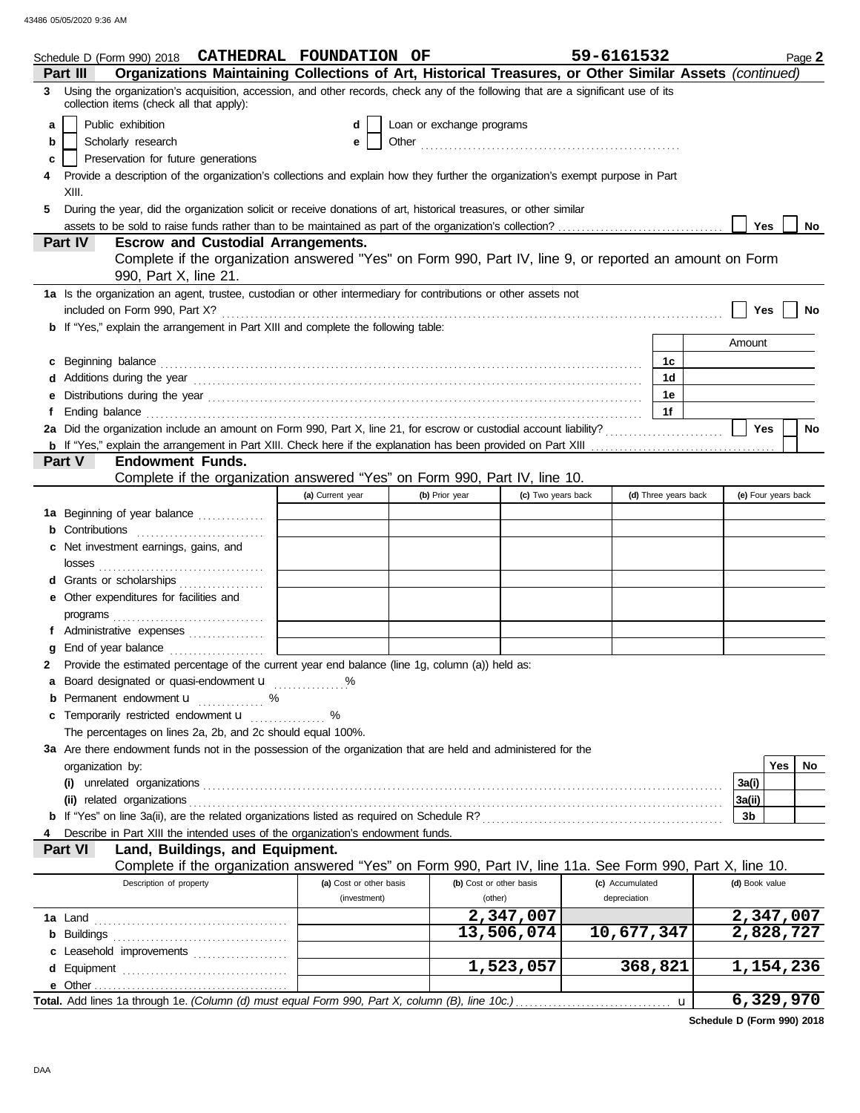|    | Schedule D (Form 990) 2018 CATHEDRAL FOUNDATION OF                                                                                                                           |                         |                           |                    | 59-6161532      |                      |                     |     | Page 2 |
|----|------------------------------------------------------------------------------------------------------------------------------------------------------------------------------|-------------------------|---------------------------|--------------------|-----------------|----------------------|---------------------|-----|--------|
|    | Organizations Maintaining Collections of Art, Historical Treasures, or Other Similar Assets (continued)<br>Part III                                                          |                         |                           |                    |                 |                      |                     |     |        |
| 3  | Using the organization's acquisition, accession, and other records, check any of the following that are a significant use of its<br>collection items (check all that apply): |                         |                           |                    |                 |                      |                     |     |        |
| a  | Public exhibition                                                                                                                                                            | d                       | Loan or exchange programs |                    |                 |                      |                     |     |        |
| b  | Scholarly research                                                                                                                                                           | e                       |                           |                    |                 |                      |                     |     |        |
| c  | Preservation for future generations                                                                                                                                          |                         |                           |                    |                 |                      |                     |     |        |
|    | Provide a description of the organization's collections and explain how they further the organization's exempt purpose in Part                                               |                         |                           |                    |                 |                      |                     |     |        |
|    | XIII.                                                                                                                                                                        |                         |                           |                    |                 |                      |                     |     |        |
| 5. | During the year, did the organization solicit or receive donations of art, historical treasures, or other similar                                                            |                         |                           |                    |                 |                      |                     |     |        |
|    |                                                                                                                                                                              |                         |                           |                    |                 |                      | <b>Yes</b>          |     | No     |
|    | <b>Escrow and Custodial Arrangements.</b><br>Part IV                                                                                                                         |                         |                           |                    |                 |                      |                     |     |        |
|    | Complete if the organization answered "Yes" on Form 990, Part IV, line 9, or reported an amount on Form                                                                      |                         |                           |                    |                 |                      |                     |     |        |
|    | 990, Part X, line 21.                                                                                                                                                        |                         |                           |                    |                 |                      |                     |     |        |
|    | 1a Is the organization an agent, trustee, custodian or other intermediary for contributions or other assets not                                                              |                         |                           |                    |                 |                      |                     |     |        |
|    | included on Form 990, Part X?                                                                                                                                                |                         |                           |                    |                 |                      | Yes                 |     | No     |
|    | <b>b</b> If "Yes," explain the arrangement in Part XIII and complete the following table:                                                                                    |                         |                           |                    |                 |                      |                     |     |        |
|    |                                                                                                                                                                              |                         |                           |                    |                 |                      | Amount              |     |        |
| c  |                                                                                                                                                                              |                         |                           |                    |                 | 1c                   |                     |     |        |
|    |                                                                                                                                                                              |                         |                           |                    |                 | 1 <sub>d</sub>       |                     |     |        |
|    |                                                                                                                                                                              |                         |                           |                    |                 | 1е                   |                     |     |        |
|    |                                                                                                                                                                              |                         |                           |                    |                 | 1f                   |                     |     |        |
|    |                                                                                                                                                                              |                         |                           |                    |                 |                      | Yes                 |     | No     |
|    |                                                                                                                                                                              |                         |                           |                    |                 |                      |                     |     |        |
|    | Part V<br><b>Endowment Funds.</b>                                                                                                                                            |                         |                           |                    |                 |                      |                     |     |        |
|    | Complete if the organization answered "Yes" on Form 990, Part IV, line 10.                                                                                                   |                         |                           |                    |                 |                      |                     |     |        |
|    |                                                                                                                                                                              | (a) Current year        | (b) Prior year            | (c) Two years back |                 | (d) Three years back | (e) Four years back |     |        |
|    | 1a Beginning of year balance                                                                                                                                                 |                         |                           |                    |                 |                      |                     |     |        |
|    | <b>b</b> Contributions <b>contributions</b>                                                                                                                                  |                         |                           |                    |                 |                      |                     |     |        |
| c  | Net investment earnings, gains, and                                                                                                                                          |                         |                           |                    |                 |                      |                     |     |        |
|    |                                                                                                                                                                              |                         |                           |                    |                 |                      |                     |     |        |
|    | d Grants or scholarships                                                                                                                                                     |                         |                           |                    |                 |                      |                     |     |        |
|    | e Other expenditures for facilities and                                                                                                                                      |                         |                           |                    |                 |                      |                     |     |        |
|    |                                                                                                                                                                              |                         |                           |                    |                 |                      |                     |     |        |
|    | f Administrative expenses                                                                                                                                                    |                         |                           |                    |                 |                      |                     |     |        |
|    | End of year balance                                                                                                                                                          |                         |                           |                    |                 |                      |                     |     |        |
|    | 2 Provide the estimated percentage of the current year end balance (line 1g, column (a)) held as:                                                                            |                         |                           |                    |                 |                      |                     |     |        |
|    | Board designated or quasi-endowment <b>u</b> %                                                                                                                               |                         |                           |                    |                 |                      |                     |     |        |
|    | <b>b</b> Permanent endowment $\mathbf{u}$ %                                                                                                                                  |                         |                           |                    |                 |                      |                     |     |        |
|    | Temporarily restricted endowment <b>u</b> %                                                                                                                                  |                         |                           |                    |                 |                      |                     |     |        |
|    | The percentages on lines 2a, 2b, and 2c should equal 100%.                                                                                                                   |                         |                           |                    |                 |                      |                     |     |        |
|    | 3a Are there endowment funds not in the possession of the organization that are held and administered for the                                                                |                         |                           |                    |                 |                      |                     |     |        |
|    | organization by:                                                                                                                                                             |                         |                           |                    |                 |                      |                     | Yes | No.    |
|    |                                                                                                                                                                              |                         |                           |                    |                 |                      | 3a(i)               |     |        |
|    | (ii) related organizations                                                                                                                                                   |                         |                           |                    |                 |                      | 3a(ii)              |     |        |
|    |                                                                                                                                                                              |                         |                           |                    |                 |                      | 3b                  |     |        |
|    | Describe in Part XIII the intended uses of the organization's endowment funds.                                                                                               |                         |                           |                    |                 |                      |                     |     |        |
|    | Land, Buildings, and Equipment.<br>Part VI                                                                                                                                   |                         |                           |                    |                 |                      |                     |     |        |
|    | Complete if the organization answered "Yes" on Form 990, Part IV, line 11a. See Form 990, Part X, line 10.                                                                   |                         |                           |                    |                 |                      |                     |     |        |
|    | Description of property                                                                                                                                                      | (a) Cost or other basis | (b) Cost or other basis   |                    | (c) Accumulated |                      | (d) Book value      |     |        |
|    |                                                                                                                                                                              | (investment)            | (other)                   |                    | depreciation    |                      |                     |     |        |
|    |                                                                                                                                                                              |                         |                           | 2,347,007          |                 |                      | 2,347,007           |     |        |
|    |                                                                                                                                                                              |                         |                           | 13,506,074         | 10,677,347      |                      | 2,828,727           |     |        |
|    | c Leasehold improvements                                                                                                                                                     |                         |                           |                    |                 |                      |                     |     |        |
|    |                                                                                                                                                                              |                         |                           | 1,523,057          |                 | 368,821              | 1,154,236           |     |        |
|    |                                                                                                                                                                              |                         |                           |                    |                 |                      |                     |     |        |
|    |                                                                                                                                                                              |                         |                           |                    |                 |                      | 6,329,970           |     |        |

**Schedule D (Form 990) 2018**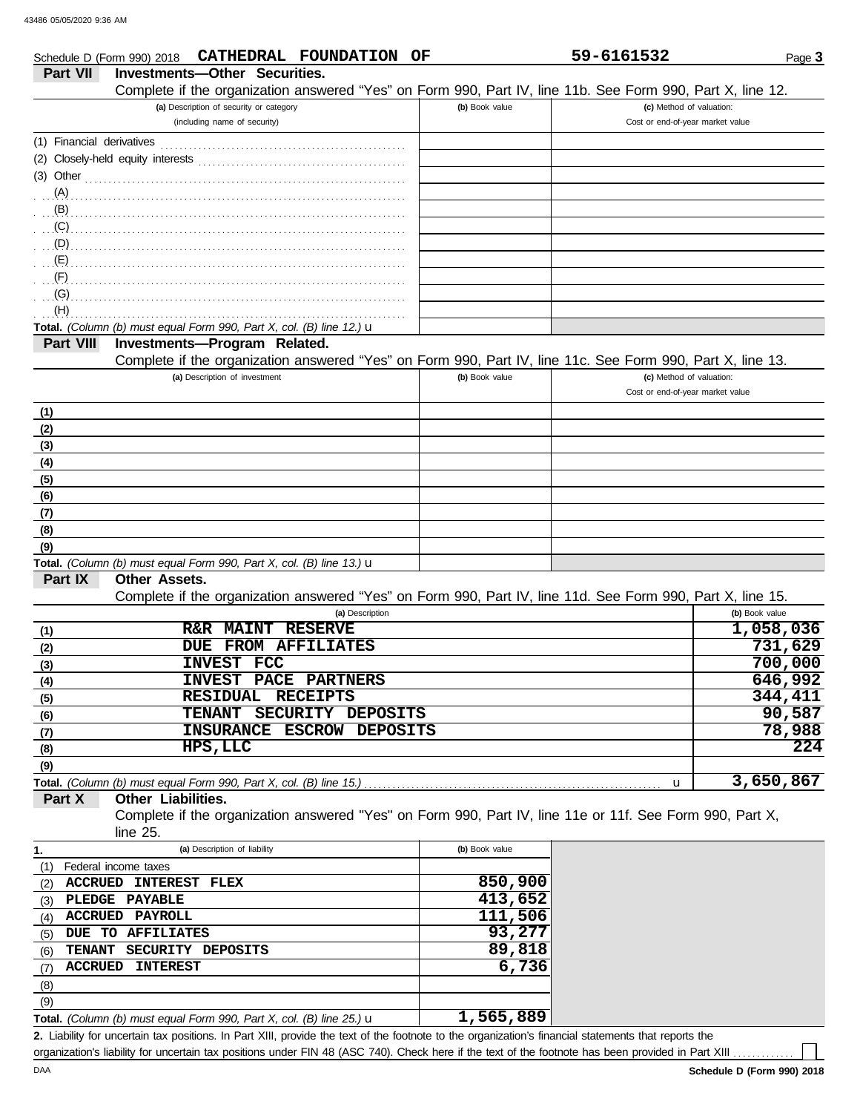|                 | Schedule D (Form 990) 2018 CATHEDRAL FOUNDATION OF                                                         |                | 59-6161532                       | Page 3         |
|-----------------|------------------------------------------------------------------------------------------------------------|----------------|----------------------------------|----------------|
| <b>Part VII</b> | <b>Investments-Other Securities.</b>                                                                       |                |                                  |                |
|                 | Complete if the organization answered "Yes" on Form 990, Part IV, line 11b. See Form 990, Part X, line 12. |                |                                  |                |
|                 | (a) Description of security or category                                                                    | (b) Book value | (c) Method of valuation:         |                |
|                 | (including name of security)                                                                               |                | Cost or end-of-year market value |                |
|                 |                                                                                                            |                |                                  |                |
|                 |                                                                                                            |                |                                  |                |
|                 | $(3)$ Other                                                                                                |                |                                  |                |
|                 |                                                                                                            |                |                                  |                |
|                 | $\mathbf{B}$                                                                                               |                |                                  |                |
|                 |                                                                                                            |                |                                  |                |
|                 | $\mathbf{D}$                                                                                               |                |                                  |                |
|                 |                                                                                                            |                |                                  |                |
|                 |                                                                                                            |                |                                  |                |
|                 |                                                                                                            |                |                                  |                |
| (H)             |                                                                                                            |                |                                  |                |
|                 | Total. (Column (b) must equal Form 990, Part X, col. (B) line 12.) $\mathbf u$                             |                |                                  |                |
| Part VIII       | Investments-Program Related.                                                                               |                |                                  |                |
|                 | Complete if the organization answered "Yes" on Form 990, Part IV, line 11c. See Form 990, Part X, line 13. |                |                                  |                |
|                 | (a) Description of investment                                                                              | (b) Book value | (c) Method of valuation:         |                |
|                 |                                                                                                            |                | Cost or end-of-year market value |                |
| (1)             |                                                                                                            |                |                                  |                |
| (2)             |                                                                                                            |                |                                  |                |
| (3)             |                                                                                                            |                |                                  |                |
| (4)             |                                                                                                            |                |                                  |                |
| (5)             |                                                                                                            |                |                                  |                |
| (6)             |                                                                                                            |                |                                  |                |
| (7)             |                                                                                                            |                |                                  |                |
| (8)             |                                                                                                            |                |                                  |                |
| (9)             |                                                                                                            |                |                                  |                |
| Part IX         | Total. (Column (b) must equal Form 990, Part X, col. (B) line 13.) $\mathbf u$<br><b>Other Assets.</b>     |                |                                  |                |
|                 | Complete if the organization answered "Yes" on Form 990, Part IV, line 11d. See Form 990, Part X, line 15. |                |                                  |                |
|                 | (a) Description                                                                                            |                |                                  | (b) Book value |
|                 | <b>RESERVE</b><br>R&R MAINT                                                                                |                |                                  | 1,058,036      |
| (1)<br>(2)      | <b>DUE FROM AFFILIATES</b>                                                                                 |                |                                  | 731,629        |
| (3)             | <b>INVEST FCC</b>                                                                                          |                |                                  | 700,000        |
| (4)             | INVEST PACE PARTNERS                                                                                       |                |                                  | 646,992        |
| (5)             | RESIDUAL RECEIPTS                                                                                          |                |                                  | 344,411        |
| (6)             | <b>TENANT</b><br>SECURITY DEPOSITS                                                                         |                |                                  | 90,587         |
| (7)             | INSURANCE ESCROW DEPOSITS                                                                                  |                |                                  | 78,988         |
| (8)             | HPS, LLC                                                                                                   |                |                                  | 224            |
| (9)             |                                                                                                            |                |                                  |                |
|                 | Total. (Column (b) must equal Form 990, Part X, col. (B) line 15.)                                         |                | u                                | 3,650,867      |
| Part X          | Other Liabilities.                                                                                         |                |                                  |                |
|                 | Complete if the organization answered "Yes" on Form 990, Part IV, line 11e or 11f. See Form 990, Part X,   |                |                                  |                |
|                 | line 25.                                                                                                   |                |                                  |                |
| 1.              | (a) Description of liability                                                                               | (b) Book value |                                  |                |
| (1)             | Federal income taxes                                                                                       |                |                                  |                |
| (2)             | <b>ACCRUED INTEREST FLEX</b>                                                                               | 850,900        |                                  |                |
| (3)             | PLEDGE PAYABLE                                                                                             | 413,652        |                                  |                |
| (4)             | <b>ACCRUED PAYROLL</b>                                                                                     | 111,506        |                                  |                |
| (5)             | DUE TO AFFILIATES                                                                                          | 93,277         |                                  |                |
| (6)             | TENANT SECURITY DEPOSITS                                                                                   | 89,818         |                                  |                |
| (7)             | <b>ACCRUED INTEREST</b>                                                                                    | 6,736          |                                  |                |
| (8)             |                                                                                                            |                |                                  |                |
| (9)             |                                                                                                            |                |                                  |                |
|                 | Total. (Column (b) must equal Form 990, Part X, col. (B) line 25.) $\mathbf u$                             | 1,565,889      |                                  |                |

Liability for uncertain tax positions. In Part XIII, provide the text of the footnote to the organization's financial statements that reports the **2.** organization's liability for uncertain tax positions under FIN 48 (ASC 740). Check here if the text of the footnote has been provided in Part XIII.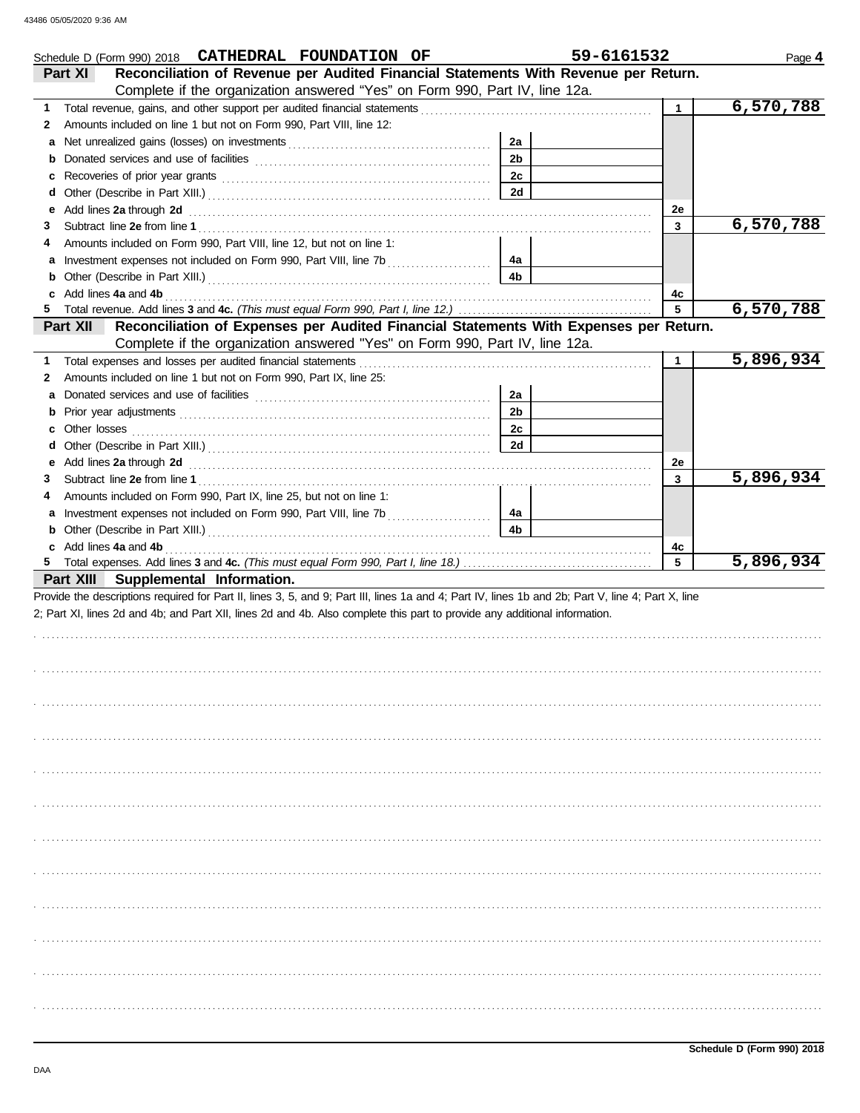| Schedule D (Form 990) 2018 CATHEDRAL FOUNDATION OF                                                                                                 |                | 59-6161532   | Page 4    |
|----------------------------------------------------------------------------------------------------------------------------------------------------|----------------|--------------|-----------|
| Reconciliation of Revenue per Audited Financial Statements With Revenue per Return.<br>Part XI                                                     |                |              |           |
| Complete if the organization answered "Yes" on Form 990, Part IV, line 12a.                                                                        |                |              |           |
| Total revenue, gains, and other support per audited financial statements<br>1                                                                      |                | $\mathbf{1}$ | 6,570,788 |
| Amounts included on line 1 but not on Form 990, Part VIII, line 12:<br>2                                                                           |                |              |           |
| a                                                                                                                                                  | 2a             |              |           |
| b                                                                                                                                                  | 2 <sub>b</sub> |              |           |
| c                                                                                                                                                  | 2c             |              |           |
| d                                                                                                                                                  | 2d             |              |           |
| Add lines 2a through 2d [11] [12] Add [12] [12] Add lines 2a through 2d [12] Add lines 2a through 2d<br>е                                          |                | 2e           |           |
| 3                                                                                                                                                  |                | $\mathbf{3}$ | 6,570,788 |
| Amounts included on Form 990, Part VIII, line 12, but not on line 1:<br>4                                                                          |                |              |           |
| Investment expenses not included on Form 990, Part VIII, line 7b<br>a                                                                              | 4а             |              |           |
| b                                                                                                                                                  | 4b             |              |           |
| Add lines 4a and 4b                                                                                                                                |                | 4c           |           |
| 5.                                                                                                                                                 |                | 5            | 6,570,788 |
| Part XII Reconciliation of Expenses per Audited Financial Statements With Expenses per Return.                                                     |                |              |           |
|                                                                                                                                                    |                |              |           |
| Complete if the organization answered "Yes" on Form 990, Part IV, line 12a.                                                                        |                |              | 5,896,934 |
| Total expenses and losses per audited financial statements<br>1                                                                                    |                | $\mathbf{1}$ |           |
| Amounts included on line 1 but not on Form 990, Part IX, line 25:<br>2                                                                             |                |              |           |
| a                                                                                                                                                  | 2a             |              |           |
| b                                                                                                                                                  | 2 <sub>b</sub> |              |           |
| c                                                                                                                                                  | 2c             |              |           |
| d                                                                                                                                                  | 2d             |              |           |
| е                                                                                                                                                  |                | 2e           |           |
| 3                                                                                                                                                  |                | 3            | 5,896,934 |
| Amounts included on Form 990, Part IX, line 25, but not on line 1:<br>4                                                                            |                |              |           |
| Investment expenses not included on Form 990, Part VIII, line 7b [11, 11, 11, 11, 11, 11]<br>a                                                     | 4a             |              |           |
|                                                                                                                                                    | 4 <sub>b</sub> |              |           |
| c Add lines 4a and 4b                                                                                                                              |                | 4c           |           |
|                                                                                                                                                    |                | 5            | 5,896,934 |
| Part XIII Supplemental Information.                                                                                                                |                |              |           |
| Provide the descriptions required for Part II, lines 3, 5, and 9; Part III, lines 1a and 4; Part IV, lines 1b and 2b; Part V, line 4; Part X, line |                |              |           |
| 2; Part XI, lines 2d and 4b; and Part XII, lines 2d and 4b. Also complete this part to provide any additional information.                         |                |              |           |
|                                                                                                                                                    |                |              |           |
|                                                                                                                                                    |                |              |           |
|                                                                                                                                                    |                |              |           |
|                                                                                                                                                    |                |              |           |
|                                                                                                                                                    |                |              |           |
|                                                                                                                                                    |                |              |           |
|                                                                                                                                                    |                |              |           |
|                                                                                                                                                    |                |              |           |
|                                                                                                                                                    |                |              |           |
|                                                                                                                                                    |                |              |           |
|                                                                                                                                                    |                |              |           |
|                                                                                                                                                    |                |              |           |
|                                                                                                                                                    |                |              |           |
|                                                                                                                                                    |                |              |           |
|                                                                                                                                                    |                |              |           |
|                                                                                                                                                    |                |              |           |
|                                                                                                                                                    |                |              |           |
|                                                                                                                                                    |                |              |           |
|                                                                                                                                                    |                |              |           |
|                                                                                                                                                    |                |              |           |
|                                                                                                                                                    |                |              |           |
|                                                                                                                                                    |                |              |           |
|                                                                                                                                                    |                |              |           |
|                                                                                                                                                    |                |              |           |
|                                                                                                                                                    |                |              |           |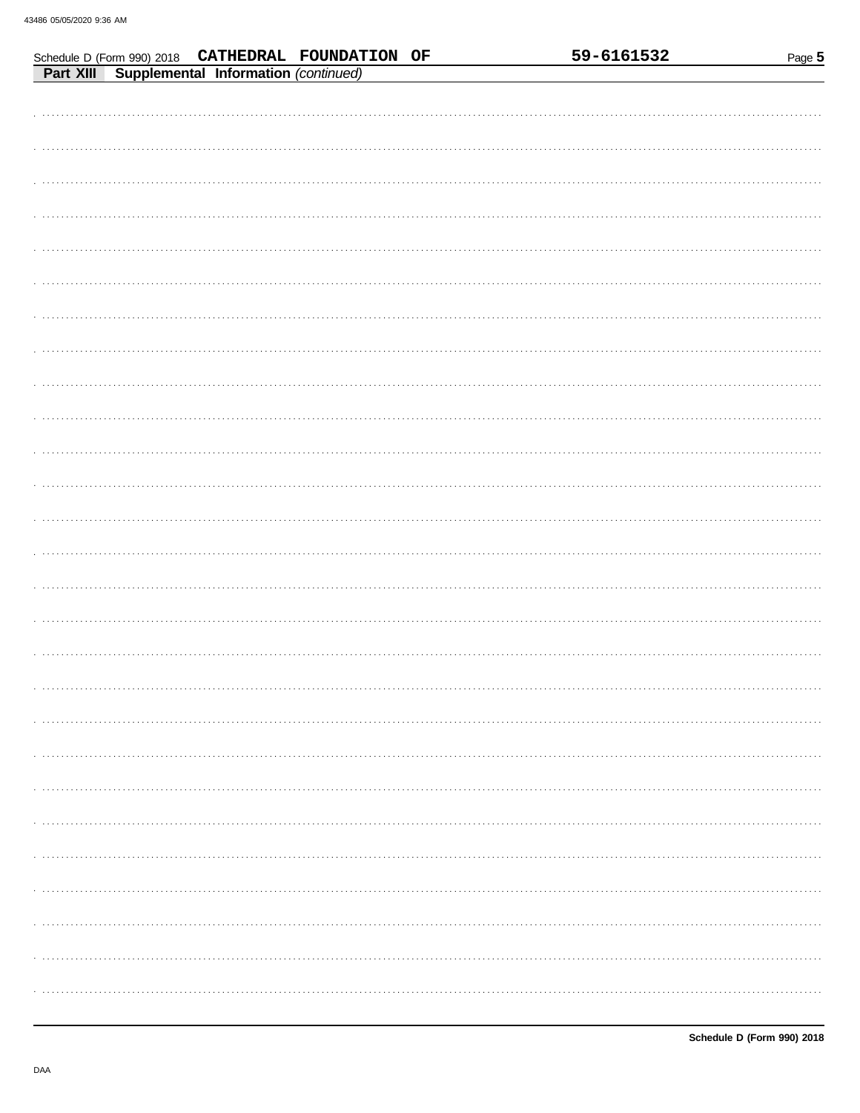|           |                                      | Schedule D (Form 990) 2018 CATHEDRAL FOUNDATION OF |  | 59-6161532 | Page 5 |
|-----------|--------------------------------------|----------------------------------------------------|--|------------|--------|
| Part XIII | Supplemental Information (continued) |                                                    |  |            |        |
|           |                                      |                                                    |  |            |        |
|           |                                      |                                                    |  |            |        |
|           |                                      |                                                    |  |            |        |
|           |                                      |                                                    |  |            |        |
|           |                                      |                                                    |  |            |        |
|           |                                      |                                                    |  |            |        |
|           |                                      |                                                    |  |            |        |
|           |                                      |                                                    |  |            |        |
|           |                                      |                                                    |  |            |        |
|           |                                      |                                                    |  |            |        |
|           |                                      |                                                    |  |            |        |
|           |                                      |                                                    |  |            |        |
|           |                                      |                                                    |  |            |        |
|           |                                      |                                                    |  |            |        |
|           |                                      |                                                    |  |            |        |
|           |                                      |                                                    |  |            |        |
|           |                                      |                                                    |  |            |        |
|           |                                      |                                                    |  |            |        |
|           |                                      |                                                    |  |            |        |
|           |                                      |                                                    |  |            |        |
|           |                                      |                                                    |  |            |        |
|           |                                      |                                                    |  |            |        |
|           |                                      |                                                    |  |            |        |
|           |                                      |                                                    |  |            |        |
|           |                                      |                                                    |  |            |        |
|           |                                      |                                                    |  |            |        |
|           |                                      |                                                    |  |            |        |
|           |                                      |                                                    |  |            |        |
|           |                                      |                                                    |  |            |        |
|           |                                      |                                                    |  |            |        |
|           |                                      |                                                    |  |            |        |
|           |                                      |                                                    |  |            |        |
|           |                                      |                                                    |  |            |        |
|           |                                      |                                                    |  |            |        |
|           |                                      |                                                    |  |            |        |
|           |                                      |                                                    |  |            |        |
|           |                                      |                                                    |  |            |        |
|           |                                      |                                                    |  |            |        |
|           |                                      |                                                    |  |            |        |
|           |                                      |                                                    |  |            |        |
|           |                                      |                                                    |  |            |        |
|           |                                      |                                                    |  |            |        |
|           |                                      |                                                    |  |            |        |
|           |                                      |                                                    |  |            |        |
|           |                                      |                                                    |  |            |        |
|           |                                      |                                                    |  |            |        |
|           |                                      |                                                    |  |            |        |
|           |                                      |                                                    |  |            |        |
|           |                                      |                                                    |  |            |        |
|           |                                      |                                                    |  |            |        |
|           |                                      |                                                    |  |            |        |

59-6161532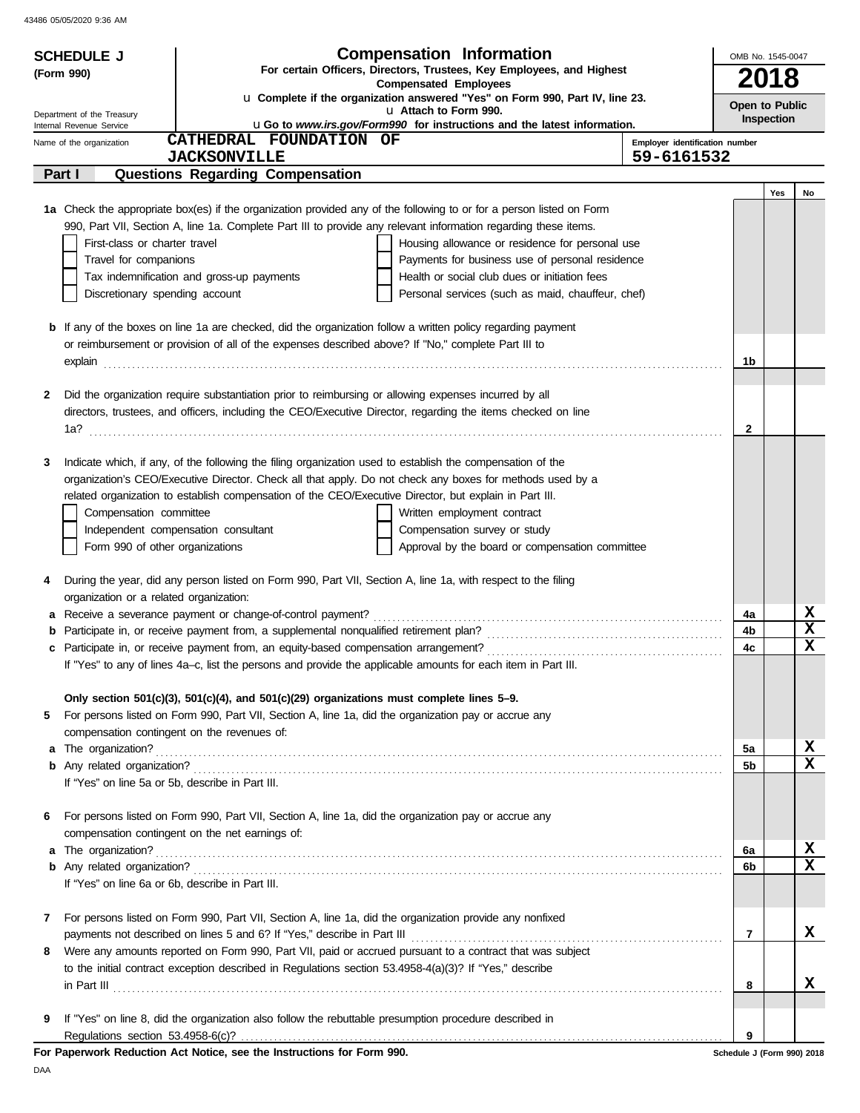|   | <b>SCHEDULE J</b>                                |                                                                                                                     | <b>Compensation Information</b>                                                                                      |                                | OMB No. 1545-0047          |                   |                  |  |
|---|--------------------------------------------------|---------------------------------------------------------------------------------------------------------------------|----------------------------------------------------------------------------------------------------------------------|--------------------------------|----------------------------|-------------------|------------------|--|
|   | (Form 990)                                       |                                                                                                                     | For certain Officers, Directors, Trustees, Key Employees, and Highest                                                |                                | 2018                       |                   |                  |  |
|   |                                                  |                                                                                                                     | <b>Compensated Employees</b><br>u Complete if the organization answered "Yes" on Form 990, Part IV, line 23.         |                                |                            |                   |                  |  |
|   | Department of the Treasury                       |                                                                                                                     | u Attach to Form 990.                                                                                                |                                | Open to Public             | <b>Inspection</b> |                  |  |
|   | Internal Revenue Service                         |                                                                                                                     | uGo to www.irs.gov/Form990 for instructions and the latest information.                                              |                                |                            |                   |                  |  |
|   | Name of the organization                         | CATHEDRAL FOUNDATION OF                                                                                             |                                                                                                                      | Employer identification number |                            |                   |                  |  |
|   | Part I                                           | <b>JACKSONVILLE</b><br>Questions Regarding Compensation                                                             |                                                                                                                      | 59-6161532                     |                            |                   |                  |  |
|   |                                                  |                                                                                                                     |                                                                                                                      |                                |                            | Yes               | No               |  |
|   |                                                  |                                                                                                                     | 1a Check the appropriate box(es) if the organization provided any of the following to or for a person listed on Form |                                |                            |                   |                  |  |
|   |                                                  |                                                                                                                     | 990, Part VII, Section A, line 1a. Complete Part III to provide any relevant information regarding these items.      |                                |                            |                   |                  |  |
|   | First-class or charter travel                    |                                                                                                                     | Housing allowance or residence for personal use                                                                      |                                |                            |                   |                  |  |
|   | Travel for companions                            |                                                                                                                     | Payments for business use of personal residence                                                                      |                                |                            |                   |                  |  |
|   |                                                  | Tax indemnification and gross-up payments                                                                           | Health or social club dues or initiation fees                                                                        |                                |                            |                   |                  |  |
|   | Discretionary spending account                   |                                                                                                                     | Personal services (such as maid, chauffeur, chef)                                                                    |                                |                            |                   |                  |  |
|   |                                                  |                                                                                                                     |                                                                                                                      |                                |                            |                   |                  |  |
|   |                                                  | <b>b</b> If any of the boxes on line 1a are checked, did the organization follow a written policy regarding payment |                                                                                                                      |                                |                            |                   |                  |  |
|   |                                                  | or reimbursement or provision of all of the expenses described above? If "No," complete Part III to                 |                                                                                                                      |                                |                            |                   |                  |  |
|   |                                                  |                                                                                                                     |                                                                                                                      |                                | 1b                         |                   |                  |  |
| 2 |                                                  | Did the organization require substantiation prior to reimbursing or allowing expenses incurred by all               |                                                                                                                      |                                |                            |                   |                  |  |
|   |                                                  |                                                                                                                     | directors, trustees, and officers, including the CEO/Executive Director, regarding the items checked on line         |                                |                            |                   |                  |  |
|   |                                                  |                                                                                                                     |                                                                                                                      |                                | 2                          |                   |                  |  |
|   |                                                  |                                                                                                                     |                                                                                                                      |                                |                            |                   |                  |  |
| 3 |                                                  | Indicate which, if any, of the following the filing organization used to establish the compensation of the          |                                                                                                                      |                                |                            |                   |                  |  |
|   |                                                  |                                                                                                                     | organization's CEO/Executive Director. Check all that apply. Do not check any boxes for methods used by a            |                                |                            |                   |                  |  |
|   |                                                  | related organization to establish compensation of the CEO/Executive Director, but explain in Part III.              |                                                                                                                      |                                |                            |                   |                  |  |
|   | Compensation committee                           |                                                                                                                     | Written employment contract                                                                                          |                                |                            |                   |                  |  |
|   |                                                  | Independent compensation consultant                                                                                 | Compensation survey or study                                                                                         |                                |                            |                   |                  |  |
|   | Form 990 of other organizations                  |                                                                                                                     | Approval by the board or compensation committee                                                                      |                                |                            |                   |                  |  |
|   |                                                  |                                                                                                                     |                                                                                                                      |                                |                            |                   |                  |  |
| 4 |                                                  | During the year, did any person listed on Form 990, Part VII, Section A, line 1a, with respect to the filing        |                                                                                                                      |                                |                            |                   |                  |  |
|   | organization or a related organization:          |                                                                                                                     |                                                                                                                      |                                |                            |                   |                  |  |
|   |                                                  |                                                                                                                     |                                                                                                                      |                                | 4a<br>4b                   |                   | X<br>$\mathbf x$ |  |
|   |                                                  |                                                                                                                     |                                                                                                                      |                                | 4c                         |                   | $\mathbf x$      |  |
|   |                                                  | If "Yes" to any of lines 4a-c, list the persons and provide the applicable amounts for each item in Part III.       |                                                                                                                      |                                |                            |                   |                  |  |
|   |                                                  |                                                                                                                     |                                                                                                                      |                                |                            |                   |                  |  |
|   |                                                  | Only section 501(c)(3), 501(c)(4), and 501(c)(29) organizations must complete lines 5-9.                            |                                                                                                                      |                                |                            |                   |                  |  |
| 5 |                                                  | For persons listed on Form 990, Part VII, Section A, line 1a, did the organization pay or accrue any                |                                                                                                                      |                                |                            |                   |                  |  |
|   |                                                  | compensation contingent on the revenues of:                                                                         |                                                                                                                      |                                |                            |                   |                  |  |
|   |                                                  |                                                                                                                     |                                                                                                                      |                                | 5a                         |                   | X                |  |
|   |                                                  |                                                                                                                     |                                                                                                                      |                                | 5b                         |                   | $\mathbf x$      |  |
|   | If "Yes" on line 5a or 5b, describe in Part III. |                                                                                                                     |                                                                                                                      |                                |                            |                   |                  |  |
| 6 |                                                  | For persons listed on Form 990, Part VII, Section A, line 1a, did the organization pay or accrue any                |                                                                                                                      |                                |                            |                   |                  |  |
|   |                                                  | compensation contingent on the net earnings of:                                                                     |                                                                                                                      |                                |                            |                   |                  |  |
|   |                                                  |                                                                                                                     |                                                                                                                      |                                | 6a                         |                   | X                |  |
|   |                                                  |                                                                                                                     |                                                                                                                      |                                | 6b                         |                   | $\mathbf x$      |  |
|   | If "Yes" on line 6a or 6b, describe in Part III. |                                                                                                                     |                                                                                                                      |                                |                            |                   |                  |  |
|   |                                                  |                                                                                                                     |                                                                                                                      |                                |                            |                   |                  |  |
| 7 |                                                  | For persons listed on Form 990, Part VII, Section A, line 1a, did the organization provide any nonfixed             |                                                                                                                      |                                |                            |                   |                  |  |
|   |                                                  |                                                                                                                     |                                                                                                                      |                                | 7                          |                   | x                |  |
| 8 |                                                  |                                                                                                                     | Were any amounts reported on Form 990, Part VII, paid or accrued pursuant to a contract that was subject             |                                |                            |                   |                  |  |
|   |                                                  | to the initial contract exception described in Regulations section 53.4958-4(a)(3)? If "Yes," describe              |                                                                                                                      |                                |                            |                   |                  |  |
|   |                                                  |                                                                                                                     |                                                                                                                      |                                | 8                          |                   | x                |  |
|   |                                                  |                                                                                                                     |                                                                                                                      |                                |                            |                   |                  |  |
| 9 |                                                  | If "Yes" on line 8, did the organization also follow the rebuttable presumption procedure described in              |                                                                                                                      |                                | 9                          |                   |                  |  |
|   |                                                  | For Paperwork Reduction Act Notice, see the Instructions for Form 990.                                              |                                                                                                                      |                                | Schedule J (Form 990) 2018 |                   |                  |  |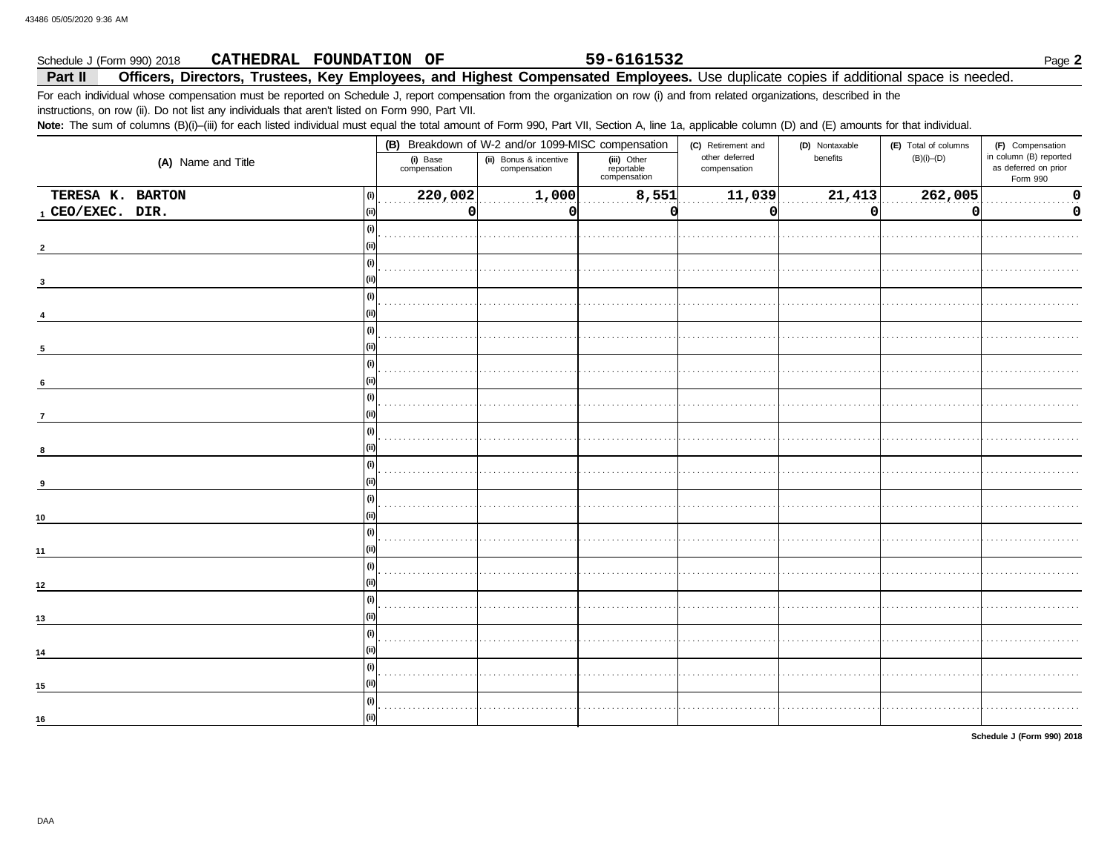#### 59-6161532 CATHEDRAL FOUNDATION OF Schedule J (Form 990) 2018

Officers, Directors, Trustees, Key Employees, and Highest Compensated Employees. Use duplicate copies if additional space is needed. Part II

For each individual whose compensation must be reported on Schedule J, report compensation from the organization on row (i) and from related organizations, described in the instructions, on row (ii). Do not list any individuals that aren't listed on Form 990, Part VII.

Note: The sum of columns (B)(i)-(iii) for each listed individual must equal the total amount of Form 990, Part VII, Section A, line 1a, applicable column (D) and (E) amounts for that individual.

|                          |                          | (B) Breakdown of W-2 and/or 1099-MISC compensation |                                           | (C) Retirement and             | (D) Nontaxable | (E) Total of columns | (F) Compensation                                           |
|--------------------------|--------------------------|----------------------------------------------------|-------------------------------------------|--------------------------------|----------------|----------------------|------------------------------------------------------------|
| (A) Name and Title       | (i) Base<br>compensation | (ii) Bonus & incentive<br>compensation             | (iii) Other<br>reportable<br>compensation | other deferred<br>compensation | benefits       | $(B)(i)$ – $(D)$     | in column (B) reported<br>as deferred on prior<br>Form 990 |
| TERESA K. BARTON<br>(i)  | 220,002                  | 1,000                                              | 8,551                                     | 11,039                         | 21,413         | 262,005              | 0                                                          |
| 1 CEO/EXEC. DIR.<br>(ii) | $\mathbf 0$              | O                                                  |                                           | $\Omega$                       | 0              | C                    | 0                                                          |
| (i)<br>(ii)              |                          |                                                    |                                           |                                |                |                      |                                                            |
| (i)                      |                          |                                                    |                                           |                                |                |                      |                                                            |
| (i)                      |                          |                                                    |                                           |                                |                |                      |                                                            |
| (i)                      |                          |                                                    |                                           |                                |                |                      |                                                            |
| 5<br>(i)                 |                          |                                                    |                                           |                                |                |                      |                                                            |
| 6<br>(i)                 |                          |                                                    |                                           |                                |                |                      |                                                            |
| $\overline{7}$<br>(i)    |                          |                                                    |                                           |                                |                |                      |                                                            |
| (i)                      |                          |                                                    |                                           |                                |                |                      |                                                            |
| (i)                      |                          |                                                    |                                           |                                |                |                      |                                                            |
| (ii)<br>10<br>(i)        |                          |                                                    |                                           |                                |                |                      |                                                            |
| 11                       |                          |                                                    |                                           |                                |                |                      |                                                            |
| (i)<br>12                |                          |                                                    |                                           |                                |                |                      |                                                            |
| (i)<br>13                |                          |                                                    |                                           |                                |                |                      |                                                            |
| (i)<br>14                |                          |                                                    |                                           |                                |                |                      |                                                            |
| (i)<br>15<br>(ii)        |                          |                                                    |                                           |                                |                |                      |                                                            |
| (i)<br>16                |                          |                                                    |                                           |                                |                |                      |                                                            |
|                          |                          |                                                    |                                           |                                |                |                      |                                                            |

Schedule J (Form 990) 2018

Page 2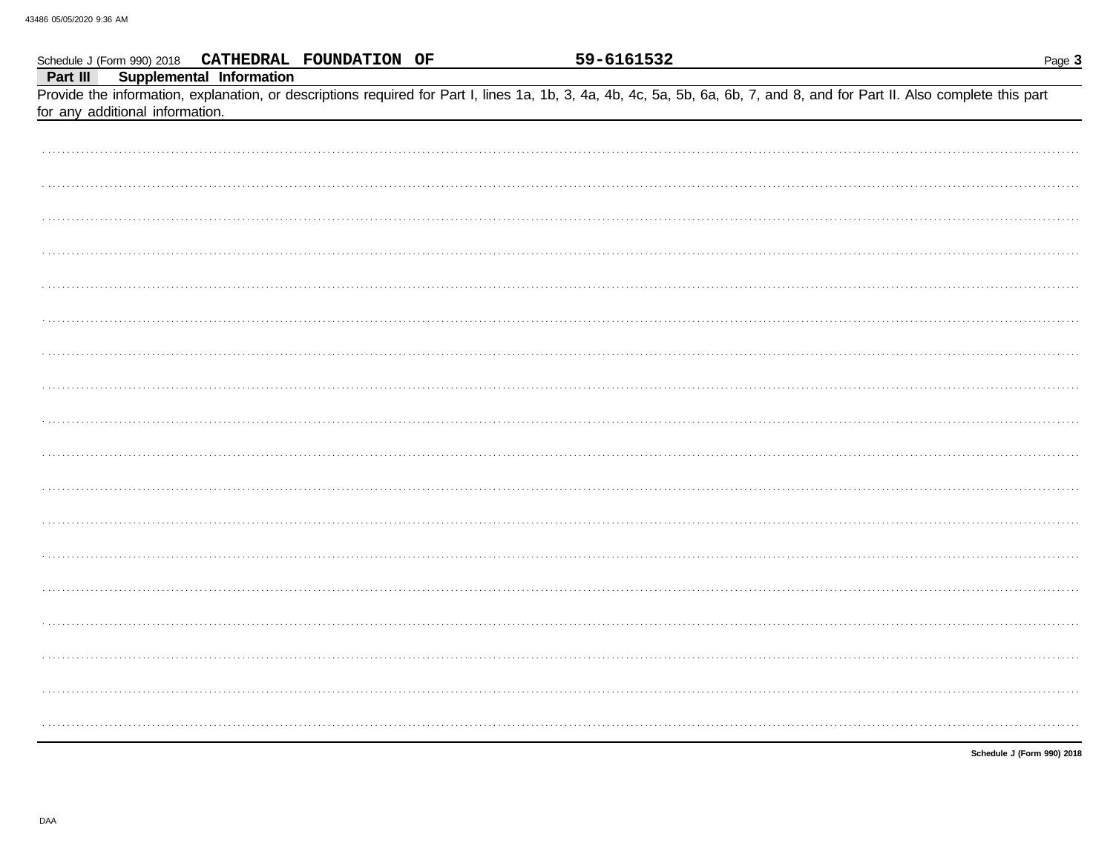|          |                                 |                          | Schedule J (Form 990) 2018 CATHEDRAL FOUNDATION OF | 59-6161532 |                                                                                                                                                                            | Page 3                     |
|----------|---------------------------------|--------------------------|----------------------------------------------------|------------|----------------------------------------------------------------------------------------------------------------------------------------------------------------------------|----------------------------|
| Part III | for any additional information. | Supplemental Information |                                                    |            | Provide the information, explanation, or descriptions required for Part I, lines 1a, 1b, 3, 4a, 4b, 4c, 5a, 5b, 6a, 6b, 7, and 8, and for Part II. Also complete this part |                            |
|          |                                 |                          |                                                    |            |                                                                                                                                                                            |                            |
|          |                                 |                          |                                                    |            |                                                                                                                                                                            |                            |
|          |                                 |                          |                                                    |            |                                                                                                                                                                            |                            |
|          |                                 |                          |                                                    |            |                                                                                                                                                                            |                            |
|          |                                 |                          |                                                    |            |                                                                                                                                                                            |                            |
|          |                                 |                          |                                                    |            |                                                                                                                                                                            |                            |
|          |                                 |                          |                                                    |            |                                                                                                                                                                            |                            |
|          |                                 |                          |                                                    |            |                                                                                                                                                                            |                            |
|          |                                 |                          |                                                    |            |                                                                                                                                                                            |                            |
|          |                                 |                          |                                                    |            |                                                                                                                                                                            |                            |
|          |                                 |                          |                                                    |            |                                                                                                                                                                            |                            |
|          |                                 |                          |                                                    |            |                                                                                                                                                                            |                            |
|          |                                 |                          |                                                    |            |                                                                                                                                                                            |                            |
|          |                                 |                          |                                                    |            |                                                                                                                                                                            |                            |
|          |                                 |                          |                                                    |            |                                                                                                                                                                            |                            |
|          |                                 |                          |                                                    |            |                                                                                                                                                                            |                            |
|          |                                 |                          |                                                    |            |                                                                                                                                                                            |                            |
|          |                                 |                          |                                                    |            |                                                                                                                                                                            |                            |
|          |                                 |                          |                                                    |            |                                                                                                                                                                            |                            |
|          |                                 |                          |                                                    |            |                                                                                                                                                                            |                            |
|          |                                 |                          |                                                    |            |                                                                                                                                                                            |                            |
|          |                                 |                          |                                                    |            |                                                                                                                                                                            |                            |
|          |                                 |                          |                                                    |            |                                                                                                                                                                            | Schedule J (Form 990) 2018 |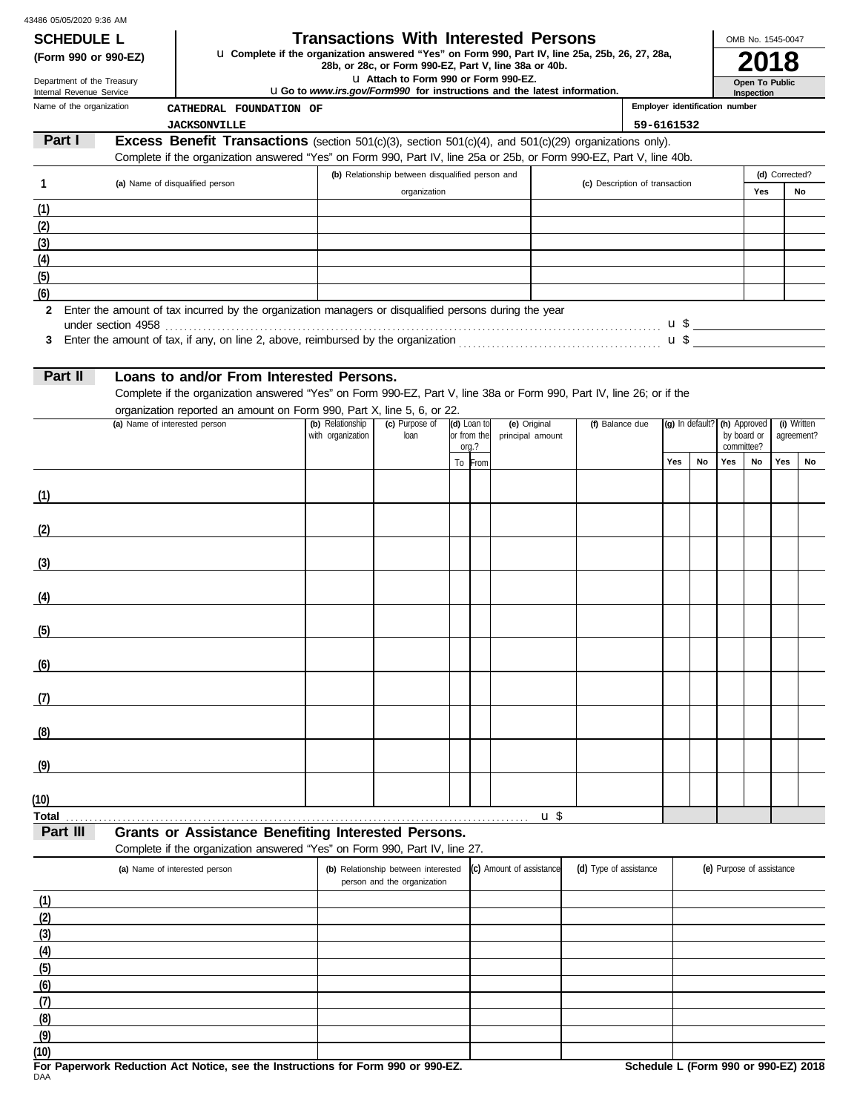| 43486 05/05/2020 9:36 AM |  |
|--------------------------|--|

# **SCHEDULE L Transactions With Interested Persons**

**(Form 990 or 990-EZ)** u Complete if the organization answered "Yes" on Form 990, Part IV, line 25a, 25b, 26, 27, 28a,<br>28b, or 28c, or Form 990-EZ, Part V, line 38a or 40b.<br>2018

|  | 28b, or 28c, or Form 990-EZ, Part V, line 38a or 40b. |  |  |  |  |
|--|-------------------------------------------------------|--|--|--|--|

u **Attach to Form 990 or Form 990-EZ.**

| OMB No. 1545-0047 |
|-------------------|
|                   |

| Department of the Treasury<br>Internal Revenue Service |                                 |                                          | La Attach to Form 990 or Form 990-EZ.<br><b>UGo to www.irs.gov/Form990 for instructions and the latest information.</b>                                                                                                               |  | Open To Public<br>Inspection   |    |                |  |
|--------------------------------------------------------|---------------------------------|------------------------------------------|---------------------------------------------------------------------------------------------------------------------------------------------------------------------------------------------------------------------------------------|--|--------------------------------|----|----------------|--|
| Name of the organization                               |                                 | CATHEDRAL FOUNDATION OF                  |                                                                                                                                                                                                                                       |  | Employer identification number |    |                |  |
|                                                        |                                 | <b>JACKSONVILLE</b>                      |                                                                                                                                                                                                                                       |  | 59-6161532                     |    |                |  |
| Part I                                                 |                                 |                                          | <b>Excess Benefit Transactions</b> (section 501(c)(3), section 501(c)(4), and 501(c)(29) organizations only).<br>Complete if the organization answered "Yes" on Form 990, Part IV, line 25a or 25b, or Form 990-EZ, Part V, line 40b. |  |                                |    |                |  |
|                                                        |                                 |                                          | (b) Relationship between disqualified person and                                                                                                                                                                                      |  | (c) Description of transaction |    | (d) Corrected? |  |
|                                                        | (a) Name of disqualified person |                                          | organization                                                                                                                                                                                                                          |  | Yes                            | No |                |  |
| (1)                                                    |                                 |                                          |                                                                                                                                                                                                                                       |  |                                |    |                |  |
| (2)                                                    |                                 |                                          |                                                                                                                                                                                                                                       |  |                                |    |                |  |
| (3)                                                    |                                 |                                          |                                                                                                                                                                                                                                       |  |                                |    |                |  |
| (4)                                                    |                                 |                                          |                                                                                                                                                                                                                                       |  |                                |    |                |  |
| (5)                                                    |                                 |                                          |                                                                                                                                                                                                                                       |  |                                |    |                |  |
| (6)                                                    |                                 |                                          |                                                                                                                                                                                                                                       |  |                                |    |                |  |
| 2                                                      |                                 |                                          | Enter the amount of tax incurred by the organization managers or disqualified persons during the year                                                                                                                                 |  | u \$                           |    |                |  |
| 3                                                      |                                 |                                          |                                                                                                                                                                                                                                       |  | ա Տ                            |    |                |  |
|                                                        |                                 |                                          |                                                                                                                                                                                                                                       |  |                                |    |                |  |
| Part II                                                |                                 | Loans to and/or From Interested Persons. |                                                                                                                                                                                                                                       |  |                                |    |                |  |

Complete if the organization answered "Yes" on Form 990-EZ, Part V, line 38a or Form 990, Part IV, line 26; or if the

| organization reported an amount on Form 990, Part X, line 5, 6, or 22. |  |  |  |  |
|------------------------------------------------------------------------|--|--|--|--|
|                                                                        |  |  |  |  |

| $\alpha$ gainzation reported an amount on right occ, rate $\alpha$ , and $\alpha$ , or $\alpha$ .<br>(a) Name of interested person | (b) Relationship<br>with organization | (c) Purpose of<br>loan | (d) Loan to<br>(e) Original<br>or from the<br>principal amount<br>org.? |         |        | (f) Balance due |     |    | (g) In default? (h) Approved (i) Written<br>by board or<br>committee? |    | agreement? |           |
|------------------------------------------------------------------------------------------------------------------------------------|---------------------------------------|------------------------|-------------------------------------------------------------------------|---------|--------|-----------------|-----|----|-----------------------------------------------------------------------|----|------------|-----------|
|                                                                                                                                    |                                       |                        |                                                                         | To From |        |                 | Yes | No | Yes                                                                   | No | Yes $ $    | <b>No</b> |
| (1)                                                                                                                                |                                       |                        |                                                                         |         |        |                 |     |    |                                                                       |    |            |           |
| (2)                                                                                                                                |                                       |                        |                                                                         |         |        |                 |     |    |                                                                       |    |            |           |
| (3)                                                                                                                                |                                       |                        |                                                                         |         |        |                 |     |    |                                                                       |    |            |           |
| (4)                                                                                                                                |                                       |                        |                                                                         |         |        |                 |     |    |                                                                       |    |            |           |
| (5)                                                                                                                                |                                       |                        |                                                                         |         |        |                 |     |    |                                                                       |    |            |           |
| (6)                                                                                                                                |                                       |                        |                                                                         |         |        |                 |     |    |                                                                       |    |            |           |
| (7)                                                                                                                                |                                       |                        |                                                                         |         |        |                 |     |    |                                                                       |    |            |           |
| (8)                                                                                                                                |                                       |                        |                                                                         |         |        |                 |     |    |                                                                       |    |            |           |
| (9)                                                                                                                                |                                       |                        |                                                                         |         |        |                 |     |    |                                                                       |    |            |           |
| (10)                                                                                                                               |                                       |                        |                                                                         |         |        |                 |     |    |                                                                       |    |            |           |
|                                                                                                                                    |                                       |                        |                                                                         |         | $u$ \$ |                 |     |    |                                                                       |    |            |           |

**Part III Grants or Assistance Benefiting Interested Persons.** Complete if the organization answered "Yes" on Form 990, Part IV, line 27.

|      | $\frac{1}{2}$ $\frac{1}{2}$ $\frac{1}{2}$ $\frac{1}{2}$ $\frac{1}{2}$ $\frac{1}{2}$ $\frac{1}{2}$ $\frac{1}{2}$ $\frac{1}{2}$ |                                                                                                     |                        |                           |
|------|-------------------------------------------------------------------------------------------------------------------------------|-----------------------------------------------------------------------------------------------------|------------------------|---------------------------|
|      | (a) Name of interested person                                                                                                 | (b) Relationship between interested $\vert$ (c) Amount of assistance<br>person and the organization | (d) Type of assistance | (e) Purpose of assistance |
| (1)  |                                                                                                                               |                                                                                                     |                        |                           |
| (2)  |                                                                                                                               |                                                                                                     |                        |                           |
| (3)  |                                                                                                                               |                                                                                                     |                        |                           |
| (4)  |                                                                                                                               |                                                                                                     |                        |                           |
| (5)  |                                                                                                                               |                                                                                                     |                        |                           |
| (6)  |                                                                                                                               |                                                                                                     |                        |                           |
| (7)  |                                                                                                                               |                                                                                                     |                        |                           |
| (8)  |                                                                                                                               |                                                                                                     |                        |                           |
| (9)  |                                                                                                                               |                                                                                                     |                        |                           |
| (10) |                                                                                                                               |                                                                                                     |                        |                           |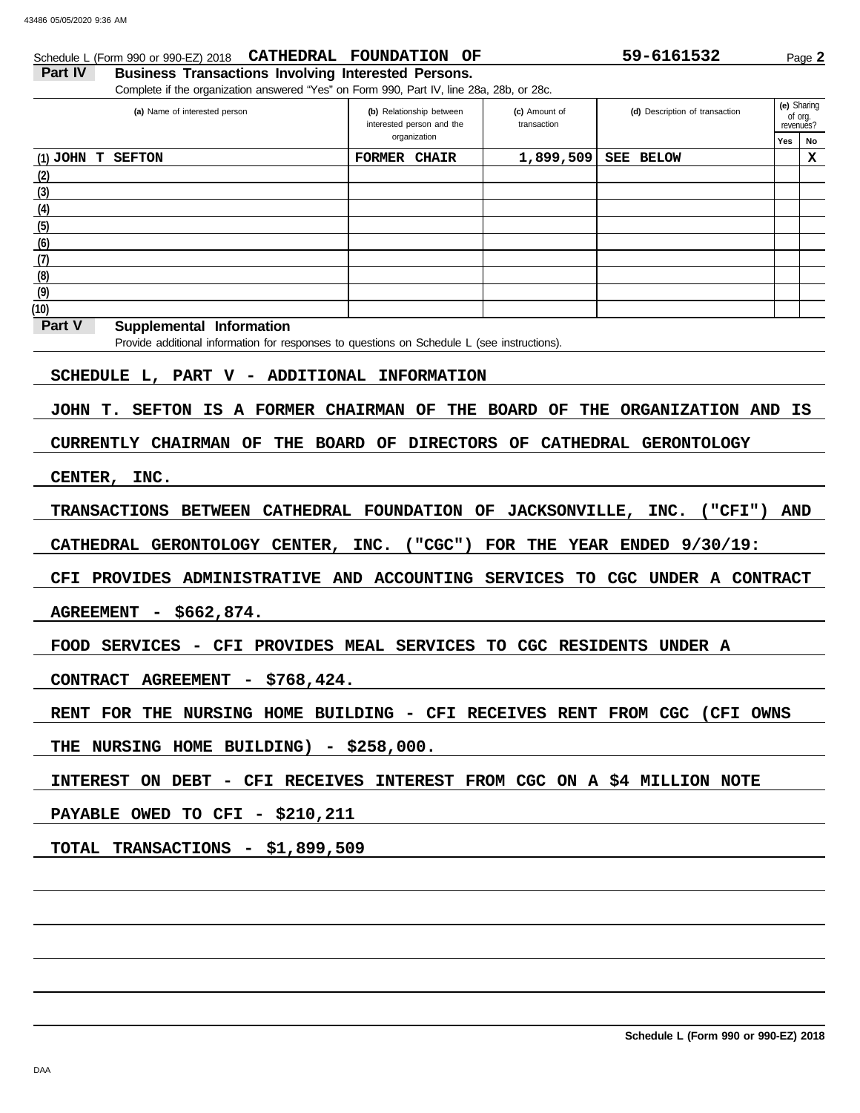## **Schedule L (Form 990 or 990-EZ) 2018 CATHEDRAL FOUNDATION OF 59-6161532** Page 2

### Part IV Business Transactions Involving Interested Persons.

Complete if the organization answered "Yes" on Form 990, Part IV, line 28a, 28b, or 28c.

| (a) Name of interested person    | (b) Relationship between<br>interested person and the | (c) Amount of<br>transaction | (d) Description of transaction |     | (e) Sharing<br>of org.<br>revenues? |
|----------------------------------|-------------------------------------------------------|------------------------------|--------------------------------|-----|-------------------------------------|
|                                  | organization                                          |                              |                                | Yes | No                                  |
| <b>SEFTON</b><br>$(1)$ JOHN<br>т | <b>CHAIR</b><br><b>FORMER</b>                         | 1,899,509                    | SEE BELOW                      |     | х                                   |
| (2)                              |                                                       |                              |                                |     |                                     |
| (3)                              |                                                       |                              |                                |     |                                     |
| (4)                              |                                                       |                              |                                |     |                                     |
| (5)                              |                                                       |                              |                                |     |                                     |
| (6)                              |                                                       |                              |                                |     |                                     |
| (7)                              |                                                       |                              |                                |     |                                     |
| (8)                              |                                                       |                              |                                |     |                                     |
| (9)                              |                                                       |                              |                                |     |                                     |
| (10)                             |                                                       |                              |                                |     |                                     |

#### **Part V** Supplemental Information

Provide additional information for responses to questions on Schedule L (see instructions).

### **SCHEDULE L, PART V - ADDITIONAL INFORMATION**

**JOHN T. SEFTON IS A FORMER CHAIRMAN OF THE BOARD OF THE ORGANIZATION AND IS**

**CURRENTLY CHAIRMAN OF THE BOARD OF DIRECTORS OF CATHEDRAL GERONTOLOGY**

#### **CENTER, INC.**

**TRANSACTIONS BETWEEN CATHEDRAL FOUNDATION OF JACKSONVILLE, INC. ("CFI") AND**

**CATHEDRAL GERONTOLOGY CENTER, INC. ("CGC") FOR THE YEAR ENDED 9/30/19:**

**CFI PROVIDES ADMINISTRATIVE AND ACCOUNTING SERVICES TO CGC UNDER A CONTRACT**

#### **AGREEMENT - \$662,874.**

**FOOD SERVICES - CFI PROVIDES MEAL SERVICES TO CGC RESIDENTS UNDER A**

**CONTRACT AGREEMENT - \$768,424.**

**RENT FOR THE NURSING HOME BUILDING - CFI RECEIVES RENT FROM CGC (CFI OWNS**

**THE NURSING HOME BUILDING) - \$258,000.**

**INTEREST ON DEBT - CFI RECEIVES INTEREST FROM CGC ON A \$4 MILLION NOTE**

**PAYABLE OWED TO CFI - \$210,211**

**TOTAL TRANSACTIONS - \$1,899,509**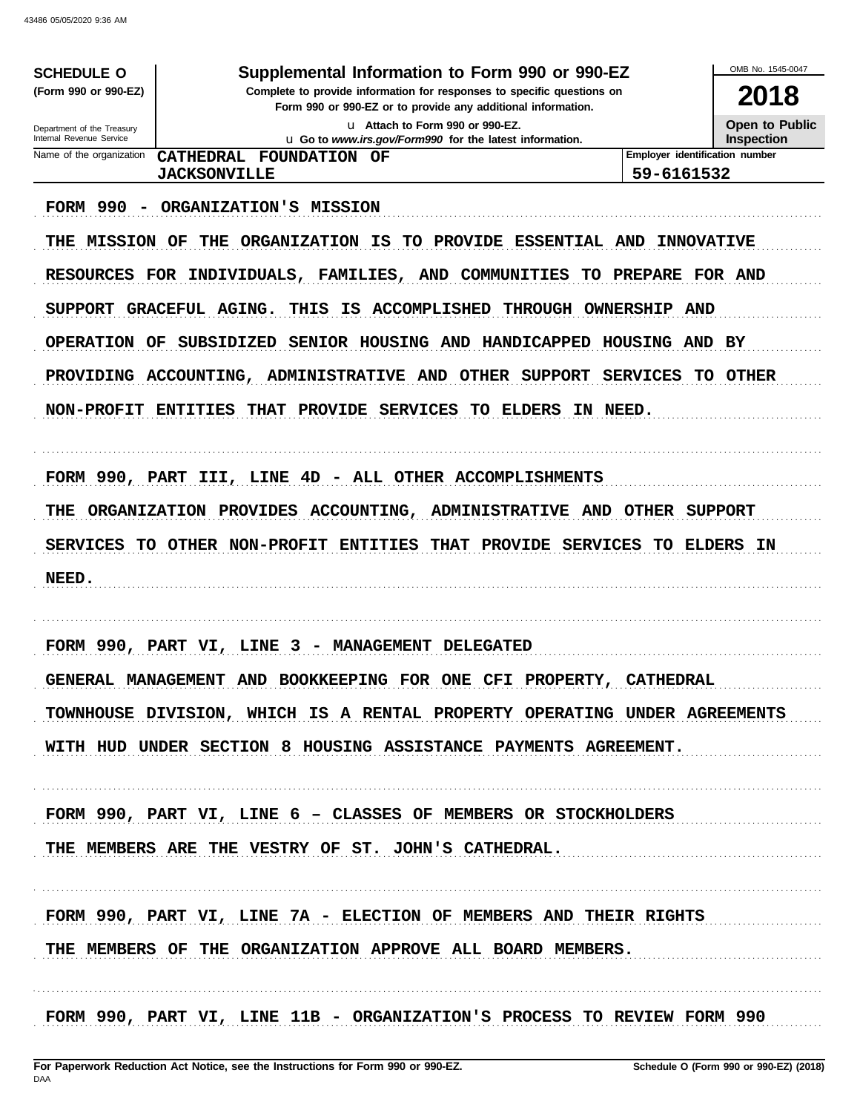| <b>SCHEDULE O</b>                                      | Supplemental Information to Form 990 or 990-EZ                                                                                         |                                | OMB No. 1545-0047                   |
|--------------------------------------------------------|----------------------------------------------------------------------------------------------------------------------------------------|--------------------------------|-------------------------------------|
| (Form 990 or 990-EZ)                                   | Complete to provide information for responses to specific questions on<br>Form 990 or 990-EZ or to provide any additional information. |                                | 2018                                |
| Department of the Treasury<br>Internal Revenue Service | u Attach to Form 990 or 990-EZ.<br>u Go to www.irs.gov/Form990 for the latest information.                                             |                                | <b>Open to Public</b><br>Inspection |
| Name of the organization                               | CATHEDRAL FOUNDATION OF                                                                                                                | Employer identification number |                                     |
|                                                        | <b>JACKSONVILLE</b>                                                                                                                    | 59-6161532                     |                                     |
| FORM 990                                               | ORGANIZATION'S MISSION                                                                                                                 |                                |                                     |
| <b>THE MISSION OF</b>                                  | THE ORGANIZATION IS<br>TO.<br>PROVIDE ESSENTIAL AND                                                                                    | <b>INNOVATIVE</b>              |                                     |
|                                                        | RESOURCES FOR INDIVIDUALS, FAMILIES,<br>AND COMMUNITIES<br>TO.                                                                         | PREPARE FOR AND                |                                     |
|                                                        | SUPPORT GRACEFUL AGING.<br>THIS<br>IS ACCOMPLISHED<br><b>THROUGH</b>                                                                   | <b>OWNERSHIP AND</b>           |                                     |
| <b>OPERATION OF</b>                                    | SENIOR HOUSING AND<br>HANDICAPPED<br>SUBSIDIZED                                                                                        | HOUSING AND BY                 |                                     |
|                                                        | PROVIDING ACCOUNTING, ADMINISTRATIVE AND<br><b>OTHER SUPPORT</b>                                                                       | <b>SERVICES</b>                | TO OTHER                            |
| <b>NON-PROFIT</b>                                      | THAT PROVIDE SERVICES<br><b>ELDERS</b><br>IN NEED.<br><b>ENTITIES</b><br>TO                                                            |                                |                                     |
|                                                        | FORM 990, PART III, LINE 4D - ALL OTHER ACCOMPLISHMENTS                                                                                |                                |                                     |
| THE                                                    | ORGANIZATION PROVIDES ACCOUNTING,<br>ADMINISTRATIVE AND OTHER                                                                          |                                | <b>SUPPORT</b>                      |
| <b>SERVICES</b>                                        | TO OTHER NON-PROFIT ENTITIES<br>THAT PROVIDE SERVICES                                                                                  | TO.                            | ELDERS<br>ΙN                        |
| NEED.                                                  |                                                                                                                                        |                                |                                     |
|                                                        |                                                                                                                                        |                                |                                     |
|                                                        | FORM 990, PART VI, LINE 3 - MANAGEMENT<br><b>DELEGATED</b>                                                                             |                                |                                     |
|                                                        | GENERAL MANAGEMENT AND BOOKKEEPING FOR ONE CFI PROPERTY, CATHEDRAL                                                                     |                                |                                     |
|                                                        | TOWNHOUSE DIVISION, WHICH IS A RENTAL PROPERTY OPERATING UNDER AGREEMENTS                                                              |                                |                                     |
|                                                        | WITH HUD UNDER SECTION 8 HOUSING ASSISTANCE PAYMENTS AGREEMENT.                                                                        |                                |                                     |
|                                                        |                                                                                                                                        |                                |                                     |
|                                                        | FORM 990, PART VI, LINE 6 - CLASSES OF MEMBERS OR STOCKHOLDERS                                                                         |                                |                                     |
|                                                        | THE MEMBERS ARE THE VESTRY OF ST. JOHN'S CATHEDRAL.                                                                                    |                                |                                     |
|                                                        | FORM 990, PART VI, LINE 7A - ELECTION OF MEMBERS AND THEIR RIGHTS                                                                      |                                |                                     |
|                                                        | THE MEMBERS OF THE ORGANIZATION APPROVE ALL BOARD MEMBERS.                                                                             |                                |                                     |
|                                                        |                                                                                                                                        |                                |                                     |
|                                                        | FORM 990, PART VI, LINE 11B - ORGANIZATION'S PROCESS TO REVIEW FORM 990                                                                |                                |                                     |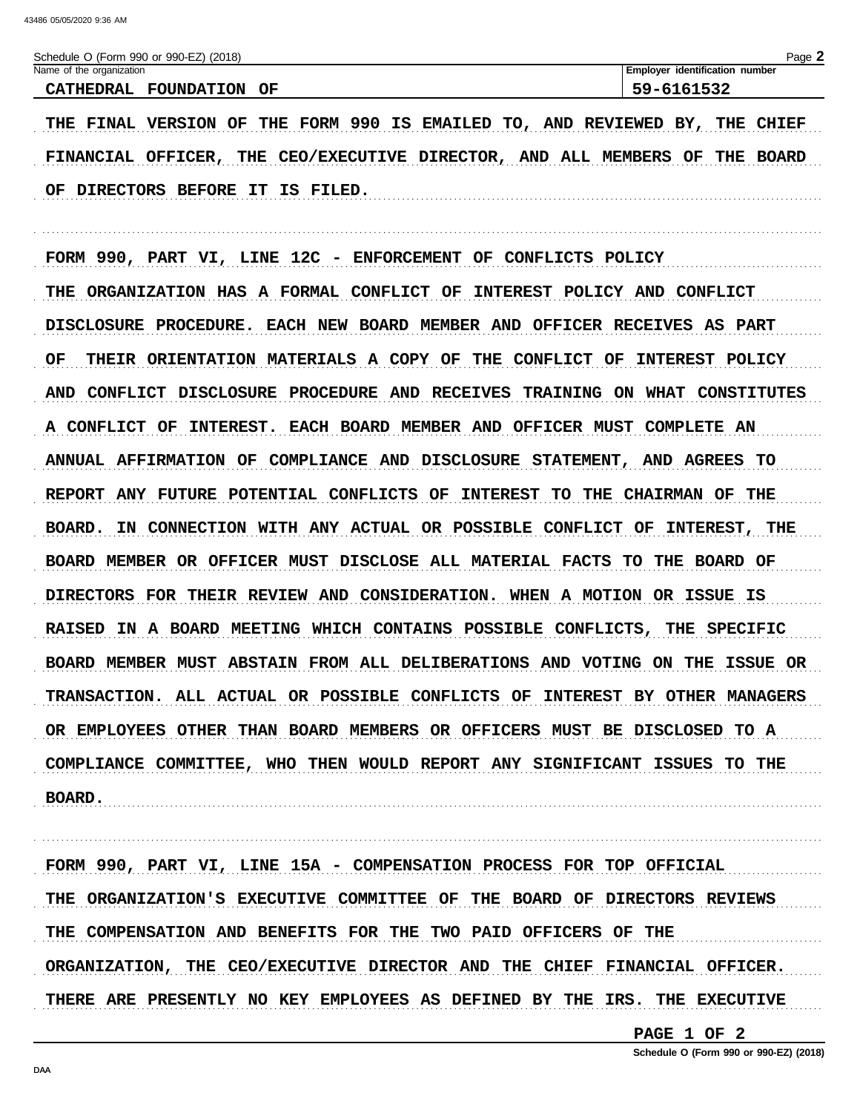| Schedule O (Form 990 or 990-EZ) (2018)                                                      | Page 2                                       |
|---------------------------------------------------------------------------------------------|----------------------------------------------|
| Name of the organization                                                                    | Employer identification number<br>59-6161532 |
| CATHEDRAL FOUNDATION<br>OF                                                                  |                                              |
| <b>THE</b><br>FORM 990 IS EMAILED<br>TO, AND REVIEWED BY,<br>THE<br><b>FINAL VERSION OF</b> | THE<br><b>CHIEF</b>                          |
| CEO/EXECUTIVE DIRECTOR, AND ALL MEMBERS<br>FINANCIAL OFFICER,<br>THE                        | OF<br>THE<br><b>BOARD</b>                    |
| DIRECTORS BEFORE IT<br>IS FILED.<br>OF                                                      |                                              |
|                                                                                             |                                              |
| FORM 990, PART VI, LINE 12C - ENFORCEMENT<br>OF CONFLICTS POLICY                            |                                              |
| A FORMAL CONFLICT OF<br>THE<br>ORGANIZATION HAS                                             | INTEREST POLICY AND CONFLICT                 |
| EACH NEW BOARD MEMBER AND<br>DISCLOSURE PROCEDURE.                                          | OFFICER RECEIVES<br><b>AS PART</b>           |
| THEIR ORIENTATION MATERIALS A COPY OF<br>THE<br><b>CONFLICT OF</b><br>ОF                    | <b>INTEREST</b><br><b>POLICY</b>             |
| PROCEDURE AND RECEIVES<br>AND<br>CONFLICT<br><b>DISCLOSURE</b><br><b>TRAINING ON WHAT</b>   | <b>CONSTITUTES</b>                           |
| EACH BOARD MEMBER AND<br><b>OFFICER MUST</b><br>CONFLICT OF<br>INTEREST.<br>A               | <b>COMPLETE AN</b>                           |
| COMPLIANCE AND DISCLOSURE STATEMENT,<br><b>ANNUAL AFFIRMATION OF</b>                        | AND AGREES<br>TO                             |
| REPORT ANY FUTURE POTENTIAL CONFLICTS OF<br><b>INTEREST</b><br>TO THE                       | <b>CHAIRMAN</b><br>THE<br>OF                 |
| CONNECTION WITH ANY ACTUAL OR POSSIBLE CONFLICT<br><b>BOARD.</b><br>IN                      | OF<br>INTEREST,<br>THE                       |
| OR OFFICER MUST DISCLOSE ALL MATERIAL FACTS<br><b>BOARD MEMBER</b>                          | TO<br>THE<br><b>BOARD OF</b>                 |
| DIRECTORS FOR THEIR REVIEW AND CONSIDERATION. WHEN A MOTION OR ISSUE IS                     |                                              |
| A BOARD MEETING<br>WHICH CONTAINS POSSIBLE CONFLICTS,<br><b>RAISED</b><br>IN                | THE<br><b>SPECIFIC</b>                       |
| <b>BOARD MEMBER MUST</b><br>ABSTAIN FROM ALL DELIBERATIONS AND VOTING ON THE                | <b>ISSUE OR</b>                              |
| TRANSACTION. ALL ACTUAL OR POSSIBLE CONFLICTS OF INTEREST BY OTHER MANAGERS                 |                                              |
| OR EMPLOYEES OTHER THAN BOARD MEMBERS OR OFFICERS MUST BE DISCLOSED TO A                    |                                              |
| COMPLIANCE COMMITTEE, WHO THEN WOULD REPORT ANY SIGNIFICANT ISSUES TO THE                   |                                              |
| <b>BOARD.</b>                                                                               |                                              |

FORM 990, PART VI, LINE 15A - COMPENSATION PROCESS FOR TOP OFFICIAL THE ORGANIZATION'S EXECUTIVE COMMITTEE OF THE BOARD OF DIRECTORS REVIEWS THE COMPENSATION AND BENEFITS FOR THE TWO PAID OFFICERS OF THE . . . . . . . . . . . . . . . . . . ORGANIZATION, THE CEO/EXECUTIVE DIRECTOR AND THE CHIEF FINANCIAL OFFICER. THERE ARE PRESENTLY NO KEY EMPLOYEES AS DEFINED BY THE IRS. THE EXECUTIVE

PAGE 1 OF 2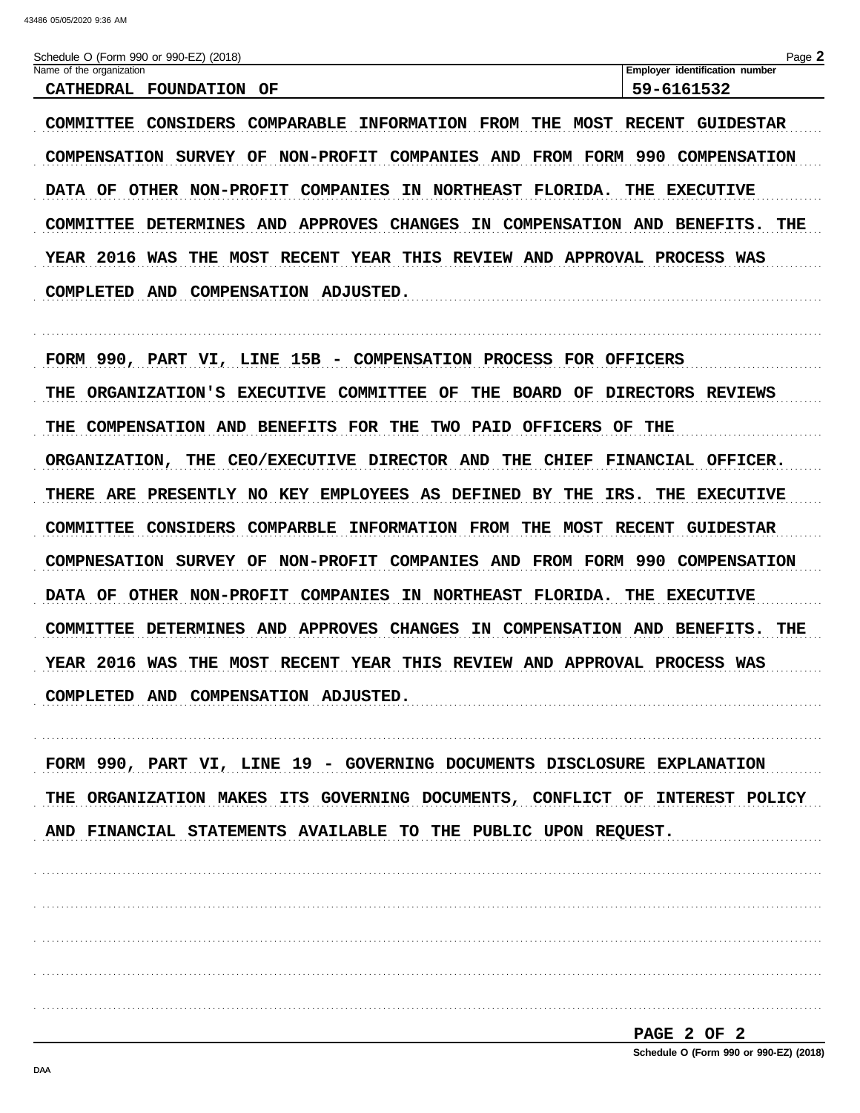43486 05/05/2020 9:36 AM

| Schedule O (Form 990 or 990-EZ) (2018)   | $P$ aqe $\blacksquare$                |
|------------------------------------------|---------------------------------------|
| Name of the organization                 | <b>Employer identification number</b> |
| <b>CATHEDRAL</b><br><b>FOUNDATION OF</b> | 59-6161532                            |

COMMITTEE CONSIDERS COMPARABLE INFORMATION FROM THE MOST RECENT GUIDESTAR COMPENSATION SURVEY OF NON-PROFIT COMPANIES AND FROM FORM 990 COMPENSATION DATA OF OTHER NON-PROFIT COMPANIES IN NORTHEAST FLORIDA. THE EXECUTIVE COMMITTEE DETERMINES AND APPROVES CHANGES IN COMPENSATION AND BENEFITS. THE YEAR 2016 WAS THE MOST RECENT YEAR THIS REVIEW AND APPROVAL PROCESS WAS COMPLETED AND COMPENSATION ADJUSTED.

FORM 990, PART VI, LINE 15B - COMPENSATION PROCESS FOR OFFICERS THE ORGANIZATION'S EXECUTIVE COMMITTEE OF THE BOARD OF DIRECTORS REVIEWS THE COMPENSATION AND BENEFITS FOR THE TWO PAID OFFICERS OF THE ORGANIZATION, THE CEO/EXECUTIVE DIRECTOR AND THE CHIEF FINANCIAL OFFICER. THERE ARE PRESENTLY NO KEY EMPLOYEES AS DEFINED BY THE IRS. THE EXECUTIVE COMMITTEE CONSIDERS COMPARBLE INFORMATION FROM THE MOST RECENT GUIDESTAR COMPNESATION SURVEY OF NON-PROFIT COMPANIES AND FROM FORM 990 COMPENSATION DATA OF OTHER NON-PROFIT COMPANIES IN NORTHEAST FLORIDA. THE EXECUTIVE COMMITTEE DETERMINES AND APPROVES CHANGES IN COMPENSATION AND BENEFITS. THE YEAR 2016 WAS THE MOST RECENT YEAR THIS REVIEW AND APPROVAL PROCESS WAS COMPLETED AND COMPENSATION ADJUSTED.

FORM 990, PART VI, LINE 19 - GOVERNING DOCUMENTS DISCLOSURE EXPLANATION THE ORGANIZATION MAKES ITS GOVERNING DOCUMENTS, CONFLICT OF INTEREST POLICY AND FINANCIAL STATEMENTS AVAILABLE TO THE PUBLIC UPON REQUEST.

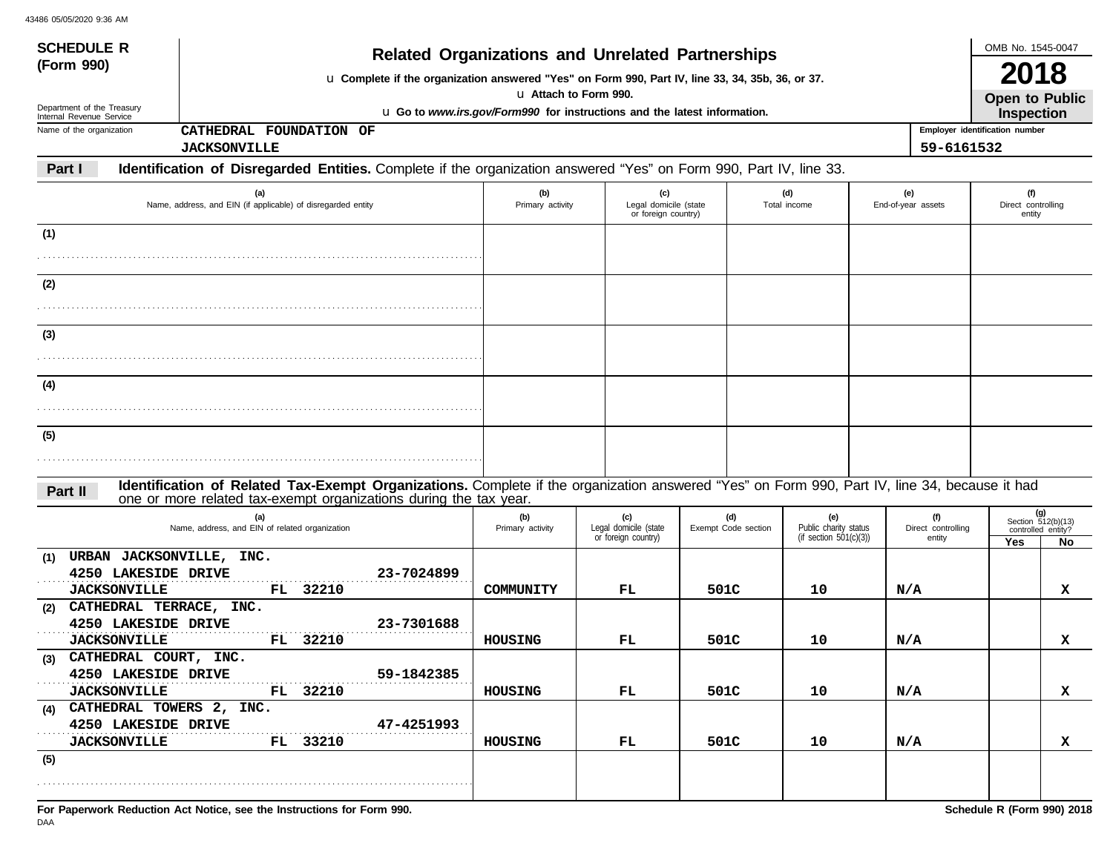| <b>SCHEDULE R</b>                                          | <b>Related Organizations and Unrelated Partnerships</b>                                                                                       |                                                                                                   |                                                     |      |                            |                              |                           |                                     | OMB No. 1545-0047                   |                           |
|------------------------------------------------------------|-----------------------------------------------------------------------------------------------------------------------------------------------|---------------------------------------------------------------------------------------------------|-----------------------------------------------------|------|----------------------------|------------------------------|---------------------------|-------------------------------------|-------------------------------------|---------------------------|
| (Form 990)                                                 | u Complete if the organization answered "Yes" on Form 990, Part IV, line 33, 34, 35b, 36, or 37.                                              |                                                                                                   |                                                     |      |                            |                              |                           |                                     | 2018                                |                           |
| Department of the Treasury                                 |                                                                                                                                               | u Attach to Form 990.<br>u Go to www.irs.gov/Form990 for instructions and the latest information. |                                                     |      |                            |                              |                           |                                     | <b>Open to Public</b><br>Inspection |                           |
| Internal Revenue Service<br>Name of the organization       | CATHEDRAL FOUNDATION OF                                                                                                                       |                                                                                                   |                                                     |      |                            |                              |                           |                                     | Employer identification number      |                           |
|                                                            | <b>JACKSONVILLE</b>                                                                                                                           |                                                                                                   |                                                     |      |                            |                              |                           | 59-6161532                          |                                     |                           |
|                                                            |                                                                                                                                               |                                                                                                   |                                                     |      |                            |                              |                           |                                     |                                     |                           |
| Part I                                                     | Identification of Disregarded Entities. Complete if the organization answered "Yes" on Form 990, Part IV, line 33.                            |                                                                                                   |                                                     |      |                            |                              |                           |                                     |                                     |                           |
|                                                            | (a)<br>Name, address, and EIN (if applicable) of disregarded entity                                                                           | (b)<br>Primary activity                                                                           | (c)<br>Legal domicile (state<br>or foreign country) |      | (d)<br>Total income        |                              | (e)<br>End-of-year assets | (f)<br>Direct controlling<br>entity |                                     |                           |
| (1)                                                        |                                                                                                                                               |                                                                                                   |                                                     |      |                            |                              |                           |                                     |                                     |                           |
|                                                            |                                                                                                                                               |                                                                                                   |                                                     |      |                            |                              |                           |                                     |                                     |                           |
|                                                            |                                                                                                                                               |                                                                                                   |                                                     |      |                            |                              |                           |                                     |                                     |                           |
| (2)                                                        |                                                                                                                                               |                                                                                                   |                                                     |      |                            |                              |                           |                                     |                                     |                           |
|                                                            |                                                                                                                                               |                                                                                                   |                                                     |      |                            |                              |                           |                                     |                                     |                           |
|                                                            |                                                                                                                                               |                                                                                                   |                                                     |      |                            |                              |                           |                                     |                                     |                           |
| (3)                                                        |                                                                                                                                               |                                                                                                   |                                                     |      |                            |                              |                           |                                     |                                     |                           |
|                                                            |                                                                                                                                               |                                                                                                   |                                                     |      |                            |                              |                           |                                     |                                     |                           |
| (4)                                                        |                                                                                                                                               |                                                                                                   |                                                     |      |                            |                              |                           |                                     |                                     |                           |
|                                                            |                                                                                                                                               |                                                                                                   |                                                     |      |                            |                              |                           |                                     |                                     |                           |
|                                                            |                                                                                                                                               |                                                                                                   |                                                     |      |                            |                              |                           |                                     |                                     |                           |
| (5)                                                        |                                                                                                                                               |                                                                                                   |                                                     |      |                            |                              |                           |                                     |                                     |                           |
|                                                            |                                                                                                                                               |                                                                                                   |                                                     |      |                            |                              |                           |                                     |                                     |                           |
| Part II                                                    | Identification of Related Tax-Exempt Organizations. Complete if the organization answered "Yes" on Form 990, Part IV, line 34, because it had |                                                                                                   |                                                     |      |                            |                              |                           |                                     |                                     |                           |
|                                                            | one or more related tax-exempt organizations during the tax year.                                                                             |                                                                                                   |                                                     |      |                            |                              |                           |                                     |                                     |                           |
|                                                            | (a)<br>Name, address, and EIN of related organization                                                                                         | (b)<br>Primary activity                                                                           | (c)<br>Legal domicile (state                        |      | (d)<br>Exempt Code section | (e)<br>Public charity status |                           | (f)<br>Direct controlling           |                                     | (g)<br>Section 512(b)(13) |
|                                                            |                                                                                                                                               |                                                                                                   | or foreign country)                                 |      |                            | (if section $501(c)(3)$ )    |                           | entity                              | Yes                                 | controlled entity?<br>No  |
| URBAN JACKSONVILLE, INC.<br>(1)                            |                                                                                                                                               |                                                                                                   |                                                     |      |                            |                              |                           |                                     |                                     |                           |
| 4250 LAKESIDE DRIVE                                        | 23-7024899                                                                                                                                    |                                                                                                   |                                                     |      |                            |                              |                           |                                     |                                     |                           |
| <b>JACKSONVILLE</b><br>CATHEDRAL TERRACE, INC.             | FL 32210                                                                                                                                      | COMMUNITY                                                                                         | FL                                                  | 501C |                            | 10                           | N/A                       |                                     |                                     | x                         |
| (2)<br>4250 LAKESIDE DRIVE                                 | 23-7301688                                                                                                                                    |                                                                                                   |                                                     |      |                            |                              |                           |                                     |                                     |                           |
| <b>JACKSONVILLE</b>                                        | FL 32210                                                                                                                                      | HOUSING                                                                                           | FL                                                  | 501C |                            | 10                           | N/A                       |                                     |                                     | x                         |
| (3) CATHEDRAL COURT, INC.                                  |                                                                                                                                               |                                                                                                   |                                                     |      |                            |                              |                           |                                     |                                     |                           |
| 4250 LAKESIDE DRIVE<br>$\mathbb{Z}^2$ , and $\mathbb{Z}^2$ | 59-1842385                                                                                                                                    |                                                                                                   |                                                     |      |                            |                              |                           |                                     |                                     |                           |
| <b>JACKSONVILLE</b>                                        | FL 32210                                                                                                                                      | <b>HOUSING</b>                                                                                    | FL                                                  | 501C |                            | 10                           | N/A                       |                                     |                                     | x                         |
| (4) CATHEDRAL TOWERS 2, INC.                               |                                                                                                                                               |                                                                                                   |                                                     |      |                            |                              |                           |                                     |                                     |                           |
| 4250 LAKESIDE DRIVE                                        | 47-4251993                                                                                                                                    |                                                                                                   |                                                     |      |                            |                              |                           |                                     |                                     |                           |
| <b>JACKSONVILLE</b>                                        | FL 33210                                                                                                                                      | <b>HOUSING</b>                                                                                    | FL                                                  | 501C |                            | 10                           | N/A                       |                                     |                                     | x                         |
| (5)                                                        |                                                                                                                                               |                                                                                                   |                                                     |      |                            |                              |                           |                                     |                                     |                           |
|                                                            |                                                                                                                                               |                                                                                                   |                                                     |      |                            |                              |                           |                                     |                                     |                           |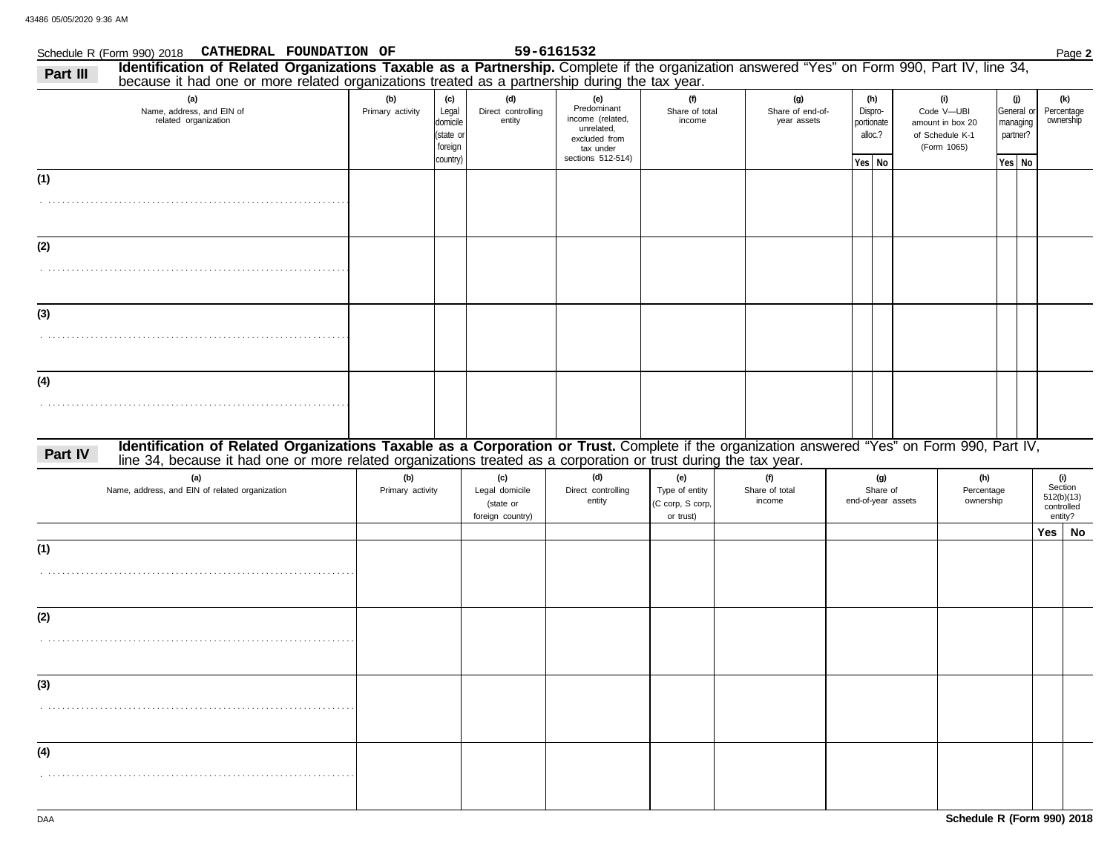| CATHEDRAL FOUNDATION OF<br>Schedule R (Form 990) 2018<br>Identification of Related Organizations Taxable as a Partnership. Complete if the organization answered "Yes" on Form 990, Part IV, line 34,                                     |                         |                                                             |                                                        | 59-6161532                                                                                              |                                                        |                                        |                                       |                                                     |                                                                         |                                                     | Page 2                                                |
|-------------------------------------------------------------------------------------------------------------------------------------------------------------------------------------------------------------------------------------------|-------------------------|-------------------------------------------------------------|--------------------------------------------------------|---------------------------------------------------------------------------------------------------------|--------------------------------------------------------|----------------------------------------|---------------------------------------|-----------------------------------------------------|-------------------------------------------------------------------------|-----------------------------------------------------|-------------------------------------------------------|
| Part III<br>because it had one or more related organizations treated as a partnership during the tax year.                                                                                                                                |                         |                                                             |                                                        |                                                                                                         |                                                        |                                        |                                       |                                                     |                                                                         |                                                     |                                                       |
|                                                                                                                                                                                                                                           |                         |                                                             |                                                        |                                                                                                         |                                                        |                                        |                                       |                                                     |                                                                         |                                                     |                                                       |
| (a)<br>Name, address, and EIN of<br>related organization                                                                                                                                                                                  | (b)<br>Primary activity | (c)<br>Legal<br>domicile<br>state or<br>foreign<br>:ountry) | (d)<br>Direct controlling<br>entity                    | (e)<br>Predominant<br>income (related,<br>unrelated,<br>excluded from<br>tax under<br>sections 512-514) | (f)<br>Share of total<br>income                        | (g)<br>Share of end-of-<br>year assets |                                       | (h)<br>Dispro-<br>portionate<br>alloc.?<br>Yes   No | (i)<br>Code V-UBI<br>amount in box 20<br>of Schedule K-1<br>(Form 1065) | (j)<br>General or<br>managing<br>partner?<br>Yes No | (k)<br>Percentage<br>ownership                        |
| (1)                                                                                                                                                                                                                                       |                         |                                                             |                                                        |                                                                                                         |                                                        |                                        |                                       |                                                     |                                                                         |                                                     |                                                       |
| (2)                                                                                                                                                                                                                                       |                         |                                                             |                                                        |                                                                                                         |                                                        |                                        |                                       |                                                     |                                                                         |                                                     |                                                       |
| (3)                                                                                                                                                                                                                                       |                         |                                                             |                                                        |                                                                                                         |                                                        |                                        |                                       |                                                     |                                                                         |                                                     |                                                       |
|                                                                                                                                                                                                                                           |                         |                                                             |                                                        |                                                                                                         |                                                        |                                        |                                       |                                                     |                                                                         |                                                     |                                                       |
| (4)                                                                                                                                                                                                                                       |                         |                                                             |                                                        |                                                                                                         |                                                        |                                        |                                       |                                                     |                                                                         |                                                     |                                                       |
| Identification of Related Organizations Taxable as a Corporation or Trust. Complete if the organization answered "Yes" on Form 990, Part IV, line 34, because it had one or more related organizations treated as a corporatio<br>Part IV |                         |                                                             |                                                        |                                                                                                         |                                                        |                                        |                                       |                                                     |                                                                         |                                                     |                                                       |
| (a)<br>Name, address, and EIN of related organization                                                                                                                                                                                     | (b)<br>Primary activity |                                                             | (c)<br>Legal domicile<br>(state or<br>foreign country) | (d)<br>Direct controlling<br>entity                                                                     | (e)<br>Type of entity<br>(C corp, S corp,<br>or trust) | (f)<br>Share of total<br>income        | (g)<br>Share of<br>end-of-year assets |                                                     | (h)<br>Percentage<br>ownership                                          |                                                     | (i)<br>Section<br>512(b)(13)<br>controlled<br>entity? |
|                                                                                                                                                                                                                                           |                         |                                                             |                                                        |                                                                                                         |                                                        |                                        |                                       |                                                     |                                                                         |                                                     | Yes l<br>No                                           |
| (1)                                                                                                                                                                                                                                       |                         |                                                             |                                                        |                                                                                                         |                                                        |                                        |                                       |                                                     |                                                                         |                                                     |                                                       |
| (2)                                                                                                                                                                                                                                       |                         |                                                             |                                                        |                                                                                                         |                                                        |                                        |                                       |                                                     |                                                                         |                                                     |                                                       |
| (3)                                                                                                                                                                                                                                       |                         |                                                             |                                                        |                                                                                                         |                                                        |                                        |                                       |                                                     |                                                                         |                                                     |                                                       |
| (4)                                                                                                                                                                                                                                       |                         |                                                             |                                                        |                                                                                                         |                                                        |                                        |                                       |                                                     |                                                                         |                                                     |                                                       |
|                                                                                                                                                                                                                                           |                         |                                                             |                                                        |                                                                                                         |                                                        |                                        |                                       |                                                     |                                                                         |                                                     |                                                       |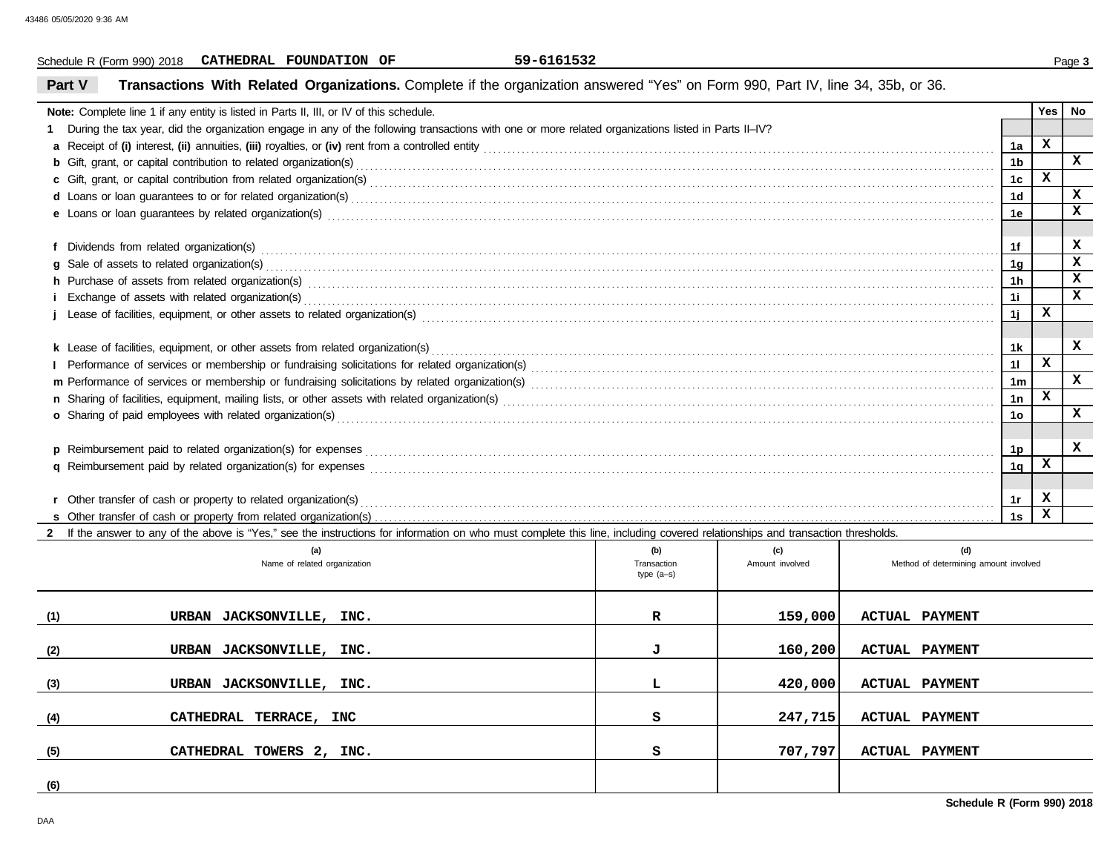Schedule R (Form 990) 2018 Page **3 CATHEDRAL FOUNDATION OF 59-6161532**

| Part V<br>Transactions With Related Organizations. Complete if the organization answered "Yes" on Form 990, Part IV, line 34, 35b, or 36.                                                                                          |                |
|------------------------------------------------------------------------------------------------------------------------------------------------------------------------------------------------------------------------------------|----------------|
| Note: Complete line 1 if any entity is listed in Parts II, III, or IV of this schedule.                                                                                                                                            |                |
| During the tax year, did the organization engage in any of the following transactions with one or more related organizations listed in Parts II-IV?                                                                                |                |
|                                                                                                                                                                                                                                    | 1a             |
| b Gift, grant, or capital contribution to related organization(s) encourse and contained and contained and contribution to related organization(s) encourse and contribution to related organization(s) encourse and contained     | 1 <sub>b</sub> |
|                                                                                                                                                                                                                                    | 1c             |
| d Loans or loan guarantees to or for related organization(s) encourance contained and contained and contained and contained and contained and contained and contained and contained and contained and contained and contained      | 1 <sub>d</sub> |
|                                                                                                                                                                                                                                    | <b>1e</b>      |
|                                                                                                                                                                                                                                    | 1f             |
|                                                                                                                                                                                                                                    | 1g             |
| h Purchase of assets from related organization(s) with an example and contact the control of an example and contact the control of assets from related organization(s)                                                             | 1h             |
|                                                                                                                                                                                                                                    |                |
| j Lease of facilities, equipment, or other assets to related organization(s) enconverse contained accommodal contained and an intervent and an intervent and an intervent and an intervent and an intervent and an intervent a     | <u>1j</u>      |
|                                                                                                                                                                                                                                    | 1k             |
|                                                                                                                                                                                                                                    | 11             |
|                                                                                                                                                                                                                                    | 1m             |
|                                                                                                                                                                                                                                    | <u>1n</u>      |
|                                                                                                                                                                                                                                    | 1o             |
|                                                                                                                                                                                                                                    | <u>1p</u>      |
| q Reimbursement paid by related organization(s) for expenses <b>construction and construction</b> construction and and reference or construction or construction of the set of the set of the set of the set of the set of the set | <u> 1q</u>     |
|                                                                                                                                                                                                                                    | 1r             |
|                                                                                                                                                                                                                                    | 1s             |

**2** If the answer to any of the above is "Yes," see the instructions for information on who must complete this line, including covered relationships and transaction thresholds.

|     | (a)<br>Name of related organization | (b)<br>Transaction<br>type $(a-s)$ | (c)<br>Amount involved | (d)<br>Method of determining amount involved |
|-----|-------------------------------------|------------------------------------|------------------------|----------------------------------------------|
| (1) | URBAN JACKSONVILLE, INC.            | R                                  | 159,000                | <b>ACTUAL PAYMENT</b>                        |
| (2) | URBAN JACKSONVILLE, INC.            | J                                  | 160, 200               | <b>ACTUAL PAYMENT</b>                        |
| (3) | URBAN JACKSONVILLE, INC.            | L.                                 | 420,000                | <b>ACTUAL PAYMENT</b>                        |
| (4) | CATHEDRAL TERRACE, INC              | s                                  | 247,715                | <b>ACTUAL PAYMENT</b>                        |
| (5) | CATHEDRAL TOWERS 2, INC.            | s                                  | 707,797                | <b>ACTUAL PAYMENT</b>                        |
| (6) |                                     |                                    |                        |                                              |

**X**

**X X**

**X X X X**

**X**

**X**

**X**

**X**

**Yes No**

**X**

**X**

**X**

**X**

**X**

**X**

**X X**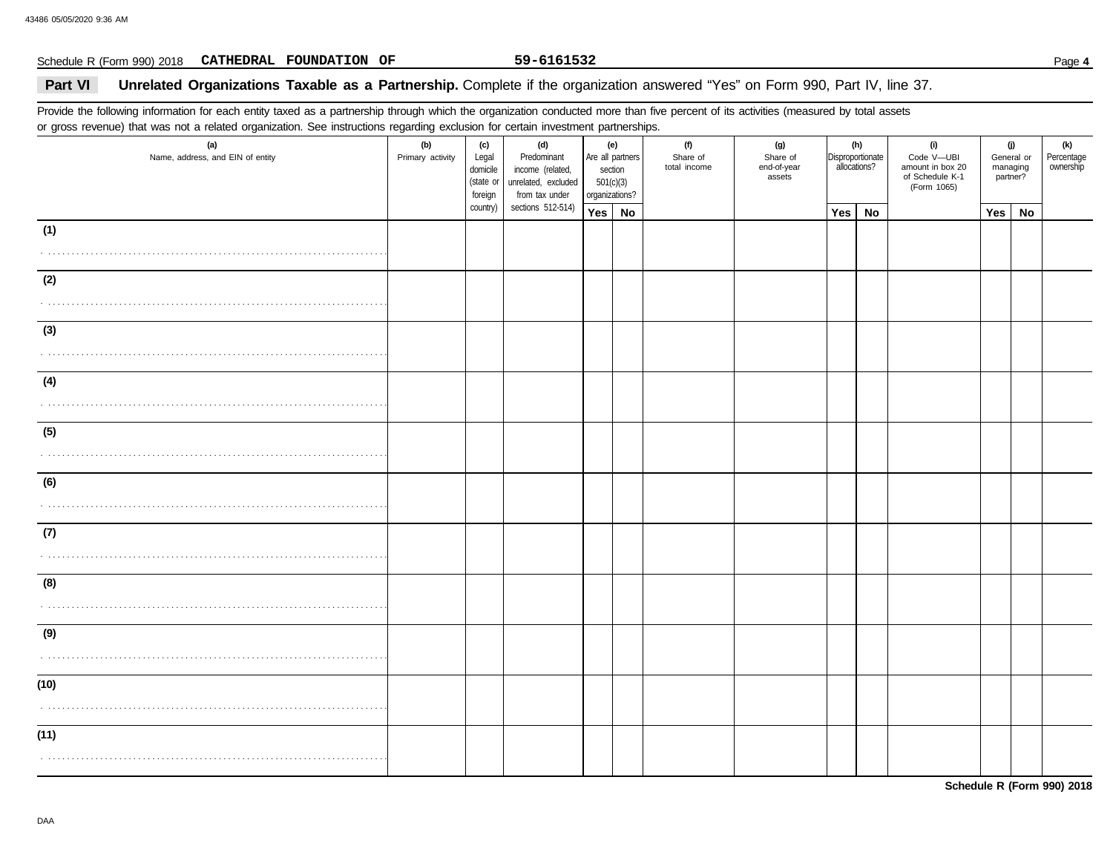#### Schedule R (Form 990) 2018 Page **4 CATHEDRAL FOUNDATION OF 59-6161532**

### **Part VI** Unrelated Organizations Taxable as a Partnership. Complete if the organization answered "Yes" on Form 990, Part IV, line 37.

Provide the following information for each entity taxed as a partnership through which the organization conducted more than five percent of its activities (measured by total assets or gross revenue) that was not a related organization. See instructions regarding exclusion for certain investment partnerships.

| (a)<br>Name, address, and EIN of entity | ັ<br>(b)<br>Primary activity | (c)<br>Legal<br>domicile<br>(state or<br>foreign | (d)<br>Predominant<br>income (related,<br>unrelated, excluded<br>from tax under | (e)<br>Are all partners<br>section<br>501(c)(3)<br>organizations? | (f)<br>Share of<br>total income | (g)<br>Share of<br>end-of-year<br>assets | Disproportionate | (h)<br>allocations? | (i)<br>Code V-UBI<br>amount in box 20<br>of Schedule K-1<br>(Form 1065) | (j)<br>General or<br>managing<br>partner? |    | (k)<br>Percentage<br>ownership |
|-----------------------------------------|------------------------------|--------------------------------------------------|---------------------------------------------------------------------------------|-------------------------------------------------------------------|---------------------------------|------------------------------------------|------------------|---------------------|-------------------------------------------------------------------------|-------------------------------------------|----|--------------------------------|
|                                         |                              | country)                                         | sections 512-514)                                                               | $Yes \mid No$                                                     |                                 |                                          | Yes              | No                  |                                                                         | Yes                                       | No |                                |
| (1)                                     |                              |                                                  |                                                                                 |                                                                   |                                 |                                          |                  |                     |                                                                         |                                           |    |                                |
|                                         |                              |                                                  |                                                                                 |                                                                   |                                 |                                          |                  |                     |                                                                         |                                           |    |                                |
| (2)                                     |                              |                                                  |                                                                                 |                                                                   |                                 |                                          |                  |                     |                                                                         |                                           |    |                                |
|                                         |                              |                                                  |                                                                                 |                                                                   |                                 |                                          |                  |                     |                                                                         |                                           |    |                                |
| (3)                                     |                              |                                                  |                                                                                 |                                                                   |                                 |                                          |                  |                     |                                                                         |                                           |    |                                |
|                                         |                              |                                                  |                                                                                 |                                                                   |                                 |                                          |                  |                     |                                                                         |                                           |    |                                |
| (4)                                     |                              |                                                  |                                                                                 |                                                                   |                                 |                                          |                  |                     |                                                                         |                                           |    |                                |
|                                         |                              |                                                  |                                                                                 |                                                                   |                                 |                                          |                  |                     |                                                                         |                                           |    |                                |
| (5)                                     |                              |                                                  |                                                                                 |                                                                   |                                 |                                          |                  |                     |                                                                         |                                           |    |                                |
|                                         |                              |                                                  |                                                                                 |                                                                   |                                 |                                          |                  |                     |                                                                         |                                           |    |                                |
| (6)                                     |                              |                                                  |                                                                                 |                                                                   |                                 |                                          |                  |                     |                                                                         |                                           |    |                                |
|                                         |                              |                                                  |                                                                                 |                                                                   |                                 |                                          |                  |                     |                                                                         |                                           |    |                                |
| (7)                                     |                              |                                                  |                                                                                 |                                                                   |                                 |                                          |                  |                     |                                                                         |                                           |    |                                |
|                                         |                              |                                                  |                                                                                 |                                                                   |                                 |                                          |                  |                     |                                                                         |                                           |    |                                |
| (8)                                     |                              |                                                  |                                                                                 |                                                                   |                                 |                                          |                  |                     |                                                                         |                                           |    |                                |
|                                         |                              |                                                  |                                                                                 |                                                                   |                                 |                                          |                  |                     |                                                                         |                                           |    |                                |
| (9)                                     |                              |                                                  |                                                                                 |                                                                   |                                 |                                          |                  |                     |                                                                         |                                           |    |                                |
|                                         |                              |                                                  |                                                                                 |                                                                   |                                 |                                          |                  |                     |                                                                         |                                           |    |                                |
| (10)                                    |                              |                                                  |                                                                                 |                                                                   |                                 |                                          |                  |                     |                                                                         |                                           |    |                                |
|                                         |                              |                                                  |                                                                                 |                                                                   |                                 |                                          |                  |                     |                                                                         |                                           |    |                                |
| (11)                                    |                              |                                                  |                                                                                 |                                                                   |                                 |                                          |                  |                     |                                                                         |                                           |    |                                |
|                                         |                              |                                                  |                                                                                 |                                                                   |                                 |                                          |                  |                     |                                                                         |                                           |    |                                |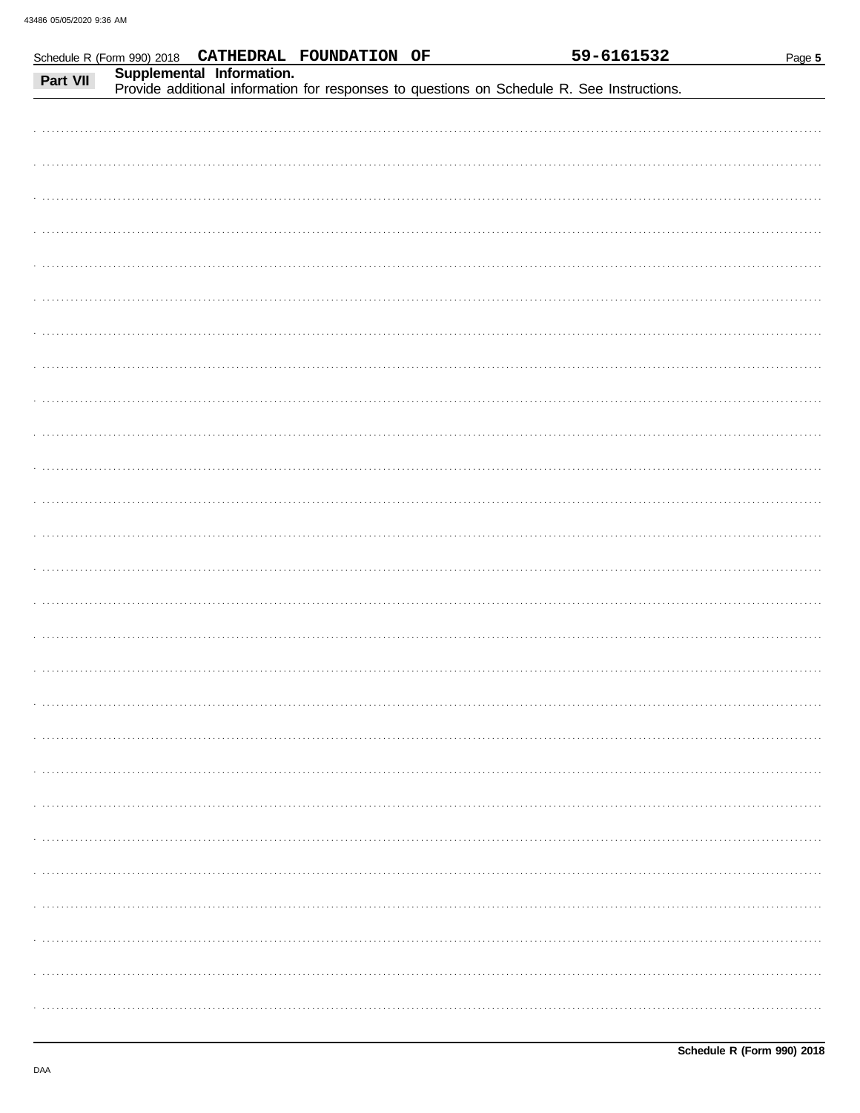|          |  | Schedule R (Form 990) 2018 CATHEDRAL FOUNDATION OF                                                                      |  | 59-6161532 | Page 5 |
|----------|--|-------------------------------------------------------------------------------------------------------------------------|--|------------|--------|
| Part VII |  | Supplemental Information.<br>Provide additional information for responses to questions on Schedule R. See Instructions. |  |            |        |
|          |  |                                                                                                                         |  |            |        |
|          |  |                                                                                                                         |  |            |        |
|          |  |                                                                                                                         |  |            |        |
|          |  |                                                                                                                         |  |            |        |
|          |  |                                                                                                                         |  |            |        |
|          |  |                                                                                                                         |  |            |        |
|          |  |                                                                                                                         |  |            |        |
|          |  |                                                                                                                         |  |            |        |
|          |  |                                                                                                                         |  |            |        |
|          |  |                                                                                                                         |  |            |        |
|          |  |                                                                                                                         |  |            |        |
|          |  |                                                                                                                         |  |            |        |
|          |  |                                                                                                                         |  |            |        |
|          |  |                                                                                                                         |  |            |        |
|          |  |                                                                                                                         |  |            |        |
|          |  |                                                                                                                         |  |            |        |
|          |  |                                                                                                                         |  |            |        |
|          |  |                                                                                                                         |  |            |        |
|          |  |                                                                                                                         |  |            |        |
|          |  |                                                                                                                         |  |            |        |
|          |  |                                                                                                                         |  |            |        |
|          |  |                                                                                                                         |  |            |        |
|          |  |                                                                                                                         |  |            |        |
|          |  |                                                                                                                         |  |            |        |
|          |  |                                                                                                                         |  |            |        |
|          |  |                                                                                                                         |  |            |        |
|          |  |                                                                                                                         |  |            |        |
|          |  |                                                                                                                         |  |            |        |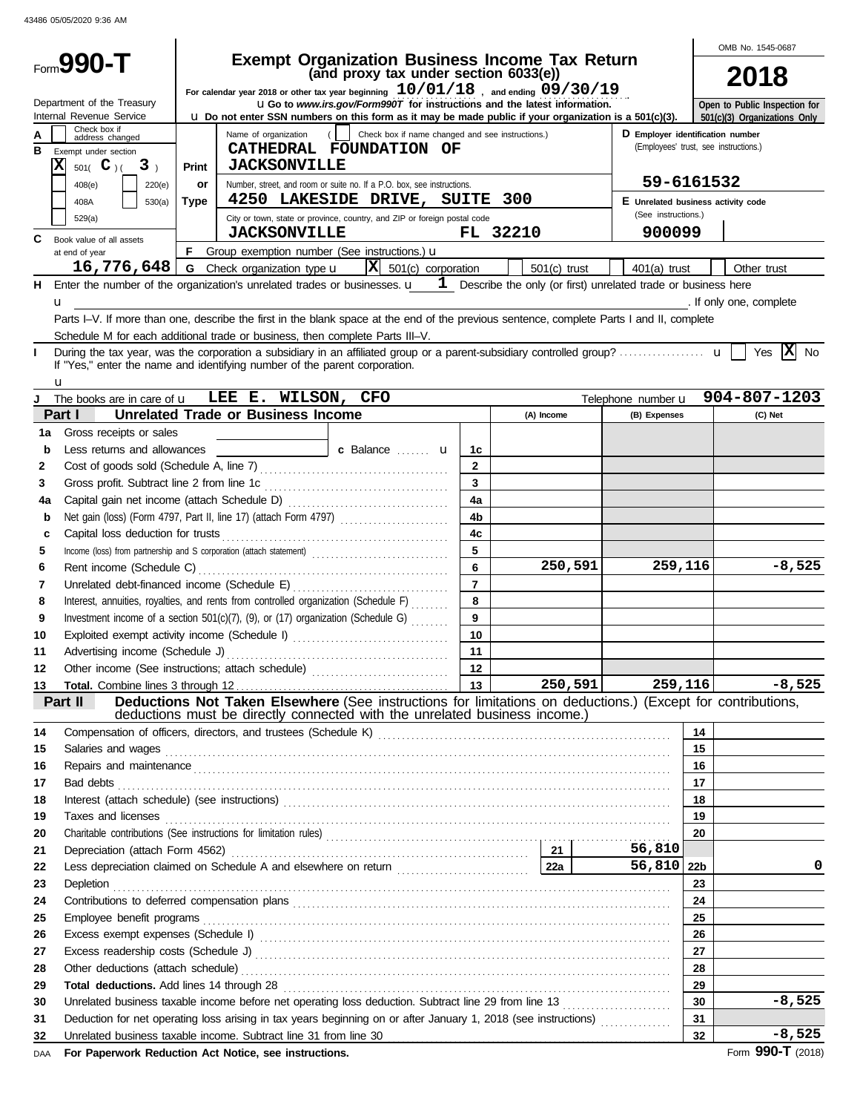|          |                                                                                                                                                                                                                                     |       |                                                                  |  |                                                                                                             |                |                |         |                                                           |          | OMB No. 1545-0687             |  |  |
|----------|-------------------------------------------------------------------------------------------------------------------------------------------------------------------------------------------------------------------------------------|-------|------------------------------------------------------------------|--|-------------------------------------------------------------------------------------------------------------|----------------|----------------|---------|-----------------------------------------------------------|----------|-------------------------------|--|--|
|          | Form <b>990-T</b>                                                                                                                                                                                                                   |       |                                                                  |  | <b>Exempt Organization Business Income Tax Return</b><br>(and proxy tax under section 6033(e))              |                |                |         |                                                           |          |                               |  |  |
|          |                                                                                                                                                                                                                                     |       |                                                                  |  | For calendar year 2018 or other tax year beginning $10/01/18$ , and ending $09/30/19$                       |                |                |         |                                                           |          | 2018                          |  |  |
|          | Department of the Treasury                                                                                                                                                                                                          |       |                                                                  |  | <b>uGo</b> to www.irs.gov/Form990T for instructions and the latest information.                             |                |                |         |                                                           |          | Open to Public Inspection for |  |  |
|          | Internal Revenue Service                                                                                                                                                                                                            |       |                                                                  |  | u Do not enter SSN numbers on this form as it may be made public if your organization is a 501(c)(3).       |                |                |         |                                                           |          | 501(c)(3) Organizations Only  |  |  |
|          | Check box if<br>address changed                                                                                                                                                                                                     |       | Name of organization                                             |  | Check box if name changed and see instructions.)                                                            |                |                |         | D Employer identification number                          |          |                               |  |  |
| в        | Exempt under section                                                                                                                                                                                                                |       | (Employees' trust, see instructions.)<br>CATHEDRAL FOUNDATION OF |  |                                                                                                             |                |                |         |                                                           |          |                               |  |  |
|          | x<br>501( $\bf{C}$ )(<br>3 <sub>1</sub>                                                                                                                                                                                             | Print | <b>JACKSONVILLE</b>                                              |  |                                                                                                             |                |                |         |                                                           |          |                               |  |  |
|          | 220(e)<br>408(e)                                                                                                                                                                                                                    | or    |                                                                  |  | Number, street, and room or suite no. If a P.O. box, see instructions.                                      |                |                |         | 59-6161532                                                |          |                               |  |  |
|          | 408A<br>530(a)                                                                                                                                                                                                                      | Type  |                                                                  |  | 4250 LAKESIDE DRIVE, SUITE 300                                                                              |                |                |         | E Unrelated business activity code<br>(See instructions.) |          |                               |  |  |
|          | 529(a)                                                                                                                                                                                                                              |       |                                                                  |  | City or town, state or province, country, and ZIP or foreign postal code                                    |                |                |         | 900099                                                    |          |                               |  |  |
| C        | Book value of all assets                                                                                                                                                                                                            |       | <b>JACKSONVILLE</b>                                              |  |                                                                                                             |                | FL 32210       |         |                                                           |          |                               |  |  |
|          | at end of year                                                                                                                                                                                                                      | F.    |                                                                  |  | Group exemption number (See instructions.) <b>u</b>                                                         |                |                |         |                                                           |          |                               |  |  |
|          | 16,776,648                                                                                                                                                                                                                          |       | <b>G</b> Check organization type <b>u</b>                        |  | $ \mathbf{X} $ 501(c) corporation                                                                           |                | $501(c)$ trust |         | $401(a)$ trust                                            |          | Other trust                   |  |  |
| н.       | Enter the number of the organization's unrelated trades or businesses. $\mu$ 1 Describe the only (or first) unrelated trade or business here                                                                                        |       |                                                                  |  |                                                                                                             |                |                |         |                                                           |          |                               |  |  |
|          | u<br>Parts I-V. If more than one, describe the first in the blank space at the end of the previous sentence, complete Parts I and II, complete                                                                                      |       |                                                                  |  |                                                                                                             |                |                |         |                                                           |          | . If only one, complete       |  |  |
|          | Schedule M for each additional trade or business, then complete Parts III-V.                                                                                                                                                        |       |                                                                  |  |                                                                                                             |                |                |         |                                                           |          |                               |  |  |
|          |                                                                                                                                                                                                                                     |       |                                                                  |  |                                                                                                             |                |                |         |                                                           |          | Yes $ \mathbf{X} $ No         |  |  |
|          | If "Yes," enter the name and identifying number of the parent corporation.                                                                                                                                                          |       |                                                                  |  |                                                                                                             |                |                |         |                                                           |          |                               |  |  |
|          | u                                                                                                                                                                                                                                   |       |                                                                  |  |                                                                                                             |                |                |         |                                                           |          |                               |  |  |
|          | The books are in care of <b>u</b> LEE E. WILSON, CFO                                                                                                                                                                                |       |                                                                  |  |                                                                                                             |                |                |         | Telephone number u                                        |          | 904-807-1203                  |  |  |
|          | Part I                                                                                                                                                                                                                              |       | <b>Unrelated Trade or Business Income</b>                        |  |                                                                                                             |                | (A) Income     |         | (B) Expenses                                              |          | (C) Net                       |  |  |
| 1a       | Gross receipts or sales                                                                                                                                                                                                             |       |                                                                  |  |                                                                                                             |                |                |         |                                                           |          |                               |  |  |
| b        | Less returns and allowances                                                                                                                                                                                                         |       |                                                                  |  | c Balance <b>under</b> u                                                                                    | 1c             |                |         |                                                           |          |                               |  |  |
| 2        |                                                                                                                                                                                                                                     |       |                                                                  |  |                                                                                                             | $\overline{2}$ |                |         |                                                           |          |                               |  |  |
| 3        |                                                                                                                                                                                                                                     |       |                                                                  |  |                                                                                                             | 3              |                |         |                                                           |          |                               |  |  |
| 4a       |                                                                                                                                                                                                                                     |       |                                                                  |  |                                                                                                             | 4a             |                |         |                                                           |          |                               |  |  |
| b        | Net gain (loss) (Form 4797, Part II, line 17) (attach Form 4797)                                                                                                                                                                    |       |                                                                  |  |                                                                                                             | 4 <sub>b</sub> |                |         |                                                           |          |                               |  |  |
| c        |                                                                                                                                                                                                                                     |       |                                                                  |  |                                                                                                             | 4 <sub>c</sub> |                |         |                                                           |          |                               |  |  |
| 5        |                                                                                                                                                                                                                                     |       |                                                                  |  |                                                                                                             | 5              |                |         |                                                           |          |                               |  |  |
| 6        | Rent income (Schedule C)                                                                                                                                                                                                            |       |                                                                  |  |                                                                                                             | 6              |                | 250,591 | 259,116                                                   |          | $-8,525$                      |  |  |
| 7        |                                                                                                                                                                                                                                     |       |                                                                  |  |                                                                                                             | $\overline{7}$ |                |         |                                                           |          |                               |  |  |
| 8        | Interest, annuities, royalties, and rents from controlled organization (Schedule F)                                                                                                                                                 |       |                                                                  |  |                                                                                                             | 8<br>9         |                |         |                                                           |          |                               |  |  |
| 9        | Investment income of a section 501(c)(7), (9), or (17) organization (Schedule G)                                                                                                                                                    |       |                                                                  |  |                                                                                                             | 10             |                |         |                                                           |          |                               |  |  |
| 10       |                                                                                                                                                                                                                                     |       |                                                                  |  |                                                                                                             | 11             |                |         |                                                           |          |                               |  |  |
| 11<br>12 |                                                                                                                                                                                                                                     |       |                                                                  |  |                                                                                                             |                |                |         |                                                           |          |                               |  |  |
|          |                                                                                                                                                                                                                                     |       |                                                                  |  |                                                                                                             |                | 13             | 250,591 |                                                           |          | 259, 116<br>$-8,525$          |  |  |
|          | Part II                                                                                                                                                                                                                             |       |                                                                  |  | Deductions Not Taken Elsewhere (See instructions for limitations on deductions.) (Except for contributions, |                |                |         |                                                           |          |                               |  |  |
|          |                                                                                                                                                                                                                                     |       |                                                                  |  | deductions must be directly connected with the unrelated business income.)                                  |                |                |         |                                                           |          |                               |  |  |
| 14       |                                                                                                                                                                                                                                     |       |                                                                  |  |                                                                                                             |                |                |         |                                                           | 14       |                               |  |  |
| 15       |                                                                                                                                                                                                                                     |       |                                                                  |  |                                                                                                             |                |                |         |                                                           | 15       |                               |  |  |
| 16       | Repairs and maintenance construction and construction of the construction of the construction of the construction of the construction of the construction of the construction of the construction of the construction of the c      |       |                                                                  |  |                                                                                                             |                |                |         |                                                           | 16       |                               |  |  |
| 17       | Bad debts <b>construction of the construction of the construction of the construction of the construction</b> of the construction of the construction of the construction of the construction of the construction of the constructi |       |                                                                  |  |                                                                                                             |                |                |         |                                                           | 17       |                               |  |  |
| 18       |                                                                                                                                                                                                                                     |       |                                                                  |  |                                                                                                             |                |                |         |                                                           | 18       |                               |  |  |
| 19       |                                                                                                                                                                                                                                     |       |                                                                  |  |                                                                                                             |                |                |         |                                                           | 19       |                               |  |  |
| 20       |                                                                                                                                                                                                                                     |       |                                                                  |  |                                                                                                             |                |                |         |                                                           | 20       |                               |  |  |
| 21       |                                                                                                                                                                                                                                     |       |                                                                  |  |                                                                                                             |                |                |         | 56,810                                                    |          |                               |  |  |
| 22       |                                                                                                                                                                                                                                     |       |                                                                  |  |                                                                                                             |                |                |         | 56,810                                                    | 22b      | 0                             |  |  |
| 23       |                                                                                                                                                                                                                                     |       |                                                                  |  |                                                                                                             |                |                |         |                                                           | 23       |                               |  |  |
| 24       | Contributions to deferred compensation plans [11] contracts are contributions to deferred compensation plans [11] contributions to deferred compensation plans [11] contracts are contract and contract are contract at the co      |       |                                                                  |  |                                                                                                             |                |                |         |                                                           | 24<br>25 |                               |  |  |
| 25<br>26 |                                                                                                                                                                                                                                     |       |                                                                  |  |                                                                                                             |                |                |         |                                                           | 26       |                               |  |  |
| 27       |                                                                                                                                                                                                                                     |       |                                                                  |  |                                                                                                             |                |                |         |                                                           | 27       |                               |  |  |
| 28       |                                                                                                                                                                                                                                     |       |                                                                  |  |                                                                                                             |                |                |         |                                                           | 28       |                               |  |  |
| 29       |                                                                                                                                                                                                                                     |       |                                                                  |  |                                                                                                             |                |                |         |                                                           | 29       |                               |  |  |
| 30       | Unrelated business taxable income before net operating loss deduction. Subtract line 29 from line 13                                                                                                                                |       |                                                                  |  |                                                                                                             |                |                |         |                                                           | 30       | $-8,525$                      |  |  |
| 31       | Deduction for net operating loss arising in tax years beginning on or after January 1, 2018 (see instructions)                                                                                                                      |       |                                                                  |  |                                                                                                             |                |                |         |                                                           | 31       |                               |  |  |
| 32       | Unrelated business taxable income. Subtract line 31 from line 30                                                                                                                                                                    |       |                                                                  |  |                                                                                                             |                |                |         |                                                           | 32       | $-8,525$                      |  |  |
| DAA      | For Paperwork Reduction Act Notice, see instructions.                                                                                                                                                                               |       |                                                                  |  |                                                                                                             |                |                |         |                                                           |          | Form 990-T (2018)             |  |  |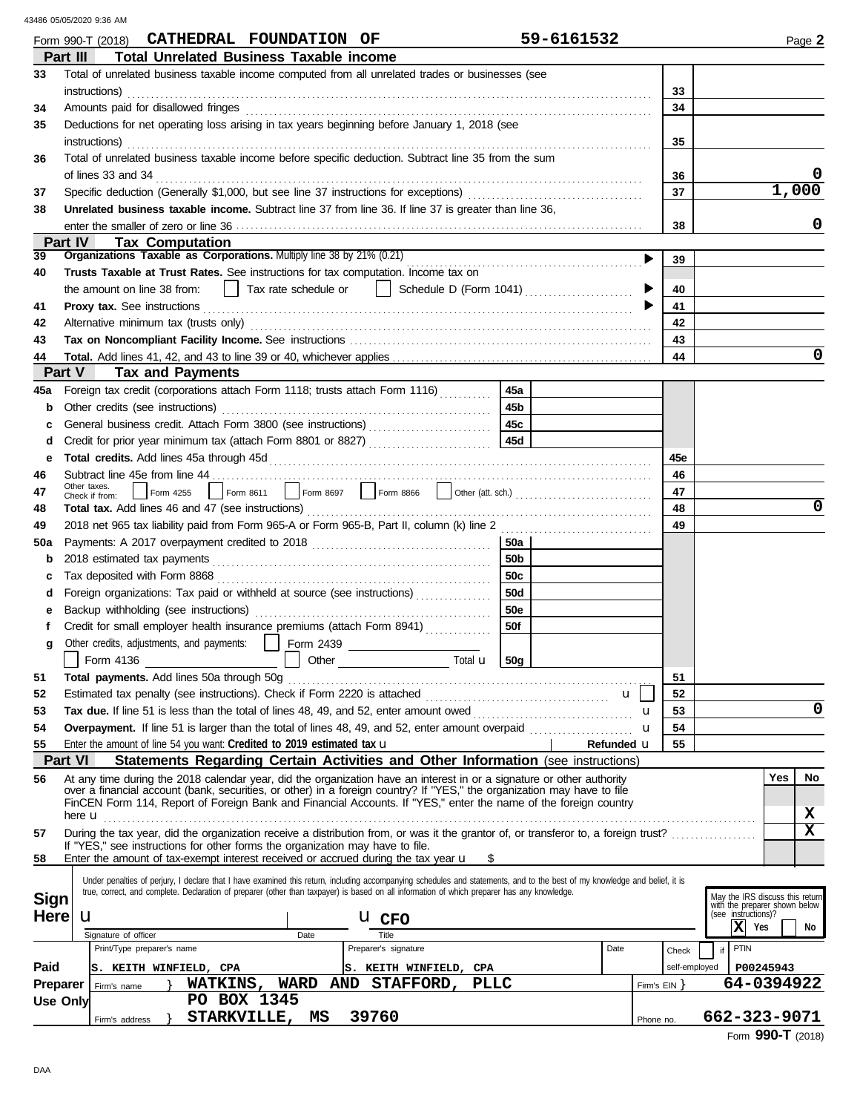43486 05/05/2020 9:36 AM

|                 | Form 990-T (2018) CATHEDRAL FOUNDATION OF                                                                                                                                                                                                        | 59-6161532             |             |                |               |                                                      | Page 2                          |
|-----------------|--------------------------------------------------------------------------------------------------------------------------------------------------------------------------------------------------------------------------------------------------|------------------------|-------------|----------------|---------------|------------------------------------------------------|---------------------------------|
|                 | <b>Total Unrelated Business Taxable income</b><br>Part III                                                                                                                                                                                       |                        |             |                |               |                                                      |                                 |
| 33              | Total of unrelated business taxable income computed from all unrelated trades or businesses (see                                                                                                                                                 |                        |             |                |               |                                                      |                                 |
|                 | instructions)                                                                                                                                                                                                                                    |                        |             |                | 33            |                                                      |                                 |
| 34              | Amounts paid for disallowed fringes                                                                                                                                                                                                              |                        |             |                | 34            |                                                      |                                 |
| 35              | Deductions for net operating loss arising in tax years beginning before January 1, 2018 (see                                                                                                                                                     |                        |             |                |               |                                                      |                                 |
|                 |                                                                                                                                                                                                                                                  |                        |             |                | 35            |                                                      |                                 |
|                 | Total of unrelated business taxable income before specific deduction. Subtract line 35 from the sum                                                                                                                                              |                        |             |                |               |                                                      |                                 |
| 36              | of lines 33 and 34                                                                                                                                                                                                                               |                        |             |                |               |                                                      |                                 |
|                 |                                                                                                                                                                                                                                                  |                        |             |                | 36<br>37      |                                                      | 1,000                           |
| 37              | Specific deduction (Generally \$1,000, but see line 37 instructions for exceptions) [[[[[[[[[[[[[[[[[[[[[[[[[[                                                                                                                                   |                        |             |                |               |                                                      |                                 |
| 38              | Unrelated business taxable income. Subtract line 37 from line 36. If line 37 is greater than line 36,                                                                                                                                            |                        |             |                |               |                                                      |                                 |
|                 |                                                                                                                                                                                                                                                  |                        |             |                | 38            |                                                      | 0                               |
|                 | <b>Part IV</b><br><b>Tax Computation</b><br>Organizations Taxable as Corporations. Multiply line 38 by 21% (0.21)                                                                                                                                |                        |             |                |               |                                                      |                                 |
| 39              |                                                                                                                                                                                                                                                  |                        |             |                | 39            |                                                      |                                 |
| 40              | Trusts Taxable at Trust Rates. See instructions for tax computation. Income tax on                                                                                                                                                               |                        |             |                |               |                                                      |                                 |
|                 | $\perp$<br>the amount on line 38 from:<br>Tax rate schedule or                                                                                                                                                                                   | Schedule D (Form 1041) |             |                | 40            |                                                      |                                 |
| 41              |                                                                                                                                                                                                                                                  |                        |             |                | 41            |                                                      |                                 |
| 42              |                                                                                                                                                                                                                                                  |                        |             |                | 42            |                                                      |                                 |
| 43              |                                                                                                                                                                                                                                                  |                        |             |                | 43            |                                                      |                                 |
| 44              |                                                                                                                                                                                                                                                  |                        |             |                | 44            |                                                      | 0                               |
|                 | <b>Tax and Payments</b><br>Part V                                                                                                                                                                                                                |                        |             |                |               |                                                      |                                 |
| 45a             | Foreign tax credit (corporations attach Form 1118; trusts attach Form 1116)                                                                                                                                                                      | 45a                    |             |                |               |                                                      |                                 |
| b               |                                                                                                                                                                                                                                                  | 45 <sub>b</sub>        |             |                |               |                                                      |                                 |
| с               |                                                                                                                                                                                                                                                  | 45c                    |             |                |               |                                                      |                                 |
| d               |                                                                                                                                                                                                                                                  |                        |             |                |               |                                                      |                                 |
| е               |                                                                                                                                                                                                                                                  |                        |             |                | 45e           |                                                      |                                 |
| 46              |                                                                                                                                                                                                                                                  |                        |             |                | 46            |                                                      |                                 |
| 47              | Other taxes.<br>Form 4255<br>Check if from:                                                                                                                                                                                                      |                        |             |                | 47            |                                                      |                                 |
| 48              |                                                                                                                                                                                                                                                  |                        |             |                | 48            |                                                      | 0                               |
| 49              |                                                                                                                                                                                                                                                  |                        |             |                | 49            |                                                      |                                 |
| 50a             | Payments: A 2017 overpayment credited to 2018 [[11] content content of the Payments: A 2017 overpayment credited to 2018                                                                                                                         | 50a                    |             |                |               |                                                      |                                 |
| b               |                                                                                                                                                                                                                                                  | 50 <sub>b</sub>        |             |                |               |                                                      |                                 |
| с               |                                                                                                                                                                                                                                                  | 50c                    |             |                |               |                                                      |                                 |
| d               | Foreign organizations: Tax paid or withheld at source (see instructions)                                                                                                                                                                         | 50d                    |             |                |               |                                                      |                                 |
| е               |                                                                                                                                                                                                                                                  | <b>50e</b>             |             |                |               |                                                      |                                 |
| t               |                                                                                                                                                                                                                                                  | 50f                    |             |                |               |                                                      |                                 |
| g               | Other credits, adjustments, and payments:     Form 2439                                                                                                                                                                                          |                        |             |                |               |                                                      |                                 |
|                 | Other<br>Form 4136<br>Total <b>u</b>                                                                                                                                                                                                             | 50q                    |             |                |               |                                                      |                                 |
| 51              | Total payments. Add lines 50a through 50g                                                                                                                                                                                                        |                        |             |                | 51            |                                                      |                                 |
| 52              |                                                                                                                                                                                                                                                  |                        | $\mathbf u$ |                | 52            |                                                      |                                 |
| 53              |                                                                                                                                                                                                                                                  |                        |             |                | 53            |                                                      | 0                               |
|                 | Overpayment. If line 51 is larger than the total of lines 48, 49, and 52, enter amount overpaid <i>miniminiminimini</i>                                                                                                                          |                        |             | u              |               |                                                      |                                 |
| 54              |                                                                                                                                                                                                                                                  |                        |             | $\mathbf u$    | 54            |                                                      |                                 |
| 55              | Enter the amount of line 54 you want: Credited to 2019 estimated tax <b>u</b>                                                                                                                                                                    |                        | Refunded u  |                | 55            |                                                      |                                 |
|                 | <b>Part VI</b><br>Statements Regarding Certain Activities and Other Information (see instructions)                                                                                                                                               |                        |             |                |               |                                                      |                                 |
| 56              | At any time during the 2018 calendar year, did the organization have an interest in or a signature or other authority<br>over a financial account (bank, securities, or other) in a foreign country? If "YES," the organization may have to file |                        |             |                |               |                                                      | Yes<br>No                       |
|                 | FinCEN Form 114, Report of Foreign Bank and Financial Accounts. If "YES," enter the name of the foreign country                                                                                                                                  |                        |             |                |               |                                                      |                                 |
|                 |                                                                                                                                                                                                                                                  |                        |             |                |               |                                                      | х                               |
| 57              | During the tax year, did the organization receive a distribution from, or was it the grantor of, or transferor to, a foreign trust?                                                                                                              |                        |             |                |               |                                                      | X                               |
|                 | If "YES," see instructions for other forms the organization may have to file.                                                                                                                                                                    |                        |             |                |               |                                                      |                                 |
| 58              | Enter the amount of tax-exempt interest received or accrued during the tax year $\mathbf u$                                                                                                                                                      |                        |             |                |               |                                                      |                                 |
|                 | Under penalties of perjury, I declare that I have examined this return, including accompanying schedules and statements, and to the best of my knowledge and belief, it is                                                                       |                        |             |                |               |                                                      |                                 |
| Sign            | true, correct, and complete. Declaration of preparer (other than taxpayer) is based on all information of which preparer has any knowledge.                                                                                                      |                        |             |                |               |                                                      | May the IRS discuss this return |
| Here            | u<br><b>U</b> CFO                                                                                                                                                                                                                                |                        |             |                |               | with the preparer shown below<br>(see instructions)? |                                 |
|                 | Signature of officer<br>Title<br>Date                                                                                                                                                                                                            |                        |             |                |               | X<br>Yes                                             | No                              |
|                 | Print/Type preparer's name<br>Preparer's signature                                                                                                                                                                                               |                        | Date        |                | Check         | PTIN<br>if                                           |                                 |
| Paid            | S. KEITH WINFIELD, CPA<br>S. KEITH WINFIELD, CPA                                                                                                                                                                                                 |                        |             |                | self-employed | P00245943                                            |                                 |
| <b>Preparer</b> | <b>WARD</b><br>AND STAFFORD,<br><b>WATKINS,</b><br><b>PLLC</b><br>Firm's name                                                                                                                                                                    |                        |             | Firm's $EIN$ } |               |                                                      | 64-0394922                      |
| Use Only        | PO BOX 1345                                                                                                                                                                                                                                      |                        |             |                |               |                                                      |                                 |
|                 |                                                                                                                                                                                                                                                  |                        |             |                |               |                                                      |                                 |

Firm's address  $\overline{P}$   $\overline{SP}$   $\overline{SP}$   $\overline{SP}$   $\overline{PO}$   $\overline{OP}$   $\overline{PP}$   $\overline{PP}$   $\overline{PP}$   $\overline{PP}$   $\overline{PP}$   $\overline{PP}$   $\overline{PP}$   $\overline{PP}$   $\overline{PP}$   $\overline{PP}$   $\overline{PP}$   $\overline{PP}$   $\overline{PP}$   $\overline{PP}$   $\overline{PP}$   $\overline{PP}$   $\overline{PP}$ 

| <b>STARKV</b><br>------<br>.T.R<br>. . | MS | Phone no. | $\mathbf{a}$<br>ос<br>$\overline{\phantom{a}}$<br>$\overline{\phantom{a}}$<br>- |
|----------------------------------------|----|-----------|---------------------------------------------------------------------------------|
|                                        |    |           |                                                                                 |

}

| זגר דידי גרזו הזרי |  |  |
|--------------------|--|--|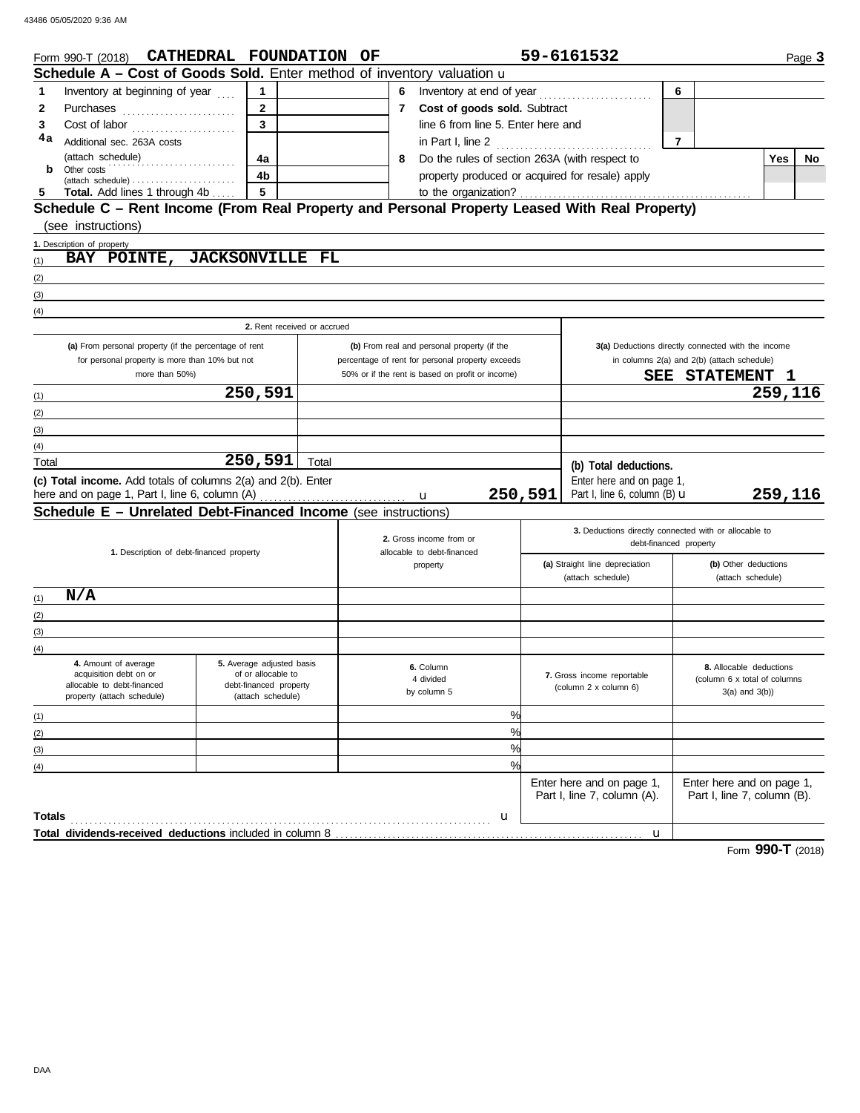| Form 990-T (2018) CATHEDRAL FOUNDATION OF                                                                      |                                              |                                                    |               | 59-6161532                                                          | Page 3                                                |
|----------------------------------------------------------------------------------------------------------------|----------------------------------------------|----------------------------------------------------|---------------|---------------------------------------------------------------------|-------------------------------------------------------|
| Schedule A - Cost of Goods Sold. Enter method of inventory valuation u                                         |                                              |                                                    |               |                                                                     |                                                       |
| Inventory at beginning of year<br>1                                                                            | $\mathbf 1$                                  | 6 Inventory at end of year                         |               |                                                                     | 6                                                     |
| Purchases<br>2                                                                                                 | $\overline{2}$                               | 7 Cost of goods sold. Subtract                     |               |                                                                     |                                                       |
| 3<br>Cost of labor                                                                                             | $\overline{3}$                               | line 6 from line 5. Enter here and                 |               |                                                                     |                                                       |
| 4a<br>Additional sec. 263A costs                                                                               |                                              | in Part I, line 2                                  |               |                                                                     | $\overline{7}$                                        |
| (attach schedule)                                                                                              | 4a                                           | Do the rules of section 263A (with respect to<br>8 |               |                                                                     | Yes<br><b>No</b>                                      |
| Other costs<br>b<br>(attach schedule)                                                                          | 4b                                           | property produced or acquired for resale) apply    |               |                                                                     |                                                       |
| <b>Total.</b> Add lines 1 through 4b                                                                           | $5\phantom{a}$                               | to the organization?                               |               |                                                                     |                                                       |
| Schedule C - Rent Income (From Real Property and Personal Property Leased With Real Property)                  |                                              |                                                    |               |                                                                     |                                                       |
| (see instructions)                                                                                             |                                              |                                                    |               |                                                                     |                                                       |
| 1. Description of property                                                                                     |                                              |                                                    |               |                                                                     |                                                       |
| BAY POINTE, JACKSONVILLE FL<br>(1)                                                                             |                                              |                                                    |               |                                                                     |                                                       |
| (2)                                                                                                            |                                              |                                                    |               |                                                                     |                                                       |
| (3)                                                                                                            |                                              |                                                    |               |                                                                     |                                                       |
| (4)                                                                                                            |                                              |                                                    |               |                                                                     |                                                       |
|                                                                                                                | 2. Rent received or accrued                  |                                                    |               |                                                                     |                                                       |
| (a) From personal property (if the percentage of rent                                                          |                                              | (b) From real and personal property (if the        |               |                                                                     | 3(a) Deductions directly connected with the income    |
| for personal property is more than 10% but not                                                                 |                                              | percentage of rent for personal property exceeds   |               |                                                                     | in columns 2(a) and 2(b) (attach schedule)            |
| more than 50%)                                                                                                 |                                              | 50% or if the rent is based on profit or income)   |               |                                                                     | <b>SEE STATEMENT</b><br>ı                             |
| (1)                                                                                                            | 250,591                                      |                                                    |               |                                                                     | 259,116                                               |
| (2)                                                                                                            |                                              |                                                    |               |                                                                     |                                                       |
| (3)                                                                                                            |                                              |                                                    |               |                                                                     |                                                       |
| (4)                                                                                                            | 250,591                                      |                                                    |               |                                                                     |                                                       |
| Total                                                                                                          | Total                                        |                                                    |               | (b) Total deductions.                                               |                                                       |
| (c) Total income. Add totals of columns 2(a) and 2(b). Enter<br>here and on page 1, Part I, line 6, column (A) |                                              |                                                    | 250,591       | Enter here and on page 1,<br>Part I, line 6, column (B) $\mathbf u$ | 259,116                                               |
| <b>Schedule E - Unrelated Debt-Financed Income</b> (see instructions)                                          |                                              | $\mathbf u$                                        |               |                                                                     |                                                       |
|                                                                                                                |                                              |                                                    |               |                                                                     | 3. Deductions directly connected with or allocable to |
|                                                                                                                |                                              | 2. Gross income from or                            |               |                                                                     | debt-financed property                                |
| 1. Description of debt-financed property                                                                       |                                              | allocable to debt-financed<br>property             |               | (a) Straight line depreciation                                      | (b) Other deductions                                  |
|                                                                                                                |                                              |                                                    |               | (attach schedule)                                                   | (attach schedule)                                     |
| N/A<br>(1)                                                                                                     |                                              |                                                    |               |                                                                     |                                                       |
| (2)                                                                                                            |                                              |                                                    |               |                                                                     |                                                       |
| (3)                                                                                                            |                                              |                                                    |               |                                                                     |                                                       |
| (4)                                                                                                            |                                              |                                                    |               |                                                                     |                                                       |
| 4. Amount of average                                                                                           | 5. Average adjusted basis                    | 6. Column                                          |               |                                                                     | 8. Allocable deductions                               |
| acquisition debt on or<br>allocable to debt-financed                                                           | of or allocable to<br>debt-financed property | 4 divided                                          |               | 7. Gross income reportable                                          | (column 6 x total of columns                          |
| property (attach schedule)                                                                                     | (attach schedule)                            | by column 5                                        |               | (column 2 x column 6)                                               | $3(a)$ and $3(b)$ )                                   |
| (1)                                                                                                            |                                              |                                                    | %             |                                                                     |                                                       |
| (2)                                                                                                            |                                              |                                                    | $\frac{0}{0}$ |                                                                     |                                                       |
| (3)                                                                                                            |                                              |                                                    | %             |                                                                     |                                                       |
| (4)                                                                                                            |                                              |                                                    | $\frac{0}{c}$ |                                                                     |                                                       |
|                                                                                                                |                                              |                                                    |               | Enter here and on page 1,                                           | Enter here and on page 1,                             |
|                                                                                                                |                                              |                                                    |               | Part I, line 7, column (A).                                         | Part I, line 7, column (B).                           |
| <b>Totals</b>                                                                                                  |                                              | u                                                  |               |                                                                     |                                                       |
|                                                                                                                |                                              |                                                    |               |                                                                     |                                                       |

Form **990-T** (2018)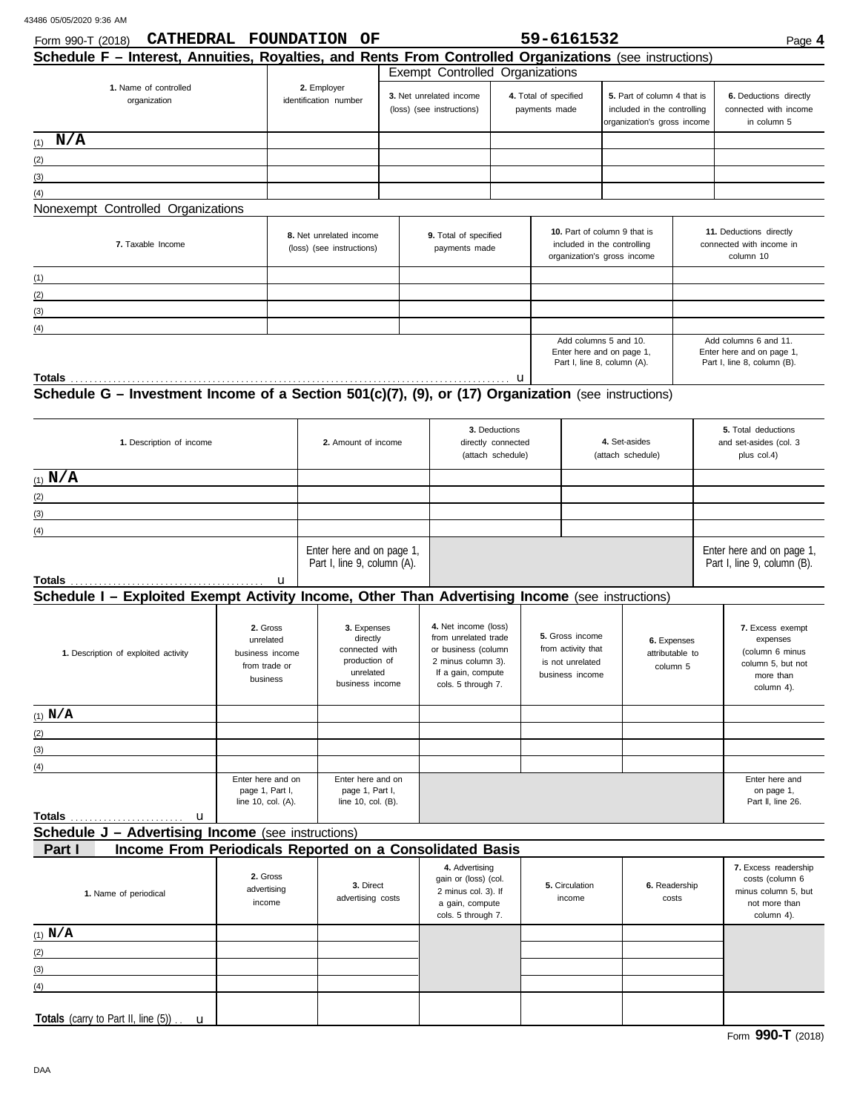| Form 990-T (2018)                                                                                                             |                                                                       | CATHEDRAL FOUNDATION OF                                                                    |                                                          |                                                                                                                                       |  |                                                                                                                            | 59-6161532                                         |                                                                                            |                                                                                               | Page 4                                                                                          |
|-------------------------------------------------------------------------------------------------------------------------------|-----------------------------------------------------------------------|--------------------------------------------------------------------------------------------|----------------------------------------------------------|---------------------------------------------------------------------------------------------------------------------------------------|--|----------------------------------------------------------------------------------------------------------------------------|----------------------------------------------------|--------------------------------------------------------------------------------------------|-----------------------------------------------------------------------------------------------|-------------------------------------------------------------------------------------------------|
| Schedule F - Interest, Annuities, Royalties, and Rents From Controlled Organizations (see instructions)                       |                                                                       |                                                                                            |                                                          |                                                                                                                                       |  |                                                                                                                            |                                                    |                                                                                            |                                                                                               |                                                                                                 |
|                                                                                                                               |                                                                       |                                                                                            |                                                          | Exempt Controlled Organizations                                                                                                       |  |                                                                                                                            |                                                    |                                                                                            |                                                                                               |                                                                                                 |
| 1. Name of controlled<br>organization                                                                                         |                                                                       | 2. Employer<br>identification number                                                       |                                                          | 3. Net unrelated income<br>(loss) (see instructions)                                                                                  |  | 4. Total of specified<br>payments made                                                                                     |                                                    | 5. Part of column 4 that is<br>included in the controlling<br>organization's gross income  |                                                                                               | 6. Deductions directly<br>connected with income<br>in column 5                                  |
| N/A<br>(1)                                                                                                                    |                                                                       |                                                                                            |                                                          |                                                                                                                                       |  |                                                                                                                            |                                                    |                                                                                            |                                                                                               |                                                                                                 |
| (2)                                                                                                                           |                                                                       |                                                                                            |                                                          |                                                                                                                                       |  |                                                                                                                            |                                                    |                                                                                            |                                                                                               |                                                                                                 |
| (3)                                                                                                                           |                                                                       |                                                                                            |                                                          |                                                                                                                                       |  |                                                                                                                            |                                                    |                                                                                            |                                                                                               |                                                                                                 |
| (4)                                                                                                                           |                                                                       |                                                                                            |                                                          |                                                                                                                                       |  |                                                                                                                            |                                                    |                                                                                            |                                                                                               |                                                                                                 |
| Nonexempt Controlled Organizations                                                                                            |                                                                       |                                                                                            |                                                          |                                                                                                                                       |  |                                                                                                                            |                                                    |                                                                                            |                                                                                               |                                                                                                 |
| 7. Taxable Income                                                                                                             |                                                                       | 8. Net unrelated income<br>(loss) (see instructions)                                       |                                                          | 9. Total of specified<br>payments made                                                                                                |  |                                                                                                                            |                                                    | 10. Part of column 9 that is<br>included in the controlling<br>organization's gross income |                                                                                               | 11. Deductions directly<br>connected with income in<br>column 10                                |
| (1)                                                                                                                           |                                                                       |                                                                                            |                                                          |                                                                                                                                       |  |                                                                                                                            |                                                    |                                                                                            |                                                                                               |                                                                                                 |
| (2)                                                                                                                           |                                                                       |                                                                                            |                                                          |                                                                                                                                       |  |                                                                                                                            |                                                    |                                                                                            |                                                                                               |                                                                                                 |
| (3)                                                                                                                           |                                                                       |                                                                                            |                                                          |                                                                                                                                       |  |                                                                                                                            |                                                    |                                                                                            |                                                                                               |                                                                                                 |
| (4)                                                                                                                           |                                                                       |                                                                                            |                                                          |                                                                                                                                       |  |                                                                                                                            |                                                    |                                                                                            |                                                                                               |                                                                                                 |
|                                                                                                                               |                                                                       |                                                                                            |                                                          |                                                                                                                                       |  |                                                                                                                            |                                                    | Add columns 5 and 10.<br>Enter here and on page 1,<br>Part I, line 8, column (A).          |                                                                                               | Add columns 6 and 11.<br>Enter here and on page 1,<br>Part I, line 8, column (B).               |
| Schedule G - Investment Income of a Section 501(c)(7), (9), or (17) Organization (see instructions)                           |                                                                       |                                                                                            |                                                          |                                                                                                                                       |  |                                                                                                                            |                                                    |                                                                                            |                                                                                               |                                                                                                 |
| 1. Description of income                                                                                                      |                                                                       | 2. Amount of income                                                                        | 3. Deductions<br>directly connected<br>(attach schedule) |                                                                                                                                       |  | 4. Set-asides<br>(attach schedule)                                                                                         |                                                    | 5. Total deductions<br>and set-asides (col. 3<br>plus col.4)                               |                                                                                               |                                                                                                 |
|                                                                                                                               |                                                                       |                                                                                            |                                                          |                                                                                                                                       |  |                                                                                                                            |                                                    |                                                                                            |                                                                                               |                                                                                                 |
| (1) $N/A$                                                                                                                     |                                                                       |                                                                                            |                                                          |                                                                                                                                       |  |                                                                                                                            |                                                    |                                                                                            |                                                                                               |                                                                                                 |
| (2)<br><u> 1989 - Johann Barn, mars ann an t-Amhain ann an t-Amhain ann an t-Amhain ann an t-Amhain ann an t-Amhain ann a</u> |                                                                       |                                                                                            |                                                          |                                                                                                                                       |  |                                                                                                                            |                                                    |                                                                                            |                                                                                               |                                                                                                 |
| (3)<br><u> 1980 - Johann Barn, amerikansk politiker (d. 1980)</u>                                                             |                                                                       |                                                                                            |                                                          |                                                                                                                                       |  |                                                                                                                            |                                                    |                                                                                            |                                                                                               |                                                                                                 |
| (4)                                                                                                                           |                                                                       | Enter here and on page 1,<br>Part I, line 9, column (A).                                   |                                                          |                                                                                                                                       |  |                                                                                                                            |                                                    |                                                                                            |                                                                                               | Enter here and on page 1,<br>Part I, line 9, column (B).                                        |
|                                                                                                                               | u                                                                     |                                                                                            |                                                          |                                                                                                                                       |  |                                                                                                                            |                                                    |                                                                                            |                                                                                               |                                                                                                 |
| Schedule I - Exploited Exempt Activity Income, Other Than Advertising Income (see instructions)                               |                                                                       |                                                                                            |                                                          |                                                                                                                                       |  |                                                                                                                            |                                                    |                                                                                            |                                                                                               |                                                                                                 |
| 1. Description of exploited activity                                                                                          | 2. Gross<br>unrelated<br>business income<br>from trade or<br>business | 3. Expenses<br>directly<br>connected with<br>production of<br>unrelated<br>business income |                                                          | 4. Net income (loss)<br>from unrelated trade<br>or business (column<br>2 minus column 3).<br>If a gain, compute<br>cols. 5 through 7. |  | 5. Gross income<br>6. Expenses<br>from activity that<br>attributable to<br>is not unrelated<br>column 5<br>business income |                                                    |                                                                                            |                                                                                               | 7. Excess exempt<br>expenses<br>(column 6 minus<br>column 5, but not<br>more than<br>column 4). |
| $(1)$ N/A                                                                                                                     |                                                                       |                                                                                            |                                                          |                                                                                                                                       |  |                                                                                                                            |                                                    |                                                                                            |                                                                                               |                                                                                                 |
| (2)                                                                                                                           |                                                                       |                                                                                            |                                                          |                                                                                                                                       |  |                                                                                                                            |                                                    |                                                                                            |                                                                                               |                                                                                                 |
| (3)                                                                                                                           |                                                                       |                                                                                            |                                                          |                                                                                                                                       |  |                                                                                                                            |                                                    |                                                                                            |                                                                                               |                                                                                                 |
| (4)                                                                                                                           |                                                                       |                                                                                            |                                                          |                                                                                                                                       |  |                                                                                                                            |                                                    |                                                                                            |                                                                                               |                                                                                                 |
| Totals<br>u                                                                                                                   | Enter here and on<br>page 1, Part I,<br>line 10, col. (A).            | Enter here and on<br>page 1, Part I,<br>line 10, col. (B).                                 |                                                          |                                                                                                                                       |  |                                                                                                                            |                                                    |                                                                                            |                                                                                               | Enter here and<br>on page 1,<br>Part II, line 26.                                               |
| <b>Schedule J - Advertising Income</b> (see instructions)                                                                     |                                                                       |                                                                                            |                                                          |                                                                                                                                       |  |                                                                                                                            |                                                    |                                                                                            |                                                                                               |                                                                                                 |
| Income From Periodicals Reported on a Consolidated Basis<br>Part I                                                            |                                                                       |                                                                                            |                                                          |                                                                                                                                       |  |                                                                                                                            |                                                    |                                                                                            |                                                                                               |                                                                                                 |
| 1. Name of periodical                                                                                                         | 2. Gross<br>advertising<br>income                                     | 3. Direct<br>advertising costs                                                             |                                                          | 4. Advertising<br>gain or (loss) (col.<br>2 minus col. 3). If<br>a gain, compute<br>cols. 5 through 7.                                |  |                                                                                                                            | 5. Circulation<br>6. Readership<br>income<br>costs |                                                                                            | 7. Excess readership<br>costs (column 6<br>minus column 5, but<br>not more than<br>column 4). |                                                                                                 |
| (1) $N/A$                                                                                                                     |                                                                       |                                                                                            |                                                          |                                                                                                                                       |  |                                                                                                                            |                                                    |                                                                                            |                                                                                               |                                                                                                 |
| (2)                                                                                                                           |                                                                       |                                                                                            |                                                          |                                                                                                                                       |  |                                                                                                                            |                                                    |                                                                                            |                                                                                               |                                                                                                 |
| (3)                                                                                                                           |                                                                       |                                                                                            |                                                          |                                                                                                                                       |  |                                                                                                                            |                                                    |                                                                                            |                                                                                               |                                                                                                 |
| (4)                                                                                                                           |                                                                       |                                                                                            |                                                          |                                                                                                                                       |  |                                                                                                                            |                                                    |                                                                                            |                                                                                               |                                                                                                 |

**Totals** (carry to Part II, line (5)) . .

u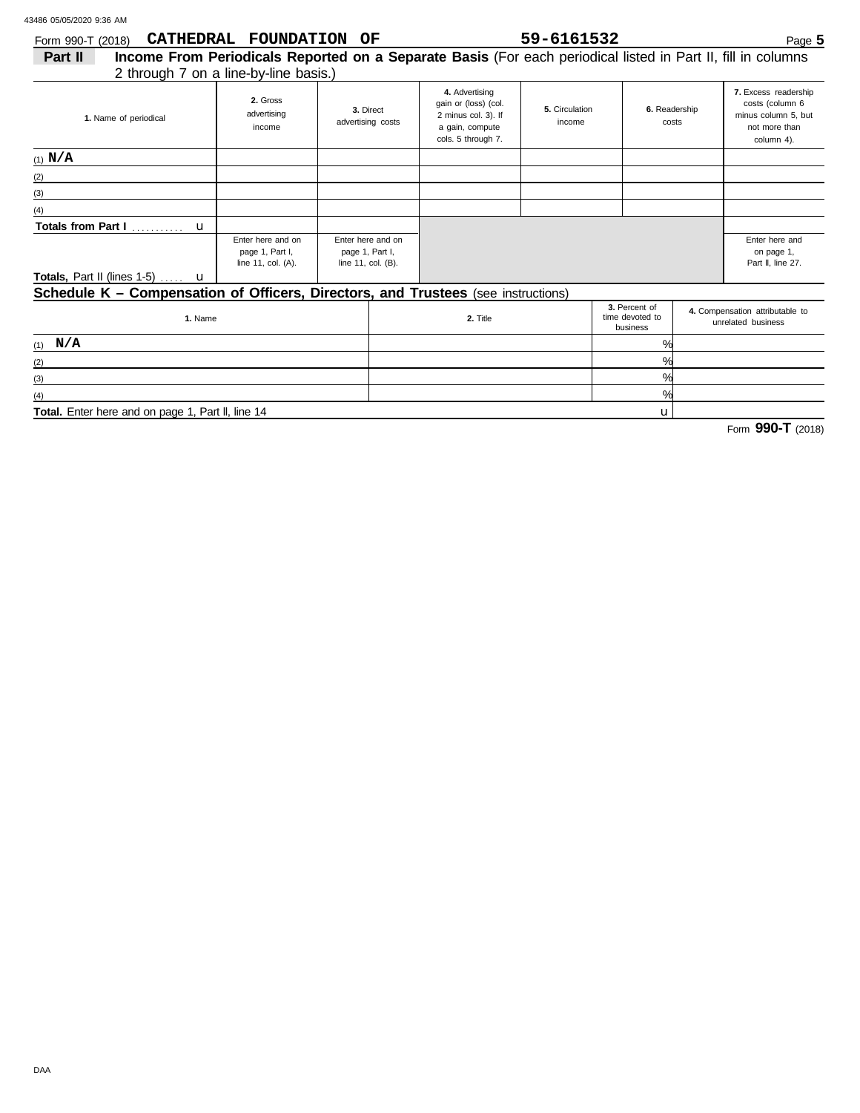| 43486 05/05/2020 9:36 AM                                                          |                                                                                                              |                                                            |                                                                                                        |                          |                                              |  |                                                                                               |
|-----------------------------------------------------------------------------------|--------------------------------------------------------------------------------------------------------------|------------------------------------------------------------|--------------------------------------------------------------------------------------------------------|--------------------------|----------------------------------------------|--|-----------------------------------------------------------------------------------------------|
| Form 990-T (2018)                                                                 | CATHEDRAL FOUNDATION OF                                                                                      |                                                            |                                                                                                        | 59-6161532               |                                              |  | Page 5                                                                                        |
| Part II                                                                           | Income From Periodicals Reported on a Separate Basis (For each periodical listed in Part II, fill in columns |                                                            |                                                                                                        |                          |                                              |  |                                                                                               |
|                                                                                   | 2 through 7 on a line-by-line basis.)                                                                        |                                                            |                                                                                                        |                          |                                              |  |                                                                                               |
| 1. Name of periodical                                                             | 2. Gross<br>advertising<br>income                                                                            | 3. Direct<br>advertising costs                             | 4. Advertising<br>gain or (loss) (col.<br>2 minus col. 3). If<br>a gain, compute<br>cols. 5 through 7. | 5. Circulation<br>income | 6. Readership<br>costs                       |  | 7. Excess readership<br>costs (column 6<br>minus column 5, but<br>not more than<br>column 4). |
| $(1)$ N/A                                                                         |                                                                                                              |                                                            |                                                                                                        |                          |                                              |  |                                                                                               |
| (2)                                                                               |                                                                                                              |                                                            |                                                                                                        |                          |                                              |  |                                                                                               |
| (3)                                                                               |                                                                                                              |                                                            |                                                                                                        |                          |                                              |  |                                                                                               |
| (4)                                                                               |                                                                                                              |                                                            |                                                                                                        |                          |                                              |  |                                                                                               |
| Totals from Part I<br>$\mathbf{u}$                                                |                                                                                                              |                                                            |                                                                                                        |                          |                                              |  |                                                                                               |
| <b>Totals, Part II (lines 1-5)</b> $\mathbf{u}$                                   | Enter here and on<br>page 1, Part I,<br>line 11, col. (A).                                                   | Enter here and on<br>page 1, Part I,<br>line 11, col. (B). |                                                                                                        |                          |                                              |  | Enter here and<br>on page 1,<br>Part II, line 27.                                             |
| Schedule K - Compensation of Officers, Directors, and Trustees (see instructions) |                                                                                                              |                                                            |                                                                                                        |                          |                                              |  |                                                                                               |
| 1. Name                                                                           |                                                                                                              |                                                            | 2. Title                                                                                               |                          | 3. Percent of<br>time devoted to<br>business |  | 4. Compensation attributable to<br>unrelated business                                         |
| N/A                                                                               |                                                                                                              |                                                            |                                                                                                        |                          | %                                            |  |                                                                                               |
| (2)                                                                               |                                                                                                              |                                                            |                                                                                                        |                          | %                                            |  |                                                                                               |

 $(4)$ **Total.** Enter here and on page 1, Part II, line 14

 $(3)$ 

Form **990-T** (2018)

 $\overline{\mathbf{u}}$ 

% %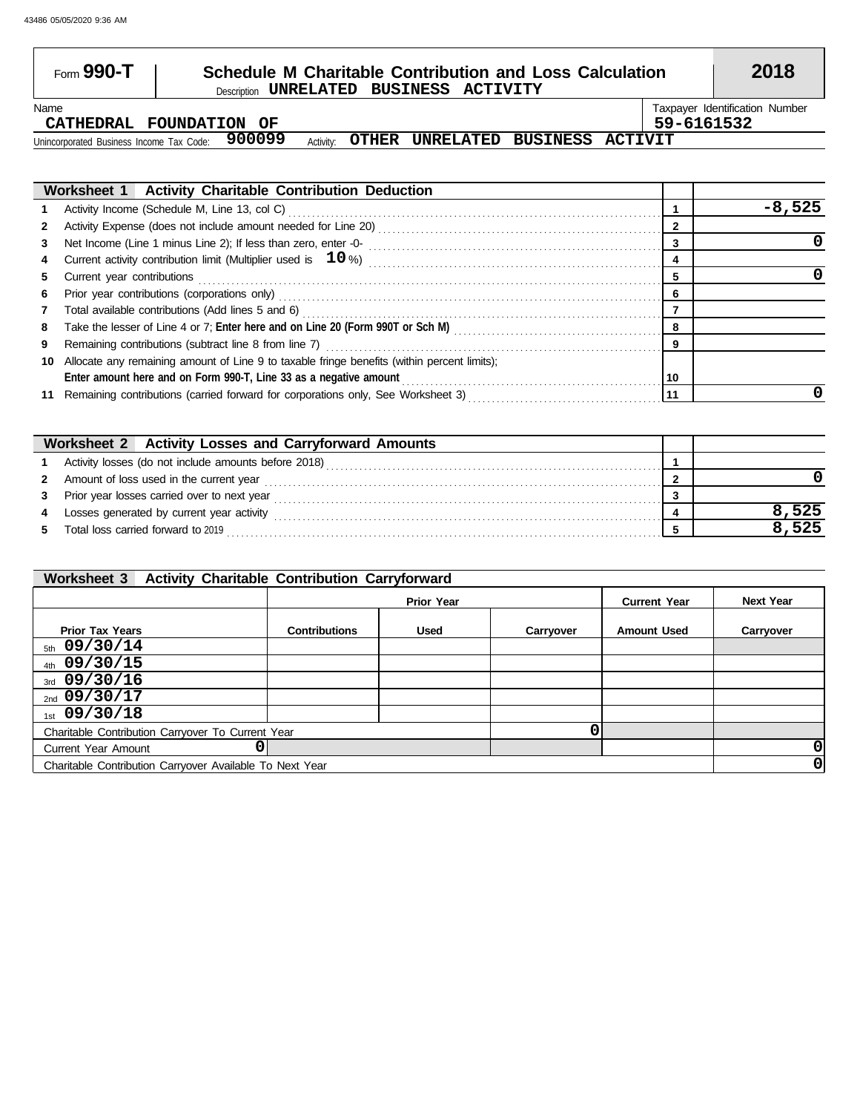# Form **990-T Schedule M Charitable Contribution and Loss Calculation 2018** Description **UNRELATED BUSINESS ACTIVITY**

| ı<br>- 7 |  |
|----------|--|

Taxpayer Identification Number

Unincorporated Business Income Tax Code: 900099 Activity:

**CATHEDRAL FOUNDATION OF 59-6161532**

# **OTHER UNRELATED BUSINESS ACTIVIT**

|              | Worksheet 1 Activity Charitable Contribution Deduction                                                                                                                                                            |    |          |
|--------------|-------------------------------------------------------------------------------------------------------------------------------------------------------------------------------------------------------------------|----|----------|
| $\mathbf{1}$ | Activity Income (Schedule M, Line 13, col C) Material Community and Collectivity Income (Schedule M, Line 13, col C)                                                                                              |    | $-8,525$ |
| $\mathbf{2}$ |                                                                                                                                                                                                                   |    |          |
| 3            |                                                                                                                                                                                                                   |    |          |
| 4            |                                                                                                                                                                                                                   |    |          |
| 5.           | Current year contributions <i>[11]</i> [1] <b>Example 20 CONSUMPLE 20 CONSUMPLE 20 CONSUMPLE 20 CONSUMPLE 20 CONSUMPLE 20 CONSUMPLE 20 CONSUMPLE 20 CONSUMPLE 20 CONSUMPLE 20 CONSUMPLE 20 CONSUMPLE 20 CONSU</b> | 5  |          |
| 6            |                                                                                                                                                                                                                   | 6  |          |
| $\mathbf{7}$ | Total available contributions (Add lines 5 and 6) Materian and the control of the contributions (Add lines 5 and 6)                                                                                               |    |          |
| 8            |                                                                                                                                                                                                                   | 8  |          |
| 9            |                                                                                                                                                                                                                   | 9  |          |
| 10           | Allocate any remaining amount of Line 9 to taxable fringe benefits (within percent limits);                                                                                                                       |    |          |
|              |                                                                                                                                                                                                                   | 10 |          |
| 11           |                                                                                                                                                                                                                   | 11 |          |

|   | Worksheet 2 Activity Losses and Carryforward Amounts |  |       |
|---|------------------------------------------------------|--|-------|
|   | Activity losses (do not include amounts before 2018) |  |       |
|   | 2 Amount of loss used in the current year            |  |       |
| 3 | Prior year losses carried over to next year          |  |       |
| 4 | Losses generated by current year activity            |  | 8,525 |
|   | Total loss carried forward to 2019                   |  | 8,525 |

| <b>Activity Charitable Contribution Carryforward</b><br>Worksheet 3 |                      |      |           |                     |                  |
|---------------------------------------------------------------------|----------------------|------|-----------|---------------------|------------------|
|                                                                     | <b>Prior Year</b>    |      |           | <b>Current Year</b> | <b>Next Year</b> |
| <b>Prior Tax Years</b>                                              | <b>Contributions</b> | Used | Carryover | <b>Amount Used</b>  | Carryover        |
| $_{5th}$ 09/30/14                                                   |                      |      |           |                     |                  |
| 4th 09/30/15                                                        |                      |      |           |                     |                  |
| $3rd$ 09/30/16                                                      |                      |      |           |                     |                  |
| $_{2nd}$ 09/30/17                                                   |                      |      |           |                     |                  |
| 1st $09/30/18$                                                      |                      |      |           |                     |                  |
| Charitable Contribution Carryover To Current Year                   |                      |      |           |                     |                  |
| Current Year Amount                                                 |                      |      |           |                     | 0                |
| Charitable Contribution Carryover Available To Next Year            |                      |      |           |                     |                  |